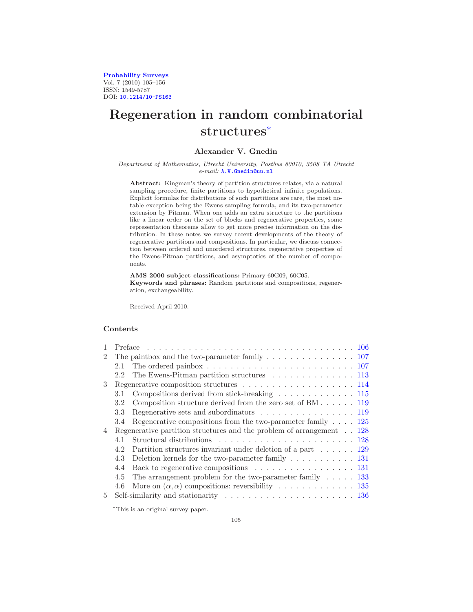[Probability Surveys](http://www.i-journals.org/ps) Vol. 7 (2010) 105–156 ISSN: 1549-5787 DOI: [10.1214/10-PS163](http://dx.doi.org/10.1214/10-PS163)

# Regeneration in random combinatorial structures[∗](#page-0-0)

# Alexander V. Gnedin

#### Department of Mathematics, Utrecht University, Postbus 80010, 3508 TA Utrecht e-mail: [A.V.Gnedin@uu.nl](mailto:A.V.Gnedin@uu.nl)

Abstract: Kingman's theory of partition structures relates, via a natural sampling procedure, finite partitions to hypothetical infinite populations. Explicit formulas for distributions of such partitions are rare, the most notable exception being the Ewens sampling formula, and its two-parameter extension by Pitman. When one adds an extra structure to the partitions like a linear order on the set of blocks and regenerative properties, some representation theorems allow to get more precise information on the distribution. In these notes we survey recent developments of the theory of regenerative partitions and compositions. In particular, we discuss connection between ordered and unordered structures, regenerative properties of the Ewens-Pitman partitions, and asymptotics of the number of components.

AMS 2000 subject classifications: Primary 60G09, 60C05. Keywords and phrases: Random partitions and compositions, regeneration, exchangeability.

Received April 2010.

## **Contents**

|                |     | Preface $\ldots \ldots \ldots \ldots \ldots \ldots \ldots \ldots \ldots \ldots \ldots \ldots \ldots$ |  |
|----------------|-----|------------------------------------------------------------------------------------------------------|--|
| $\mathfrak{D}$ |     |                                                                                                      |  |
|                | 2.1 | The ordered painbox $\ldots \ldots \ldots \ldots \ldots \ldots \ldots \ldots \ldots \ldots 107$      |  |
|                | 2.2 | The Ewens-Pitman partition structures $\dots \dots \dots \dots \dots \dots \dots$                    |  |
| 3              |     |                                                                                                      |  |
|                | 3.1 | Compositions derived from stick-breaking 115                                                         |  |
|                | 3.2 | Composition structure derived from the zero set of BM 119                                            |  |
|                | 3.3 | Regenerative sets and subordinators $\dots \dots \dots \dots \dots \dots \dots \dots$ 119            |  |
|                | 3.4 | Regenerative compositions from the two-parameter family $\ldots$ 125                                 |  |
| 4              |     | Regenerative partition structures and the problem of arrangement $\ldots$ 128                        |  |
|                | 4.1 |                                                                                                      |  |
|                | 4.2 | Partition structures invariant under deletion of a part $\dots \dots 129$                            |  |
|                | 4.3 | Deletion kernels for the two-parameter family $\ldots \ldots \ldots \ldots 131$                      |  |
|                | 4.4 | Back to regenerative compositions $\ldots \ldots \ldots \ldots \ldots \ldots 131$                    |  |
|                | 4.5 | The arrangement problem for the two-parameter family $\ldots$ . 133                                  |  |
|                | 4.6 | More on $(\alpha, \alpha)$ compositions: reversibility 135                                           |  |
| $5 -$          |     |                                                                                                      |  |

<span id="page-0-0"></span><sup>∗</sup>This is an original survey paper.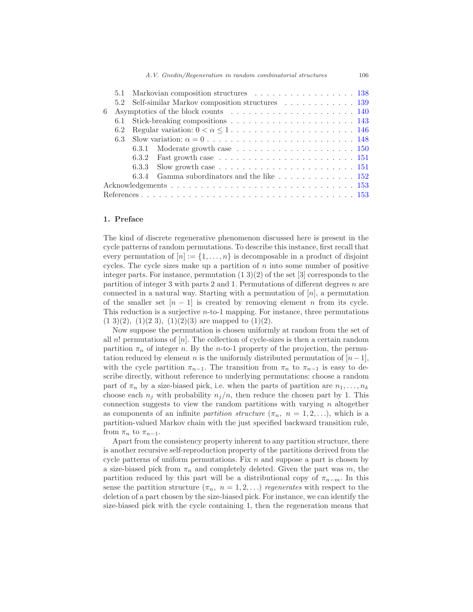|   |     |       | 5.1 Markovian composition structures 138                                                    |  |  |  |
|---|-----|-------|---------------------------------------------------------------------------------------------|--|--|--|
|   |     |       | 5.2 Self-similar Markov composition structures 139                                          |  |  |  |
| 6 |     |       |                                                                                             |  |  |  |
|   | 6.1 |       |                                                                                             |  |  |  |
|   | 6.2 |       |                                                                                             |  |  |  |
|   | 6.3 |       |                                                                                             |  |  |  |
|   |     |       | 6.3.1 Moderate growth case $\ldots \ldots \ldots \ldots \ldots \ldots \ldots 150$           |  |  |  |
|   |     |       | 6.3.2 Fast growth case $\ldots \ldots \ldots \ldots \ldots \ldots \ldots \ldots \ldots 151$ |  |  |  |
|   |     |       | 6.3.3 Slow growth case $\ldots \ldots \ldots \ldots \ldots \ldots \ldots \ldots \ldots 151$ |  |  |  |
|   |     | 6.3.4 | Gamma subordinators and the like $\ldots \ldots \ldots \ldots 152$                          |  |  |  |
|   |     |       |                                                                                             |  |  |  |
|   |     |       |                                                                                             |  |  |  |

#### <span id="page-1-0"></span>1. Preface

The kind of discrete regenerative phenomenon discussed here is present in the cycle patterns of random permutations. To describe this instance, first recall that every permutation of  $[n] := \{1, \ldots, n\}$  is decomposable in a product of disjoint cycles. The cycle sizes make up a partition of  $n$  into some number of positive integer parts. For instance, permutation  $(1\ 3)(2)$  of the set [3] corresponds to the partition of integer 3 with parts 2 and 1. Permutations of different degrees  $n$  are connected in a natural way. Starting with a permutation of  $[n]$ , a permutation of the smaller set  $[n-1]$  is created by removing element n from its cycle. This reduction is a surjective n-to-1 mapping. For instance, three permutations  $(1\ 3)(2)$ ,  $(1)(2\ 3)$ ,  $(1)(2)(3)$  are mapped to  $(1)(2)$ .

Now suppose the permutation is chosen uniformly at random from the set of all  $n!$  permutations of  $[n]$ . The collection of cycle-sizes is then a certain random partition  $\pi_n$  of integer n. By the n-to-1 property of the projection, the permutation reduced by element n is the uniformly distributed permutation of  $[n-1]$ , with the cycle partition  $\pi_{n-1}$ . The transition from  $\pi_n$  to  $\pi_{n-1}$  is easy to describe directly, without reference to underlying permutations: choose a random part of  $\pi_n$  by a size-biased pick, i.e. when the parts of partition are  $n_1, \ldots, n_k$ choose each  $n_j$  with probability  $n_j/n$ , then reduce the chosen part by 1. This connection suggests to view the random partitions with varying  $n$  altogether as components of an infinite partition structure  $(\pi_n, n = 1, 2, \ldots)$ , which is a partition-valued Markov chain with the just specified backward transition rule, from  $\pi_n$  to  $\pi_{n-1}$ .

Apart from the consistency property inherent to any partition structure, there is another recursive self-reproduction property of the partitions derived from the cycle patterns of uniform permutations. Fix  $n$  and suppose a part is chosen by a size-biased pick from  $\pi_n$  and completely deleted. Given the part was m, the partition reduced by this part will be a distributional copy of  $\pi_{n-m}$ . In this sense the partition structure  $(\pi_n, n = 1, 2, ...)$  regenerates with respect to the deletion of a part chosen by the size-biased pick. For instance, we can identify the size-biased pick with the cycle containing 1, then the regeneration means that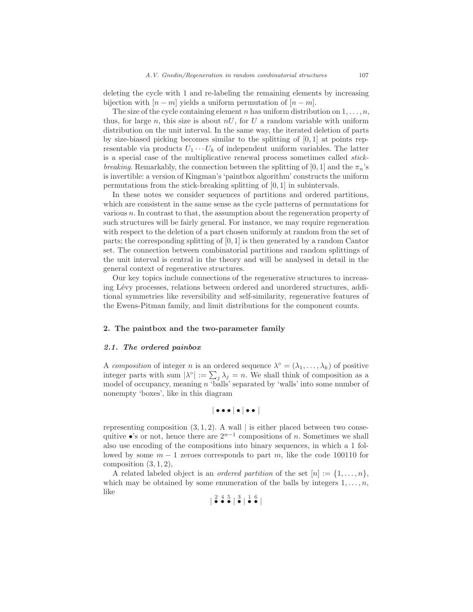deleting the cycle with 1 and re-labeling the remaining elements by increasing bijection with  $[n - m]$  yields a uniform permutation of  $[n - m]$ .

The size of the cycle containing element n has uniform distribution on  $1, \ldots, n$ , thus, for large n, this size is about  $nU$ , for U a random variable with uniform distribution on the unit interval. In the same way, the iterated deletion of parts by size-biased picking becomes similar to the splitting of [0, 1] at points representable via products  $U_1 \cdots U_k$  of independent uniform variables. The latter is a special case of the multiplicative renewal process sometimes called stickbreaking. Remarkably, the connection between the splitting of [0, 1] and the  $\pi_n$ 's is invertible: a version of Kingman's 'paintbox algorithm' constructs the uniform permutations from the stick-breaking splitting of [0, 1] in subintervals.

In these notes we consider sequences of partitions and ordered partitions, which are consistent in the same sense as the cycle patterns of permutations for various n. In contrast to that, the assumption about the regeneration property of such structures will be fairly general. For instance, we may require regeneration with respect to the deletion of a part chosen uniformly at random from the set of parts; the corresponding splitting of [0, 1] is then generated by a random Cantor set. The connection between combinatorial partitions and random splittings of the unit interval is central in the theory and will be analysed in detail in the general context of regenerative structures.

Our key topics include connections of the regenerative structures to increasing Lévy processes, relations between ordered and unordered structures, additional symmetries like reversibility and self-similarity, regenerative features of the Ewens-Pitman family, and limit distributions for the component counts.

## <span id="page-2-0"></span>2. The paintbox and the two-parameter family

## <span id="page-2-1"></span>2.1. The ordered painbox

A composition of integer n is an ordered sequence  $\lambda^{\circ} = (\lambda_1, \dots, \lambda_k)$  of positive integer parts with sum  $|\lambda^{\circ}| := \sum_j \lambda_j = n$ . We shall think of composition as a model of occupancy, meaning  $n$  'balls' separated by 'walls' into some number of nonempty 'boxes', like in this diagram

$$
\vert\bullet\bullet\bullet\vert\bullet\vert\bullet\bullet\vert
$$

representing composition  $(3, 1, 2)$ . A wall | is either placed between two consequitive •'s or not, hence there are  $2^{n-1}$  compositions of n. Sometimes we shall also use encoding of the compositions into binary sequences, in which a 1 followed by some  $m - 1$  zeroes corresponds to part m, like the code 100110 for composition  $(3, 1, 2)$ ,

A related labeled object is an *ordered partition* of the set  $[n] := \{1, \ldots, n\}$ , which may be obtained by some enumeration of the balls by integers  $1, \ldots, n$ , like

$$
\begin{array}{|c|c|c|c|c|}\n \hline\n \bullet & \bullet & \bullet & \bullet & \bullet \\
 \hline\n \bullet & \bullet & \bullet & \bullet & \bullet\n \end{array}
$$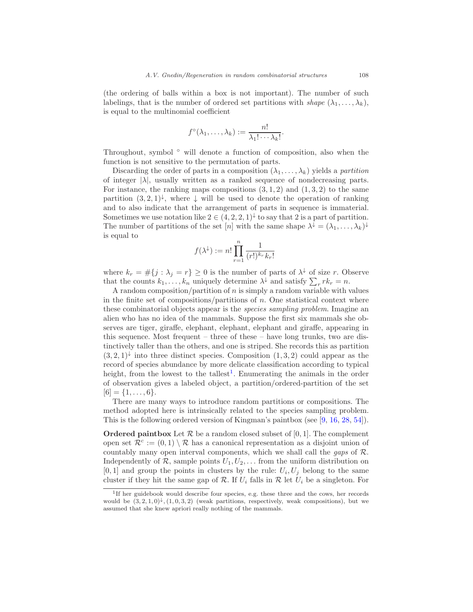(the ordering of balls within a box is not important). The number of such labelings, that is the number of ordered set partitions with shape  $(\lambda_1, \ldots, \lambda_k)$ , is equal to the multinomial coefficient

$$
f^{\circ}(\lambda_1,\ldots,\lambda_k):=\frac{n!}{\lambda_1!\cdots\lambda_k!}.
$$

Throughout, symbol ◦ will denote a function of composition, also when the function is not sensitive to the permutation of parts.

Discarding the order of parts in a composition  $(\lambda_1, \ldots, \lambda_k)$  yields a partition of integer  $|\lambda|$ , usually written as a ranked sequence of nondecreasing parts. For instance, the ranking maps compositions  $(3, 1, 2)$  and  $(1, 3, 2)$  to the same partition  $(3, 2, 1)$ <sup> $\downarrow$ </sup>, where  $\downarrow$  will be used to denote the operation of ranking and to also indicate that the arrangement of parts in sequence is immaterial. Sometimes we use notation like  $2 \in (4, 2, 2, 1)^{\downarrow}$  to say that 2 is a part of partition. The number of partitions of the set [n] with the same shape  $\lambda^{\downarrow} = (\lambda_1, \ldots, \lambda_k)^{\downarrow}$ is equal to

$$
f(\lambda^\downarrow):=n!\prod_{r=1}^n\frac{1}{(r!)^{k_r}k_r!}
$$

where  $k_r = #\{j : \lambda_j = r\} \geq 0$  is the number of parts of  $\lambda^{\downarrow}$  of size r. Observe that the counts  $k_1, \ldots, k_n$  uniquely determine  $\lambda^{\downarrow}$  and satisfy  $\sum_r rk_r = n$ .

A random composition/partition of  $n$  is simply a random variable with values in the finite set of compositions/partitions of  $n$ . One statistical context where these combinatorial objects appear is the species sampling problem. Imagine an alien who has no idea of the mammals. Suppose the first six mammals she observes are tiger, giraffe, elephant, elephant, elephant and giraffe, appearing in this sequence. Most frequent – three of these – have long trunks, two are distinctively taller than the others, and one is striped. She records this as partition  $(3,2,1)^{\downarrow}$  into three distinct species. Composition  $(1,3,2)$  could appear as the record of species abundance by more delicate classification according to typical height, from the lowest to the tallest<sup>[1](#page-3-0)</sup>. Enumerating the animals in the order of observation gives a labeled object, a partition/ordered-partition of the set  $[6] = \{1, \ldots, 6\}.$ 

There are many ways to introduce random partitions or compositions. The method adopted here is intrinsically related to the species sampling problem. This is the following ordered version of Kingman's paintbox (see [\[9](#page-48-2), [16,](#page-49-0) [28,](#page-50-0) [54](#page-51-0)]).

**Ordered paintbox** Let  $\mathcal{R}$  be a random closed subset of [0, 1]. The complement open set  $\mathcal{R}^c := (0,1) \setminus \mathcal{R}$  has a canonical representation as a disjoint union of countably many open interval components, which we shall call the gaps of R. Independently of  $\mathcal{R}$ , sample points  $U_1, U_2, \ldots$  from the uniform distribution on  $[0,1]$  and group the points in clusters by the rule:  $U_i, U_j$  belong to the same cluster if they hit the same gap of  $\mathcal R$ . If  $U_i$  falls in  $\mathcal R$  let  $U_i$  be a singleton. For

<span id="page-3-0"></span><sup>&</sup>lt;sup>1</sup>If her guidebook would describe four species, e.g. these three and the cows, her records would be  $(3, 2, 1, 0)$ <sup> $\downarrow$ </sup>,  $(1, 0, 3, 2)$  (weak partitions, respectively, weak compositions), but we assumed that she knew apriori really nothing of the mammals.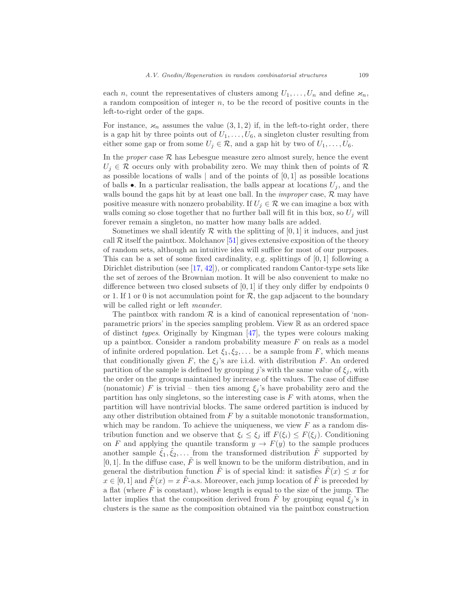each n, count the representatives of clusters among  $U_1, \ldots, U_n$  and define  $\varkappa_n$ , a random composition of integer  $n$ , to be the record of positive counts in the left-to-right order of the gaps.

For instance,  $\varkappa_n$  assumes the value  $(3,1,2)$  if, in the left-to-right order, there is a gap hit by three points out of  $U_1, \ldots, U_6$ , a singleton cluster resulting from either some gap or from some  $U_j \in \mathcal{R}$ , and a gap hit by two of  $U_1, \ldots, U_6$ .

In the *proper* case  $R$  has Lebesgue measure zero almost surely, hence the event  $U_i \in \mathcal{R}$  occurs only with probability zero. We may think then of points of  $\mathcal{R}$ as possible locations of walls  $\vert$  and of the points of  $[0, 1]$  as possible locations of balls  $\bullet$ . In a particular realisation, the balls appear at locations  $U_i$ , and the walls bound the gaps hit by at least one ball. In the *improper* case,  $\mathcal{R}$  may have positive measure with nonzero probability. If  $U_i \in \mathcal{R}$  we can imagine a box with walls coming so close together that no further ball will fit in this box, so  $U_j$  will forever remain a singleton, no matter how many balls are added.

Sometimes we shall identify  $\mathcal R$  with the splitting of [0, 1] it induces, and just call  $\mathcal R$  itself the paintbox. Molchanov [\[51](#page-51-1)] gives extensive exposition of the theory of random sets, although an intuitive idea will suffice for most of our purposes. This can be a set of some fixed cardinality, e.g. splittings of  $[0, 1]$  following a Dirichlet distribution (see [\[17,](#page-49-1) [42\]](#page-50-1)), or complicated random Cantor-type sets like the set of zeroes of the Brownian motion. It will be also convenient to make no difference between two closed subsets of  $[0, 1]$  if they only differ by endpoints 0 or 1. If 1 or 0 is not accumulation point for  $\mathcal{R}$ , the gap adjacent to the boundary will be called right or left *meander*.

The paintbox with random  $R$  is a kind of canonical representation of 'nonparametric priors' in the species sampling problem. View R as an ordered space of distinct types. Originally by Kingman [\[47](#page-51-2)], the types were colours making up a paintbox. Consider a random probability measure  $F$  on reals as a model of infinite ordered population. Let  $\xi_1, \xi_2, \ldots$  be a sample from F, which means that conditionally given F, the  $\xi_j$ 's are i.i.d. with distribution F. An ordered partition of the sample is defined by grouping j's with the same value of  $\xi_i$ , with the order on the groups maintained by increase of the values. The case of diffuse (nonatomic) F is trivial – then ties among  $\xi_i$ 's have probability zero and the partition has only singletons, so the interesting case is  $F$  with atoms, when the partition will have nontrivial blocks. The same ordered partition is induced by any other distribution obtained from  $F$  by a suitable monotonic transformation, which may be random. To achieve the uniqueness, we view  $F$  as a random distribution function and we observe that  $\xi_i \leq \xi_j$  iff  $F(\xi_i) \leq F(\xi_j)$ . Conditioning on F and applying the quantile transform  $y \to F(y)$  to the sample produces another sample  $\tilde{\xi}_1, \tilde{\xi}_2, \ldots$  from the transformed distribution  $\tilde{F}$  supported by [0, 1]. In the diffuse case,  $\tilde{F}$  is well known to be the uniform distribution, and in general the distribution function  $\tilde{F}$  is of special kind: it satisfies  $\tilde{F}(x) \leq x$  for  $x \in [0,1]$  and  $\tilde{F}(x) = x \tilde{F}$ -a.s. Moreover, each jump location of  $\tilde{F}$  is preceded by a flat (where  $F$  is constant), whose length is equal to the size of the jump. The latter implies that the composition derived from F by grouping equal  $\xi_i$ 's in clusters is the same as the composition obtained via the paintbox construction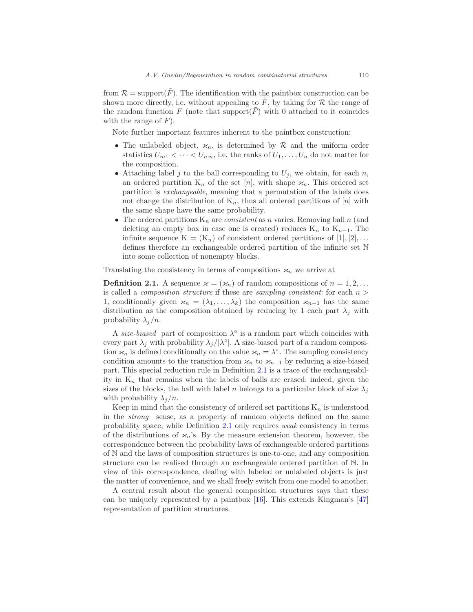from  $\mathcal{R} = \text{support}(\tilde{F})$ . The identification with the paintbox construction can be shown more directly, i.e. without appealing to  $\tilde{F}$ , by taking for  $\mathcal R$  the range of the random function F (note that support(F) with 0 attached to it coincides with the range of  $F$ ).

Note further important features inherent to the paintbox construction:

- The unlabeled object,  $x_n$ , is determined by R and the uniform order statistics  $U_{n:1} < \cdots < U_{n:n}$ , i.e. the ranks of  $U_1, \ldots, U_n$  do not matter for the composition.
- Attaching label j to the ball corresponding to  $U_i$ , we obtain, for each n, an ordered partition  $K_n$  of the set [n], with shape  $\varkappa_n$ . This ordered set partition is exchangeable, meaning that a permutation of the labels does not change the distribution of  $K_n$ , thus all ordered partitions of [n] with the same shape have the same probability.
- The ordered partitions  $K_n$  are *consistent* as n varies. Removing ball n (and deleting an empty box in case one is created) reduces  $K_n$  to  $K_{n-1}$ . The infinite sequence  $K = (K_n)$  of consistent ordered partitions of [1], [2],... defines therefore an exchangeable ordered partition of the infinite set N into some collection of nonempty blocks.

Translating the consistency in terms of compositions  $\varkappa_n$  we arrive at

<span id="page-5-0"></span>**Definition 2.1.** A sequence  $\varkappa = (\varkappa_n)$  of random compositions of  $n = 1, 2, ...$ is called a *composition structure* if these are *sampling consistent*: for each  $n >$ 1, conditionally given  $\varkappa_n = (\lambda_1, \ldots, \lambda_k)$  the composition  $\varkappa_{n-1}$  has the same distribution as the composition obtained by reducing by 1 each part  $\lambda_i$  with probability  $\lambda_i/n$ .

A size-biased part of composition  $\lambda^{\circ}$  is a random part which coincides with every part  $\lambda_j$  with probability  $\lambda_j/|\lambda^{\circ}|$ . A size-biased part of a random composition  $\varkappa_n$  is defined conditionally on the value  $\varkappa_n = \lambda^\circ$ . The sampling consistency condition amounts to the transition from  $\varkappa_n$  to  $\varkappa_{n-1}$  by reducing a size-biased part. This special reduction rule in Definition [2.1](#page-5-0) is a trace of the exchangeability in  $K_n$  that remains when the labels of balls are erased: indeed, given the sizes of the blocks, the ball with label n belongs to a particular block of size  $\lambda_i$ with probability  $\lambda_j/n$ .

Keep in mind that the consistency of ordered set partitions  $K_n$  is understood in the strong sense, as a property of random objects defined on the same probability space, while Definition [2.1](#page-5-0) only requires weak consistency in terms of the distributions of  $\varkappa_n$ 's. By the measure extension theorem, however, the correspondence between the probability laws of exchangeable ordered partitions of N and the laws of composition structures is one-to-one, and any composition structure can be realised through an exchangeable ordered partition of N. In view of this correspondence, dealing with labeled or unlabeled objects is just the matter of convenience, and we shall freely switch from one model to another.

A central result about the general composition structures says that these can be uniquely represented by a paintbox  $[16]$ . This extends Kingman's  $[47]$ representation of partition structures.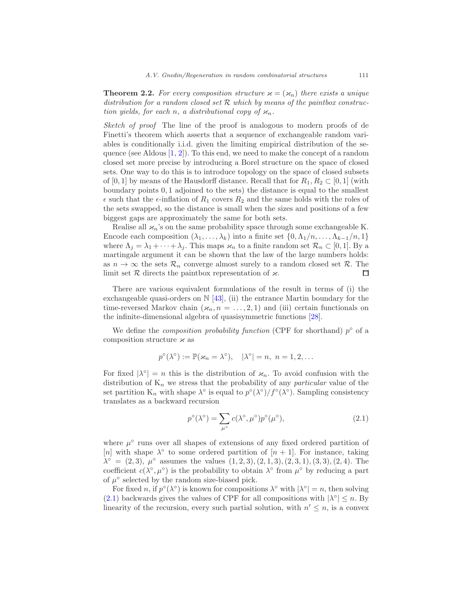<span id="page-6-1"></span>**Theorem 2.2.** For every composition structure  $\varkappa = (\varkappa_n)$  there exists a unique distribution for a random closed set  $R$  which by means of the paintbox construction yields, for each n, a distributional copy of  $\varkappa_n$ .

Sketch of proof. The line of the proof is analogous to modern proofs of de Finetti's theorem which asserts that a sequence of exchangeable random variables is conditionally i.i.d. given the limiting empirical distribution of the sequence (see Aldous  $[1, 2]$  $[1, 2]$ ). To this end, we need to make the concept of a random closed set more precise by introducing a Borel structure on the space of closed sets. One way to do this is to introduce topology on the space of closed subsets of [0, 1] by means of the Hausdorff distance. Recall that for  $R_1, R_2 \subset [0, 1]$  (with boundary points 0, 1 adjoined to the sets) the distance is equal to the smallest  $\epsilon$  such that the  $\epsilon$ -inflation of  $R_1$  covers  $R_2$  and the same holds with the roles of the sets swapped, so the distance is small when the sizes and positions of a few biggest gaps are approximately the same for both sets.

Realise all  $\varkappa_n$ 's on the same probability space through some exchangeable K. Encode each composition  $(\lambda_1, \ldots, \lambda_k)$  into a finite set  $\{0, \Lambda_1/n, \ldots, \Lambda_{k-1}/n, 1\}$ where  $\Lambda_j = \lambda_1 + \cdots + \lambda_j$ . This maps  $\varkappa_n$  to a finite random set  $\mathcal{R}_n \subset [0,1]$ . By a martingale argument it can be shown that the law of the large numbers holds: as  $n \to \infty$  the sets  $\mathcal{R}_n$  converge almost surely to a random closed set  $\mathcal{R}$ . The limit set  $\mathcal{R}$  directs the paintbox representation of  $\varkappa$ . limit set  $R$  directs the paintbox representation of  $\varkappa$ .

There are various equivalent formulations of the result in terms of (i) the exchangeable quasi-orders on  $\mathbb{N}$  [\[43](#page-50-2)], (ii) the entrance Martin boundary for the time-reversed Markov chain  $(x_n, n = \ldots, 2, 1)$  and (iii) certain functionals on the infinite-dimensional algebra of quasisymmetric functions [\[28\]](#page-50-0).

We define the *composition probability function* (CPF for shorthand)  $p^{\circ}$  of a composition structure  $\varkappa$  as

$$
p^{\circ}(\lambda^{\circ}) := \mathbb{P}(\varkappa_n = \lambda^{\circ}), \quad |\lambda^{\circ}| = n, \quad n = 1, 2, \dots
$$

For fixed  $|\lambda^{\circ}| = n$  this is the distribution of  $\varkappa_n$ . To avoid confusion with the distribution of  $K_n$  we stress that the probability of any *particular* value of the set partition  $K_n$  with shape  $\lambda^{\circ}$  is equal to  $p^{\circ}(\lambda^{\circ})/f^{\circ}(\lambda^{\circ})$ . Sampling consistency translates as a backward recursion

<span id="page-6-0"></span>
$$
p^{\circ}(\lambda^{\circ}) = \sum_{\mu^{\circ}} c(\lambda^{\circ}, \mu^{\circ}) p^{\circ}(\mu^{\circ}), \tag{2.1}
$$

where  $\mu^{\circ}$  runs over all shapes of extensions of any fixed ordered partition of [n] with shape  $\lambda^{\circ}$  to some ordered partition of [n + 1]. For instance, taking  $\lambda^{\circ} = (2,3), \mu^{\circ}$  assumes the values  $(1,2,3), (2,1,3), (2,3,1), (3,3), (2,4)$ . The coefficient  $c(\lambda^{\circ}, \mu^{\circ})$  is the probability to obtain  $\lambda^{\circ}$  from  $\mu^{\circ}$  by reducing a part of  $\mu^{\circ}$  selected by the random size-biased pick.

For fixed n, if  $p^{\circ}(\lambda^{\circ})$  is known for compositions  $\lambda^{\circ}$  with  $|\lambda^{\circ}| = n$ , then solving  $(2.1)$  backwards gives the values of CPF for all compositions with  $|\lambda^{\circ}| \leq n$ . By linearity of the recursion, every such partial solution, with  $n' \leq n$ , is a convex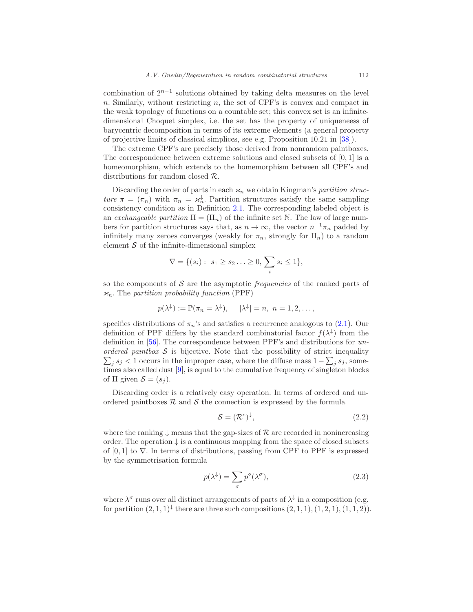combination of  $2^{n-1}$  solutions obtained by taking delta measures on the level  $n.$  Similarly, without restricting  $n$ , the set of CPF's is convex and compact in the weak topology of functions on a countable set; this convex set is an infinitedimensional Choquet simplex, i.e. the set has the property of uniqueneess of barycentric decomposition in terms of its extreme elements (a general property of projective limits of classical simplices, see e.g. Proposition 10.21 in [\[38](#page-50-3)]).

The extreme CPF's are precisely those derived from nonrandom paintboxes. The correspondence between extreme solutions and closed subsets of  $[0, 1]$  is a homeomorphism, which extends to the homemorphism between all CPF's and distributions for random closed R.

Discarding the order of parts in each  $\varkappa_n$  we obtain Kingman's partition structure  $\pi = (\pi_n)$  with  $\pi_n = \varkappa_n^{\downarrow}$ . Partition structures satisfy the same sampling consistency condition as in Definition [2.1.](#page-5-0) The corresponding labeled object is an exchangeable partition  $\Pi = (\Pi_n)$  of the infinite set N. The law of large numbers for partition structures says that, as  $n \to \infty$ , the vector  $n^{-1}\pi_n$  padded by infinitely many zeroes converges (weakly for  $\pi_n$ , strongly for  $\Pi_n$ ) to a random element  $S$  of the infinite-dimensional simplex

$$
\nabla = \{(s_i): s_1 \ge s_2 \ldots \ge 0, \sum_i s_i \le 1\},\
$$

so the components of  $S$  are the asymptotic *frequencies* of the ranked parts of  $\varkappa_n$ . The partition probability function (PPF)

$$
p(\lambda^{\downarrow}) := \mathbb{P}(\pi_n = \lambda^{\downarrow}), \quad |\lambda^{\downarrow}| = n, n = 1, 2, \dots,
$$

specifies distributions of  $\pi_n$ 's and satisfies a recurrence analogous to [\(2.1\)](#page-6-0). Our definition of PPF differs by the standard combinatorial factor  $f(\lambda^{\downarrow})$  from the definition in [\[56\]](#page-51-3). The correspondence between PPF's and distributions for unordered paintbox  $S$  is bijective. Note that the possibility of strict inequality  $\sum_j s_j < 1$  occurs in the improper case, where the diffuse mass  $1 - \sum_j s_j$ , sometimes also called dust [\[9\]](#page-48-2), is equal to the cumulative frequency of singleton blocks of  $\Pi$  given  $S = (s_i)$ .

Discarding order is a relatively easy operation. In terms of ordered and unordered paintboxes  $R$  and  $S$  the connection is expressed by the formula

<span id="page-7-1"></span>
$$
S = (\mathcal{R}^c)^{\downarrow},\tag{2.2}
$$

where the ranking  $\downarrow$  means that the gap-sizes of R are recorded in nonincreasing order. The operation  $\downarrow$  is a continuous mapping from the space of closed subsets of  $[0, 1]$  to  $\nabla$ . In terms of distributions, passing from CPF to PPF is expressed by the symmetrisation formula

<span id="page-7-0"></span>
$$
p(\lambda^{\downarrow}) = \sum_{\sigma} p^{\circ}(\lambda^{\sigma}), \tag{2.3}
$$

where  $\lambda^{\sigma}$  runs over all distinct arrangements of parts of  $\lambda^{\downarrow}$  in a composition (e.g. for partition  $(2,1,1)$ <sup> $\downarrow$ </sup> there are three such compositions  $(2,1,1), (1,2,1), (1,1,2)$ .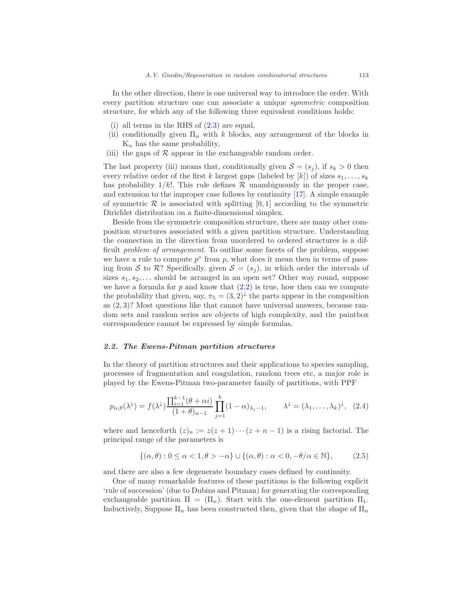In the other direction, there is one universal way to introduce the order. With every partition structure one can associate a unique symmetric composition structure, for which any of the following three equivalent conditions holds:

- (i) all terms in the RHS of  $(2.3)$  are equal,
- (ii) conditionally given  $\Pi_n$  with k blocks, any arrangement of the blocks in  $K_n$  has the same probability,
- (iii) the gaps of  $R$  appear in the exchangeable random order.

The last property (iii) means that, conditionally given  $S = (s_i)$ , if  $s_k > 0$  then every relative order of the first k largest gaps (labeled by  $[k]$ ) of sizes  $s_1, \ldots, s_k$ has probability  $1/k!$ . This rule defines R unambiguously in the proper case, and extension to the improper case follows by continuity [\[17\]](#page-49-1). A simple example of symmetric  $\mathcal R$  is associated with splitting  $[0, 1]$  according to the symmetric Dirichlet distribution on a finite-dimensional simplex.

Beside from the symmetric composition structure, there are many other composition structures associated with a given partition structure. Understanding the connection in the direction from unordered to ordered structures is a difficult problem of arrangement. To outline some facets of the problem, suppose we have a rule to compute  $p^{\circ}$  from p, what does it mean then in terms of passing from S to R? Specifically, given  $S = (s_i)$ , in which order the intervals of sizes  $s_1, s_2, \ldots$  should be arranged in an open set? Other way round, suppose we have a formula for  $p$  and know that  $(2.2)$  is true, how then can we compute the probability that given, say,  $\pi_5 = (3,2)^{\downarrow}$  the parts appear in the composition as (2, 3)? Most questions like that cannot have universal answers, because random sets and random series are objects of high complexity, and the paintbox correspondence cannot be expressed by simple formulas.

#### <span id="page-8-0"></span>2.2. The Ewens-Pitman partition structures

In the theory of partition structures and their applications to species sampling, processes of fragmentation and coagulation, random trees etc, a major role is played by the Ewens-Pitman two-parameter family of partitions, with PPF

<span id="page-8-1"></span>
$$
p_{\alpha,\theta}(\lambda^{\downarrow}) = f(\lambda^{\downarrow}) \frac{\prod_{i=1}^{k-1} (\theta + \alpha i)}{(1 + \theta)_{n-1}} \prod_{j=1}^{k} (1 - \alpha)_{\lambda_j - 1}, \qquad \lambda^{\downarrow} = (\lambda_1, \dots, \lambda_k)^{\downarrow}, \quad (2.4)
$$

where and henceforth  $(z)_n := z(z+1)\cdots(z+n-1)$  is a rising factorial. The principal range of the parameters is

<span id="page-8-2"></span>
$$
\{(\alpha,\theta): 0 \leq \alpha < 1, \theta > -\alpha\} \cup \{(\alpha,\theta): \alpha < 0, -\theta/\alpha \in \mathbb{N}\},\tag{2.5}
$$

and there are also a few degenerate boundary cases defined by continuity.

One of many remarkable features of these partitions is the following explicit 'rule of succession' (due to Dubins and Pitman) for generating the corresponding exchangeable partition  $\Pi = (\Pi_n)$ . Start with the one-element partition  $\Pi_1$ . Inductively, Suppose  $\Pi_n$  has been constructed then, given that the shape of  $\Pi_n$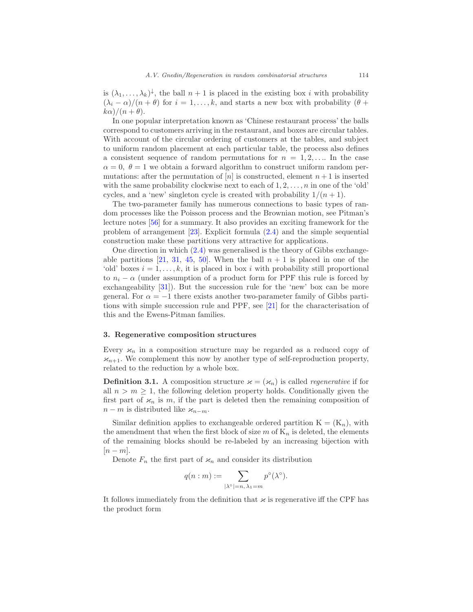is  $(\lambda_1, \ldots, \lambda_k)^{\downarrow}$ , the ball  $n+1$  is placed in the existing box i with probability  $(\lambda_i - \alpha)/(n + \theta)$  for  $i = 1, \ldots, k$ , and starts a new box with probability  $(\theta + \theta)$  $k\alpha$ )/ $(n + \theta)$ .

In one popular interpretation known as 'Chinese restaurant process' the balls correspond to customers arriving in the restaurant, and boxes are circular tables. With account of the circular ordering of customers at the tables, and subject to uniform random placement at each particular table, the process also defines a consistent sequence of random permutations for  $n = 1, 2, \ldots$  In the case  $\alpha = 0, \ \theta = 1$  we obtain a forward algorithm to construct uniform random permutations: after the permutation of [n] is constructed, element  $n + 1$  is inserted with the same probability clockwise next to each of  $1, 2, \ldots, n$  in one of the 'old' cycles, and a 'new' singleton cycle is created with probability  $1/(n+1)$ .

The two-parameter family has numerous connections to basic types of random processes like the Poisson process and the Brownian motion, see Pitman's lecture notes [\[56\]](#page-51-3) for a summary. It also provides an exciting framework for the problem of arrangement  $[23]$ . Explicit formula  $(2.4)$  and the simple sequential construction make these partitions very attractive for applications.

One direction in which  $(2.4)$  was generalised is the theory of Gibbs exchange-able partitions [\[21,](#page-49-3) [31,](#page-50-4) [45,](#page-51-4) [50](#page-51-5)]. When the ball  $n + 1$  is placed in one of the 'old' boxes  $i = 1, \ldots, k$ , it is placed in box i with probability still proportional to  $n_i - \alpha$  (under assumption of a product form for PPF this rule is forced by exchangeability [\[31\]](#page-50-4)). But the succession rule for the 'new' box can be more general. For  $\alpha = -1$  there exists another two-parameter family of Gibbs partitions with simple succession rule and PPF, see [\[21\]](#page-49-3) for the characterisation of this and the Ewens-Pitman families.

#### <span id="page-9-0"></span>3. Regenerative composition structures

Every  $\varkappa_n$  in a composition structure may be regarded as a reduced copy of  $\varkappa_{n+1}$ . We complement this now by another type of self-reproduction property, related to the reduction by a whole box.

<span id="page-9-1"></span>**Definition 3.1.** A composition structure  $\varkappa = (\varkappa_n)$  is called *regenerative* if for all  $n > m \geq 1$ , the following deletion property holds. Conditionally given the first part of  $\varkappa_n$  is m, if the part is deleted then the remaining composition of  $n - m$  is distributed like  $\varkappa_{n-m}$ .

Similar definition applies to exchangeable ordered partition  $K = (K_n)$ , with the amendment that when the first block of size  $m$  of  $K_n$  is deleted, the elements of the remaining blocks should be re-labeled by an increasing bijection with  $[n-m]$ .

Denote  $F_n$  the first part of  $\varkappa_n$  and consider its distribution

$$
q(n : m) := \sum_{|\lambda^{\circ}| = n, \lambda_1 = m} p^{\circ}(\lambda^{\circ}).
$$

It follows immediately from the definition that  $\varkappa$  is regenerative iff the CPF has the product form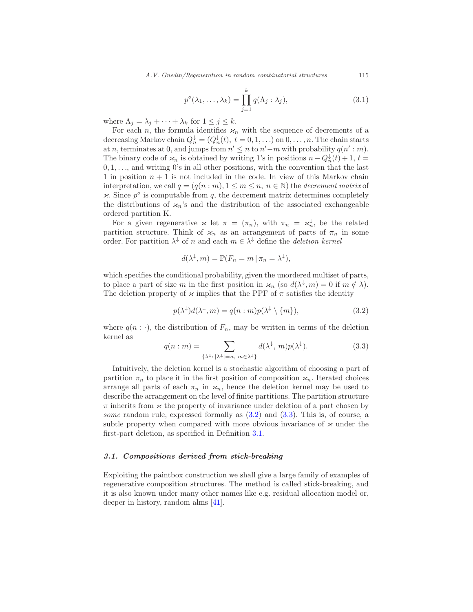<span id="page-10-3"></span>
$$
p^{\circ}(\lambda_1, \dots, \lambda_k) = \prod_{j=1}^k q(\Lambda_j : \lambda_j), \tag{3.1}
$$

where  $\Lambda_j = \lambda_j + \cdots + \lambda_k$  for  $1 \leq j \leq k$ .

For each *n*, the formula identifies  $\varkappa_n$  with the sequence of decrements of a decreasing Markov chain  $Q_n^{\downarrow} = (Q_n^{\downarrow}(t), t = 0, 1, \ldots)$  on  $0, \ldots, n$ . The chain starts at n, terminates at 0, and jumps from  $n' \leq n$  to  $n'-m$  with probability  $q(n':m)$ . The binary code of  $\varkappa_n$  is obtained by writing 1's in positions  $n - Q_n^{\downarrow}(t) + 1$ ,  $t =$  $0, 1, \ldots$ , and writing 0's in all other positions, with the convention that the last 1 in position  $n + 1$  is not included in the code. In view of this Markov chain interpretation, we call  $q = (q(n : m), 1 \le m \le n, n \in \mathbb{N})$  the *decrement matrix* of  $\varkappa$ . Since  $p^{\circ}$  is computable from q, the decrement matrix determines completely the distributions of  $\varkappa_n$ 's and the distribution of the associated exchangeable ordered partition K.

For a given regenerative  $\varkappa$  let  $\pi = (\pi_n)$ , with  $\pi_n = \varkappa_n^{\downarrow}$ , be the related partition structure. Think of  $\varkappa_n$  as an arrangement of parts of  $\pi_n$  in some order. For partition  $\lambda^{\downarrow}$  of n and each  $m \in \lambda^{\downarrow}$  define the *deletion kernel* 

$$
d(\lambda^{\downarrow}, m) = \mathbb{P}(F_n = m \,|\, \pi_n = \lambda^{\downarrow}),
$$

which specifies the conditional probability, given the unordered multiset of parts, to place a part of size m in the first position in  $\varkappa_n$  (so  $d(\lambda^{\downarrow}, m) = 0$  if  $m \notin \lambda$ ). The deletion property of  $\varkappa$  implies that the PPF of  $\pi$  satisfies the identity

<span id="page-10-1"></span>
$$
p(\lambda^{\downarrow})d(\lambda^{\downarrow},m) = q(n:m)p(\lambda^{\downarrow} \setminus \{m\}), \tag{3.2}
$$

where  $q(n : \cdot)$ , the distribution of  $F_n$ , may be written in terms of the deletion kernel as

<span id="page-10-2"></span>
$$
q(n:m) = \sum_{\{\lambda^{\downarrow}:\,|\lambda^{\downarrow}| = n,\ m \in \lambda^{\downarrow}\}} d(\lambda^{\downarrow}, m) p(\lambda^{\downarrow}). \tag{3.3}
$$

Intuitively, the deletion kernel is a stochastic algorithm of choosing a part of partition  $\pi_n$  to place it in the first position of composition  $\varkappa_n$ . Iterated choices arrange all parts of each  $\pi_n$  in  $\varkappa_n$ , hence the deletion kernel may be used to describe the arrangement on the level of finite partitions. The partition structure  $\pi$  inherits from  $\varkappa$  the property of invariance under deletion of a part chosen by some random rule, expressed formally as  $(3.2)$  and  $(3.3)$ . This is, of course, a subtle property when compared with more obvious invariance of  $\varkappa$  under the first-part deletion, as specified in Definition [3.1.](#page-9-1)

#### <span id="page-10-0"></span>3.1. Compositions derived from stick-breaking

Exploiting the paintbox construction we shall give a large family of examples of regenerative composition structures. The method is called stick-breaking, and it is also known under many other names like e.g. residual allocation model or, deeper in history, random alms [\[41](#page-50-5)].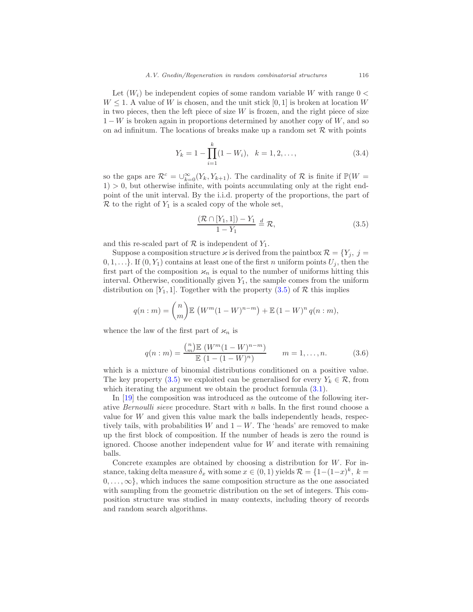Let  $(W_i)$  be independent copies of some random variable W with range  $0 <$  $W \leq 1$ . A value of W is chosen, and the unit stick [0, 1] is broken at location W in two pieces, then the left piece of size  $W$  is frozen, and the right piece of size  $1-W$  is broken again in proportions determined by another copy of W, and so on ad infinitum. The locations of breaks make up a random set  $\mathcal R$  with points

<span id="page-11-2"></span>
$$
Y_k = 1 - \prod_{i=1}^k (1 - W_i), \quad k = 1, 2, \dots,
$$
\n(3.4)

so the gaps are  $\mathcal{R}^c = \bigcup_{k=0}^{\infty} (Y_k, Y_{k+1})$ . The cardinality of  $\mathcal R$  is finite if  $\mathbb P(W =$  $1) > 0$ , but otherwise infinite, with points accumulating only at the right endpoint of the unit interval. By the i.i.d. property of the proportions, the part of  $\mathcal R$  to the right of  $Y_1$  is a scaled copy of the whole set,

<span id="page-11-0"></span>
$$
\frac{(\mathcal{R}\cap[Y_1,1]) - Y_1}{1 - Y_1} \stackrel{d}{=} \mathcal{R},\tag{3.5}
$$

and this re-scaled part of  $R$  is independent of  $Y_1$ .

Suppose a composition structure  $\varkappa$  is derived from the paintbox  $\mathcal{R} = \{Y_i, j =$  $0, 1, \ldots$ . If  $(0, Y_1)$  contains at least one of the first n uniform points  $U_i$ , then the first part of the composition  $\varkappa_n$  is equal to the number of uniforms hitting this interval. Otherwise, conditionally given  $Y_1$ , the sample comes from the uniform distribution on [Y<sub>1</sub>, 1]. Together with the property  $(3.5)$  of R this implies

$$
q(n : m) = {n \choose m} \mathbb{E} \left( W^m (1 - W)^{n-m} \right) + \mathbb{E} (1 - W)^n q(n : m),
$$

whence the law of the first part of  $\varkappa_n$  is

<span id="page-11-1"></span>
$$
q(n:m) = \frac{\binom{n}{m} \mathbb{E} \left( W^m (1 - W)^{n - m} \right)}{\mathbb{E} \left( 1 - (1 - W)^n \right)} \qquad m = 1, \dots, n. \tag{3.6}
$$

which is a mixture of binomial distributions conditioned on a positive value. The key property [\(3.5\)](#page-11-0) we exploited can be generalised for every  $Y_k \in \mathcal{R}$ , from which iterating the argument we obtain the product formula  $(3.1)$ .

In [\[19](#page-49-4)] the composition was introduced as the outcome of the following iterative *Bernoulli sieve* procedure. Start with  $n$  balls. In the first round choose a value for  $W$  and given this value mark the balls independently heads, respectively tails, with probabilities W and  $1 - W$ . The 'heads' are removed to make up the first block of composition. If the number of heads is zero the round is ignored. Choose another independent value for  $W$  and iterate with remaining balls.

Concrete examples are obtained by choosing a distribution for W. For instance, taking delta measure  $\delta_x$  with some  $x \in (0,1)$  yields  $\mathcal{R} = \{1-(1-x)^k, k = 1\}$  $0, \ldots, \infty$ , which induces the same composition structure as the one associated with sampling from the geometric distribution on the set of integers. This composition structure was studied in many contexts, including theory of records and random search algorithms.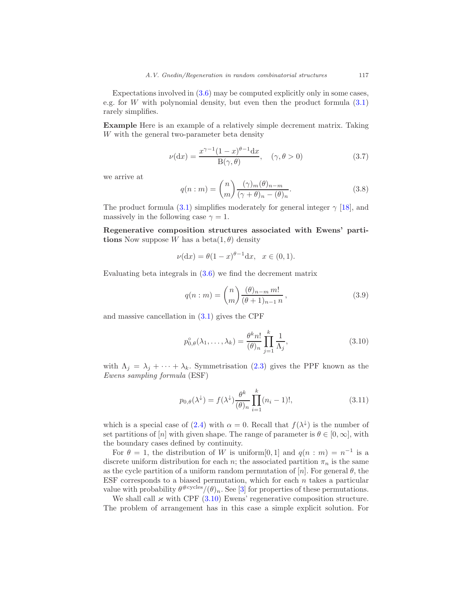Expectations involved in [\(3.6\)](#page-11-1) may be computed explicitly only in some cases, e.g. for W with polynomial density, but even then the product formula  $(3.1)$ rarely simplifies.

Example Here is an example of a relatively simple decrement matrix. Taking W with the general two-parameter beta density

<span id="page-12-3"></span>
$$
\nu(\mathrm{d}x) = \frac{x^{\gamma - 1}(1 - x)^{\theta - 1}\mathrm{d}x}{\mathrm{B}(\gamma, \theta)}, \quad (\gamma, \theta > 0)
$$
\n(3.7)

we arrive at

<span id="page-12-1"></span>
$$
q(n:m) = {n \choose m} \frac{(\gamma)_m (\theta)_{n-m}}{(\gamma + \theta)_n - (\theta)_n}.
$$
 (3.8)

The product formula [\(3.1\)](#page-10-3) simplifies moderately for general integer  $\gamma$  [\[18\]](#page-49-5), and massively in the following case  $\gamma = 1$ .

Regenerative composition structures associated with Ewens' partitions Now suppose W has a beta $(1, \theta)$  density

$$
\nu(\mathrm{d}x) = \theta(1-x)^{\theta-1}\mathrm{d}x, \quad x \in (0,1).
$$

Evaluating beta integrals in [\(3.6\)](#page-11-1) we find the decrement matrix

$$
q(n : m) = {n \choose m} \frac{(\theta)_{n-m} m!}{(\theta + 1)_{n-1} n},
$$
\n(3.9)

and massive cancellation in [\(3.1\)](#page-10-3) gives the CPF

<span id="page-12-0"></span>
$$
p_{0,\theta}^{\circ}(\lambda_1,\ldots,\lambda_k) = \frac{\theta^k n!}{(\theta)_n} \prod_{j=1}^k \frac{1}{\Lambda_j},\tag{3.10}
$$

with  $\Lambda_i = \lambda_i + \cdots + \lambda_k$ . Symmetrisation [\(2.3\)](#page-7-0) gives the PPF known as the Ewens sampling formula (ESF)

<span id="page-12-2"></span>
$$
p_{0,\theta}(\lambda^{\downarrow}) = f(\lambda^{\downarrow}) \frac{\theta^k}{(\theta)_n} \prod_{i=1}^k (n_i - 1)!,
$$
\n(3.11)

which is a special case of  $(2.4)$  with  $\alpha = 0$ . Recall that  $f(\lambda^{\downarrow})$  is the number of set partitions of [n] with given shape. The range of parameter is  $\theta \in [0,\infty]$ , with the boundary cases defined by continuity.

For  $\theta = 1$ , the distribution of W is uniform [0, 1] and  $q(n : m) = n^{-1}$  is a discrete uniform distribution for each n; the associated partition  $\pi_n$  is the same as the cycle partition of a uniform random permutation of  $[n]$ . For general  $\theta$ , the ESF corresponds to a biased permutation, which for each  $n$  takes a particular value with probability  $\theta^{\#cycles}/(\theta)_n$ . See [\[3\]](#page-48-5) for properties of these permutations.

We shall call  $\varkappa$  with CPF [\(3.10\)](#page-12-0) Ewens' regenerative composition structure. The problem of arrangement has in this case a simple explicit solution. For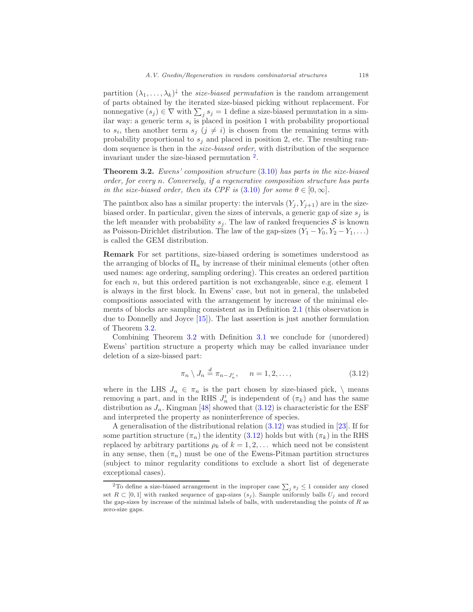partition  $(\lambda_1, \ldots, \lambda_k)^{\downarrow}$  the *size-biased permutation* is the random arrangement of parts obtained by the iterated size-biased picking without replacement. For nonnegative  $(s_j) \in \nabla$  with  $\sum_j s_j = 1$  define a size-biased permutation in a similar way: a generic term  $s_i$  is placed in position 1 with probability proportional to  $s_i$ , then another term  $s_j$   $(j \neq i)$  is chosen from the remaining terms with probability proportional to  $s_j$  and placed in position 2, etc. The resulting random sequence is then in the *size-biased order*, with distribution of the sequence invariant under the size-biased permutation [2](#page-13-0) .

<span id="page-13-1"></span>**Theorem 3.2.** Ewens' composition structure  $(3.10)$  has parts in the size-biased order, for every n. Conversely, if a regenerative composition structure has parts in the size-biased order, then its CPF is  $(3.10)$  for some  $\theta \in [0,\infty]$ .

The paintbox also has a similar property: the intervals  $(Y_j, Y_{j+1})$  are in the sizebiased order. In particular, given the sizes of intervals, a generic gap of size  $s_i$  is the left meander with probability  $s_i$ . The law of ranked frequencies S is known as Poisson-Dirichlet distribution. The law of the gap-sizes  $(Y_1 - Y_0, Y_2 - Y_1, ...)$ is called the GEM distribution.

Remark For set partitions, size-biased ordering is sometimes understood as the arranging of blocks of  $\Pi_n$  by increase of their minimal elements (other often used names: age ordering, sampling ordering). This creates an ordered partition for each  $n$ , but this ordered partition is not exchangeable, since e.g. element  $1$ is always in the first block. In Ewens' case, but not in general, the unlabeled compositions associated with the arrangement by increase of the minimal elements of blocks are sampling consistent as in Definition [2.1](#page-5-0) (this observation is due to Donnelly and Joyce [\[15\]](#page-49-6)). The last assertion is just another formulation of Theorem [3.2.](#page-13-1)

Combining Theorem [3.2](#page-13-1) with Definition [3.1](#page-9-1) we conclude for (unordered) Ewens' partition structure a property which may be called invariance under deletion of a size-biased part:

<span id="page-13-2"></span>
$$
\pi_n \setminus J_n \stackrel{d}{=} \pi_{n-J'_n}, \quad n = 1, 2, \dots,
$$
\n(3.12)

where in the LHS  $J_n \in \pi_n$  is the part chosen by size-biased pick,  $\setminus$  means removing a part, and in the RHS  $J'_n$  is independent of  $(\pi_k)$  and has the same distribution as  $J_n$ . Kingman [\[48](#page-51-6)] showed that  $(3.12)$  is characteristic for the ESF and interpreted the property as noninterference of species.

A generalisation of the distributional relation [\(3.12\)](#page-13-2) was studied in [\[23\]](#page-49-2). If for some partition structure  $(\pi_n)$  the identity [\(3.12\)](#page-13-2) holds but with  $(\pi_k)$  in the RHS replaced by arbitrary partitions  $\rho_k$  of  $k = 1, 2, \ldots$  which need not be consistent in any sense, then  $(\pi_n)$  must be one of the Ewens-Pitman partition structures (subject to minor regularity conditions to exclude a short list of degenerate exceptional cases).

<span id="page-13-0"></span><sup>&</sup>lt;sup>2</sup>To define a size-biased arrangement in the improper case  $\sum_j s_j \leq 1$  consider any closed set  $R \subset [0,1]$  with ranked sequence of gap-sizes  $(s_j)$ . Sample uniformly balls  $U_j$  and record the gap-sizes by increase of the minimal labels of balls, with understanding the points of  $R$  as zero-size gaps.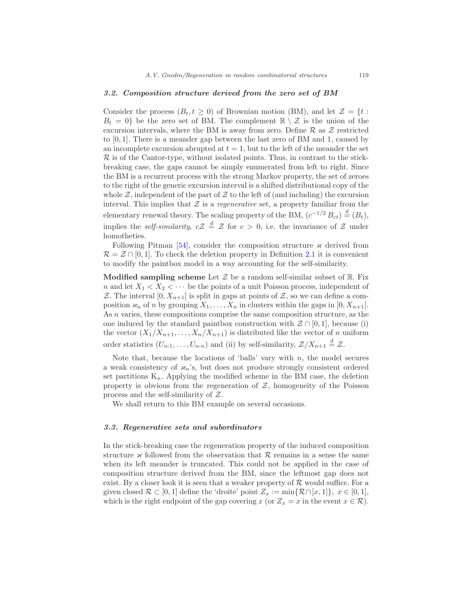#### <span id="page-14-0"></span>3.2. Composition structure derived from the zero set of BM

Consider the process  $(B_t, t \geq 0)$  of Brownian motion (BM), and let  $\mathcal{Z} = \{t :$  $B_t = 0$  be the zero set of BM. The complement  $\mathbb{R} \setminus \mathcal{Z}$  is the union of the excursion intervals, where the BM is away from zero. Define  $\mathcal R$  as  $\mathcal Z$  restricted to [0, 1]. There is a meander gap between the last zero of BM and 1, caused by an incomplete excursion abrupted at  $t = 1$ , but to the left of the meander the set  $\mathcal R$  is of the Cantor-type, without isolated points. Thus, in contrast to the stickbreaking case, the gaps cannot be simply enumerated from left to right. Since the BM is a recurrent process with the strong Markov property, the set of zeroes to the right of the generic excursion interval is a shifted distributional copy of the whole  $\mathcal{Z}$ , independent of the part of  $\mathcal Z$  to the left of (and including) the excursion interval. This implies that  $\mathcal Z$  is a *regenerative* set, a property familiar from the elementary renewal theory. The scaling property of the BM,  $(c^{-1/2} B_{ct}) \stackrel{d}{=} (B_t)$ , implies the *self-similarity*,  $cZ \stackrel{d}{=} Z$  for  $c > 0$ , i.e. the invariance of Z under homotheties.

Following Pitman [\[54\]](#page-51-0), consider the composition structure  $\varkappa$  derived from  $\mathcal{R} = \mathcal{Z} \cap [0,1]$ . To check the deletion property in Definition [2.1](#page-5-0) it is convenient to modify the paintbox model in a way accounting for the self-similarity.

Modified sampling scheme Let  $\mathcal Z$  be a random self-similar subset of  $\mathbb R$ . Fix n and let  $X_1 < X_2 < \cdots$  be the points of a unit Poisson process, independent of Z. The interval  $[0, X_{n+1}]$  is split in gaps at points of Z, so we can define a composition  $\varkappa_n$  of n by grouping  $X_1, \ldots, X_n$  in clusters within the gaps in  $[0, X_{n+1}]$ . As n varies, these compositions comprise the same composition structure, as the one induced by the standard paintbox construction with  $\mathcal{Z} \cap [0,1]$ , because (i) the vector  $(X_1/X_{n+1},...,X_n/X_{n+1})$  is distributed like the vector of n uniform order statistics  $(U_{n:1},...,U_{n:n})$  and (ii) by self-similarity,  $\mathcal{Z}/X_{n+1} \stackrel{d}{=} \mathcal{Z}$ .

Note that, because the locations of 'balls' vary with  $n$ , the model secures a weak consistency of  $\varkappa_n$ 's, but does not produce strongly consistent ordered set partitions  $K_n$ . Applying the modified scheme in the BM case, the deletion property is obvious from the regeneration of  $Z$ , homogeneity of the Poisson process and the self-similarity of Z.

We shall return to this BM example on several occasions.

## <span id="page-14-1"></span>3.3. Regenerative sets and subordinators

In the stick-breaking case the regeneration property of the induced composition structure  $\varkappa$  followed from the observation that R remains in a sense the same when its left meander is truncated. This could not be applied in the case of composition structure derived from the BM, since the leftmost gap does not exist. By a closer look it is seen that a weaker property of  $R$  would suffice. For a given closed  $\mathcal{R} \subset [0,1]$  define the 'droite' point  $Z_x := \min{\{\mathcal{R} \cap [x,1]\}}, x \in [0,1],$ which is the right endpoint of the gap covering x (or  $Z_x = x$  in the event  $x \in \mathcal{R}$ ).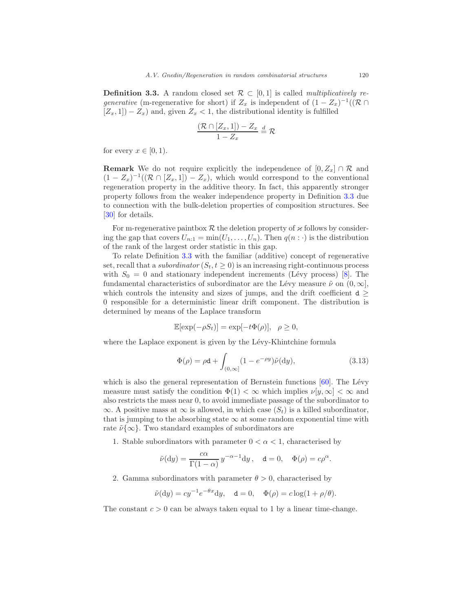<span id="page-15-0"></span>**Definition 3.3.** A random closed set  $\mathcal{R} \subset [0, 1]$  is called *multiplicatively re*generative (m-regenerative for short) if  $Z_x$  is independent of  $(1 - Z_x)^{-1}((\mathcal{R} \cap$  $[Z_x, 1]$  –  $Z_x$ ) and, given  $Z_x$  < 1, the distributional identity is fulfilled

$$
\frac{(\mathcal{R}\cap[Z_x,1])-Z_x}{1-Z_x}\stackrel{d}{=}\mathcal{R}
$$

for every  $x \in [0, 1)$ .

**Remark** We do not require explicitly the independence of  $[0, Z_x] \cap \mathcal{R}$  and  $(1 - Z_x)^{-1}((\mathcal{R} \cap [Z_x, 1]) - Z_x)$ , which would correspond to the conventional regeneration property in the additive theory. In fact, this apparently stronger property follows from the weaker independence property in Definition [3.3](#page-15-0) due to connection with the bulk-deletion properties of composition structures. See [\[30\]](#page-50-6) for details.

For m-regenerative paintbox  $R$  the deletion property of  $\varkappa$  follows by considering the gap that covers  $U_{n:1} = \min(U_1, \ldots, U_n)$ . Then  $q(n: \cdot)$  is the distribution of the rank of the largest order statistic in this gap.

To relate Definition [3.3](#page-15-0) with the familiar (additive) concept of regenerative set, recall that a *subordinator*  $(S_t, t \geq 0)$  is an increasing right-continuous process with  $S_0 = 0$  and stationary independent increments (Lévy process) [\[8](#page-48-6)]. The fundamental characteristics of subordinator are the Lévy measure  $\tilde{\nu}$  on  $(0, \infty]$ , which controls the intensity and sizes of jumps, and the drift coefficient  $d \geq$ 0 responsible for a deterministic linear drift component. The distribution is determined by means of the Laplace transform

$$
\mathbb{E}[\exp(-\rho S_t)] = \exp[-t\Phi(\rho)], \quad \rho \ge 0,
$$

where the Laplace exponent is given by the Lévy-Khintchine formula

<span id="page-15-1"></span>
$$
\Phi(\rho) = \rho \mathbf{d} + \int_{(0,\infty]} (1 - e^{-\rho y}) \tilde{\nu}(\mathrm{d}y), \tag{3.13}
$$

which is also the general representation of Bernstein functions  $[60]$ . The Lévy measure must satisfy the condition  $\Phi(1) < \infty$  which implies  $\nu[y, \infty] < \infty$  and also restricts the mass near 0, to avoid immediate passage of the subordinator to  $\infty$ . A positive mass at  $\infty$  is allowed, in which case  $(S_t)$  is a killed subordinator, that is jumping to the absorbing state  $\infty$  at some random exponential time with rate  $\tilde{\nu}\{\infty\}$ . Two standard examples of subordinators are

1. Stable subordinators with parameter  $0 < \alpha < 1$ , characterised by

$$
\tilde{\nu}(\mathrm{d}y) = \frac{c\alpha}{\Gamma(1-\alpha)} y^{-\alpha-1} \mathrm{d}y, \quad \mathrm{d} = 0, \quad \Phi(\rho) = c\rho^{\alpha}.
$$

2. Gamma subordinators with parameter  $\theta > 0$ , characterised by

$$
\tilde{\nu}(\mathrm{d}y) = cy^{-1}e^{-\theta x}\mathrm{d}y, \quad \mathbf{d} = 0, \quad \Phi(\rho) = c\log(1+\rho/\theta).
$$

The constant  $c > 0$  can be always taken equal to 1 by a linear time-change.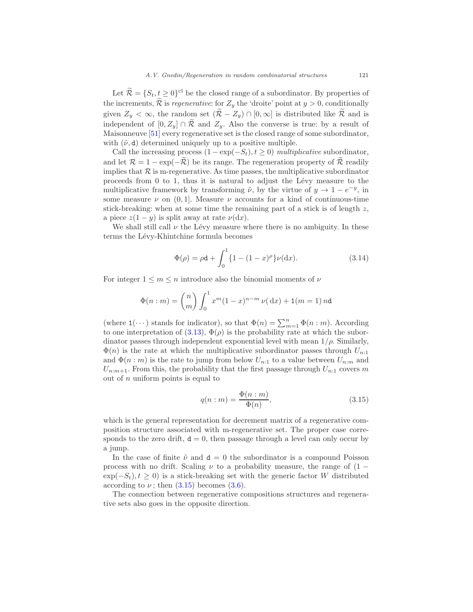Let  $\mathcal{R} = \{S_t, t \geq 0\}^{\text{cl}}$  be the closed range of a subordinator. By properties of the increments,  $\widetilde{\mathcal{R}}$  is *regenerative*: for  $Z_y$  the 'droite' point at  $y > 0$ , conditionally given  $Z_y < \infty$ , the random set  $(\mathcal{R} - Z_y) \cap [0, \infty]$  is distributed like  $\mathcal{R}$  and is independent of  $[0, Z_y] \cap \mathcal{R}$  and  $Z_y$ . Also the converse is true: by a result of Maisonneuve [\[51](#page-51-1)] every regenerative set is the closed range of some subordinator, with  $(\tilde{\nu}, d)$  determined uniquely up to a positive multiple.

Call the increasing process  $(1 - \exp(-S_t), t \geq 0)$  multiplicative subordinator, and let  $\mathcal{R} = 1 - \exp(-\tilde{\mathcal{R}})$  be its range. The regeneration property of  $\tilde{\mathcal{R}}$  readily implies that  $\mathcal R$  is m-regenerative. As time passes, the multiplicative subordinator proceeds from  $0$  to  $1$ , thus it is natural to adjust the Lévy measure to the multiplicative framework by transforming  $\tilde{\nu}$ , by the virtue of  $y \to 1 - e^{-y}$ , in some measure  $\nu$  on (0,1). Measure  $\nu$  accounts for a kind of continuous-time stick-breaking: when at some time the remaining part of a stick is of length z, a piece  $z(1 - y)$  is split away at rate  $\nu(dx)$ .

We shall still call  $\nu$  the Lévy measure where there is no ambiguity. In these terms the Lévy-Khintchine formula becomes

<span id="page-16-1"></span>
$$
\Phi(\rho) = \rho \mathbf{d} + \int_0^1 \{1 - (1 - x)^{\rho}\} \nu(\mathrm{d}x). \tag{3.14}
$$

For integer  $1 \leq m \leq n$  introduce also the binomial moments of  $\nu$ 

$$
\Phi(n:m) = {n \choose m} \int_0^1 x^m (1-x)^{n-m} \nu(\, \mathrm{d}x) + \mathbf{1}(m=1) \, n \mathbf{d}
$$

(where  $1(\dots)$  stands for indicator), so that  $\Phi(n) = \sum_{m=1}^{n} \Phi(n:m)$ . According to one interpretation of  $(3.13), \Phi(\rho)$  is the probability rate at which the subordinator passes through independent exponential level with mean  $1/\rho$ . Similarly,  $\Phi(n)$  is the rate at which the multiplicative subordinator passes through  $U_{n:1}$ and  $\Phi(n : m)$  is the rate to jump from below  $U_{n:1}$  to a value between  $U_{n:m}$  and  $U_{n:m+1}$ . From this, the probability that the first passage through  $U_{n:1}$  covers m out of  $n$  uniform points is equal to

<span id="page-16-0"></span>
$$
q(n:m) = \frac{\Phi(n:m)}{\Phi(n)},\tag{3.15}
$$

which is the general representation for decrement matrix of a regenerative composition structure associated with m-regenerative set. The proper case corresponds to the zero drift,  $d = 0$ , then passage through a level can only occur by a jump.

In the case of finite  $\tilde{\nu}$  and  $d = 0$  the subordinator is a compound Poisson process with no drift. Scaling  $\nu$  to a probability measure, the range of (1 −  $\exp(-S_t), t \geq 0$ ) is a stick-breaking set with the generic factor W distributed according to  $\nu$ ; then  $(3.15)$  becomes  $(3.6)$ .

The connection between regenerative compositions structures and regenerative sets also goes in the opposite direction.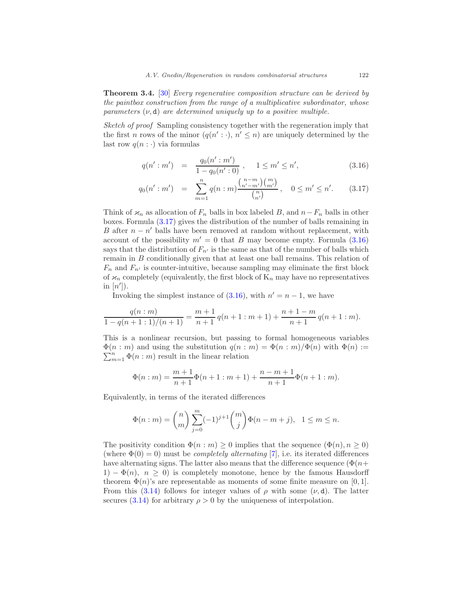<span id="page-17-1"></span>**Theorem 3.4.** [\[30\]](#page-50-6) Every regenerative composition structure can be derived by the paintbox construction from the range of a multiplicative subordinator, whose parameters  $(\nu, d)$  are determined uniquely up to a positive multiple.

Sketch of proof Sampling consistency together with the regeneration imply that the first *n* rows of the minor  $(q(n': \cdot), n' \leq n)$  are uniquely determined by the last row  $q(n : \cdot)$  via formulas

<span id="page-17-0"></span>
$$
q(n' : m') = \frac{q_0(n' : m')}{1 - q_0(n' : 0)}, \quad 1 \leq m' \leq n', \tag{3.16}
$$

$$
q_0(n': m') = \sum_{m=1}^n q(n:m) \frac{\binom{n-m}{n'-m'} \binom{m}{m'}}{\binom{n}{n'}} , \quad 0 \le m' \le n'. \tag{3.17}
$$

Think of  $\varkappa_n$  as allocation of  $F_n$  balls in box labeled B, and  $n-F_n$  balls in other boxes. Formula [\(3.17\)](#page-17-0) gives the distribution of the number of balls remaining in B after  $n - n'$  balls have been removed at random without replacement, with account of the possibility  $m' = 0$  that B may become empty. Formula  $(3.16)$ says that the distribution of  $F_{n'}$  is the same as that of the number of balls which remain in B conditionally given that at least one ball remains. This relation of  $F_n$  and  $F_{n'}$  is counter-intuitive, because sampling may eliminate the first block of  $\varkappa_n$  completely (equivalently, the first block of  $K_n$  may have no representatives in  $[n']$ ).

Invoking the simplest instance of  $(3.16)$ , with  $n' = n - 1$ , we have

$$
\frac{q(n:m)}{1-q(n+1:1)/(n+1)} = \frac{m+1}{n+1}q(n+1:m+1) + \frac{n+1-m}{n+1}q(n+1:m).
$$

This is a nonlinear recursion, but passing to formal homogeneous variables  $\Phi(n : m)$  and using the substitution  $q(n : m) = \Phi(n : m)/\Phi(n)$  with  $\Phi(n) :=$  $\sum_{m=1}^{n} \Phi(n : m)$  result in the linear relation

$$
\Phi(n:m) = \frac{m+1}{n+1}\Phi(n+1:m+1) + \frac{n-m+1}{n+1}\Phi(n+1:m).
$$

Equivalently, in terms of the iterated differences

$$
\Phi(n:m) = {n \choose m} \sum_{j=0}^{m} (-1)^{j+1} {m \choose j} \Phi(n-m+j), \quad 1 \le m \le n.
$$

The positivity condition  $\Phi(n : m) \geq 0$  implies that the sequence  $(\Phi(n), n \geq 0)$ (where  $\Phi(0) = 0$ ) must be *completely alternating* [\[7\]](#page-48-7), i.e. its iterated differences have alternating signs. The latter also means that the difference sequence ( $\Phi(n+$  $1) - \Phi(n), n \geq 0$  is completely monotone, hence by the famous Hausdorff theorem  $\Phi(n)$ 's are representable as moments of some finite measure on [0, 1]. From this [\(3.14\)](#page-16-1) follows for integer values of  $\rho$  with some  $(\nu, d)$ . The latter secures [\(3.14\)](#page-16-1) for arbitrary  $\rho > 0$  by the uniqueness of interpolation.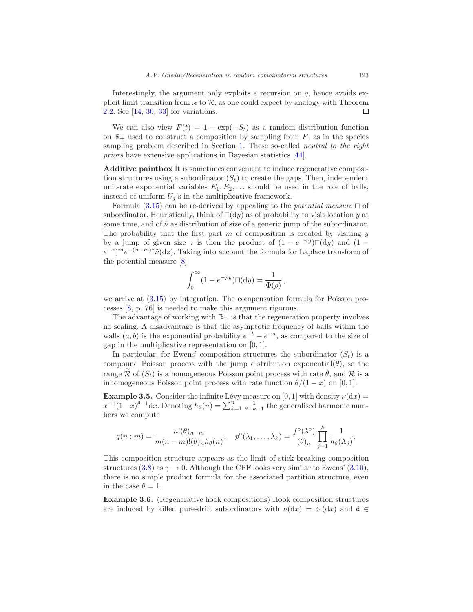Interestingly, the argument only exploits a recursion on  $q$ , hence avoids explicit limit transition from  $\varkappa$  to  $\mathcal{R}$ , as one could expect by analogy with Theorem 2.2. See [14, 30, 33] for variations. [2.2.](#page-6-1) See [\[14](#page-49-7), [30](#page-50-6), [33](#page-50-7)] for variations.

We can also view  $F(t) = 1 - \exp(-S_t)$  as a random distribution function on  $\mathbb{R}_+$  used to construct a composition by sampling from F, as in the species sampling problem described in Section [1.](#page-1-0) These so-called *neutral to the right* priors have extensive applications in Bayesian statistics [\[44\]](#page-50-8).

Additive paintbox It is sometimes convenient to induce regenerative composition structures using a subordinator  $(S_t)$  to create the gaps. Then, independent unit-rate exponential variables  $E_1, E_2, \ldots$  should be used in the role of balls, instead of uniform  $U_j$ 's in the multiplicative framework.

Formula [\(3.15\)](#page-16-0) can be re-derived by appealing to the *potential measure*  $\Box$  of subordinator. Heuristically, think of  $\Box(dy)$  as of probability to visit location y at some time, and of  $\tilde{\nu}$  as distribution of size of a generic jump of the subordinator. The probability that the first part  $m$  of composition is created by visiting  $y$ by a jump of given size z is then the product of  $(1 - e^{-ny})\Box(dy)$  and  $(1 (e^{-z})^m e^{-(n-m)z} \tilde{\nu}(dz)$ . Taking into account the formula for Laplace transform of the potential measure [\[8\]](#page-48-6)

$$
\int_0^\infty (1-e^{-\rho y})\square(\mathrm{d} y)=\frac{1}{\Phi(\rho)}
$$

,

we arrive at [\(3.15\)](#page-16-0) by integration. The compensation formula for Poisson processes [\[8,](#page-48-6) p. 76] is needed to make this argument rigorous.

The advantage of working with  $\mathbb{R}_+$  is that the regeneration property involves no scaling. A disadvantage is that the asymptotic frequency of balls within the walls  $(a, b)$  is the exponential probability  $e^{-b} - e^{-a}$ , as compared to the size of gap in the multiplicative representation on  $[0, 1]$ .

In particular, for Ewens' composition structures the subordinator  $(S_t)$  is a compound Poisson process with the jump distribution exponential $(\theta)$ , so the range  $\widetilde{\mathcal{R}}$  of  $(S_t)$  is a homogeneous Poisson point process with rate  $\theta$ , and  $\mathcal{R}$  is a inhomogeneous Poisson point process with rate function  $\theta/(1-x)$  on [0, 1].

<span id="page-18-1"></span>**Example 3.5.** Consider the infinite Lévy measure on [0, 1] with density  $\nu(dx) =$  $x^{-1}(1-x)^{\theta-1}dx$ . Denoting  $h_{\theta}(n) = \sum_{k=1}^{n} \frac{1}{\theta+k-1}$  the generalised harmonic numbers we compute

$$
q(n:m) = \frac{n!(\theta)_{n-m}}{m(n-m)!(\theta)_{n}h_{\theta}(n)}, \quad p^{\circ}(\lambda_1,\ldots,\lambda_k) = \frac{f^{\circ}(\lambda^{\circ})}{(\theta)_{n}}\prod_{j=1}^{k}\frac{1}{h_{\theta}(\Lambda_j)}.
$$

This composition structure appears as the limit of stick-breaking composition structures [\(3.8\)](#page-12-1) as  $\gamma \to 0$ . Although the CPF looks very similar to Ewens' [\(3.10\)](#page-12-0), there is no simple product formula for the associated partition structure, even in the case  $\theta = 1$ .

<span id="page-18-0"></span>Example 3.6. (Regenerative hook compositions) Hook composition structures are induced by killed pure-drift subordinators with  $\nu(dx) = \delta_1(dx)$  and  $d \in$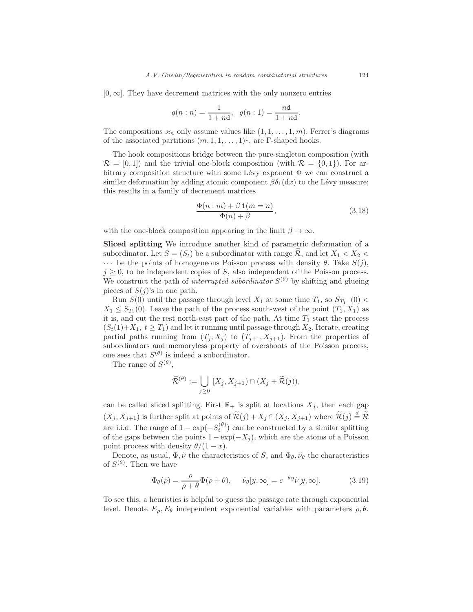$[0, \infty]$ . They have decrement matrices with the only nonzero entries

$$
q(n:n) = \frac{1}{1+nd}, \quad q(n:1) = \frac{nd}{1+nd}.
$$

The compositions  $\varkappa_n$  only assume values like  $(1, 1, \ldots, 1, m)$ . Ferrer's diagrams of the associated partitions  $(m, 1, 1, \ldots, 1)^{\downarrow}$ , are  $\Gamma$ -shaped hooks.

The hook compositions bridge between the pure-singleton composition (with  $\mathcal{R} = [0, 1]$  and the trivial one-block composition (with  $\mathcal{R} = \{0, 1\}$ ). For arbitrary composition structure with some Lévy exponent  $\Phi$  we can construct a similar deformation by adding atomic component  $\beta \delta_1(\text{d}x)$  to the Lévy measure; this results in a family of decrement matrices

<span id="page-19-1"></span>
$$
\frac{\Phi(n:m) + \beta \mathbf{1}(m=n)}{\Phi(n) + \beta},
$$
\n(3.18)

with the one-block composition appearing in the limit  $\beta \to \infty$ .

Sliced splitting We introduce another kind of parametric deformation of a subordinator. Let  $S = (S_t)$  be a subordinator with range R, and let  $X_1 < X_2$  $\cdots$  be the points of homogeneous Poisson process with density  $\theta$ . Take  $S(j)$ ,  $j \geq 0$ , to be independent copies of S, also independent of the Poisson process. We construct the path of *interrupted subordinator*  $S^{(\theta)}$  by shifting and glueing pieces of  $S(j)$ 's in one path.

Run  $S(0)$  until the passage through level  $X_1$  at some time  $T_1$ , so  $S_{T_1-}(0)$  <  $X_1 \leq S_{T_1}(0)$ . Leave the path of the process south-west of the point  $(T_1, X_1)$  as it is, and cut the rest north-east part of the path. At time  $T_1$  start the process  $(S_t(1)+X_1, t \geq T_1)$  and let it running until passage through  $X_2$ . Iterate, creating partial paths running from  $(T_j, X_j)$  to  $(T_{j+1}, X_{j+1})$ . From the properties of subordinators and memoryless property of overshoots of the Poisson process, one sees that  $S^{(\theta)}$  is indeed a subordinator.

The range of  $S^{(\theta)}$ ,

$$
\widetilde{\mathcal{R}}^{(\theta)} := \bigcup_{j \geq 0} [X_j, X_{j+1}) \cap (X_j + \widetilde{\mathcal{R}}(j)),
$$

can be called sliced splitting. First  $\mathbb{R}_+$  is split at locations  $X_j$ , then each gap  $(X_j, X_{j+1})$  is further split at points of  $\widetilde{\mathcal{R}}(j) + X_j \cap (X_j, X_{j+1})$  where  $\widetilde{\mathcal{R}}(j) \stackrel{d}{=} \widetilde{\mathcal{R}}$ are i.i.d. The range of  $1 - \exp(-S_t^{(\theta)})$  can be constructed by a similar splitting of the gaps between the points  $1 - \exp(-X_i)$ , which are the atoms of a Poisson point process with density  $\theta/(1-x)$ .

Denote, as usual,  $\Phi, \tilde{\nu}$  the characteristics of S, and  $\Phi_{\theta}, \tilde{\nu}_{\theta}$  the characteristics of  $S^{(\theta)}$ . Then we have

<span id="page-19-0"></span>
$$
\Phi_{\theta}(\rho) = \frac{\rho}{\rho + \theta} \Phi(\rho + \theta), \quad \tilde{\nu}_{\theta}[y, \infty] = e^{-\theta y} \tilde{\nu}[y, \infty].
$$
\n(3.19)

To see this, a heuristics is helpful to guess the passage rate through exponential level. Denote  $E_{\rho}, E_{\theta}$  independent exponential variables with parameters  $\rho, \theta$ .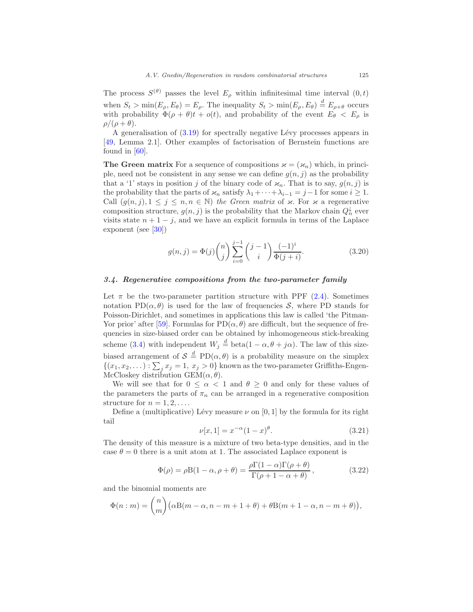The process  $S^{(\theta)}$  passes the level  $E_{\rho}$  within infinitesimal time interval  $(0,t)$ when  $S_t > min(E_\rho, E_\theta) = E_\rho$ . The inequality  $S_t > min(E_\rho, E_\theta) \stackrel{d}{=} E_{\rho+\theta}$  occurs with probability  $\Phi(\rho + \theta)t + o(t)$ , and probability of the event  $E_{\theta} < E_{\rho}$  is  $\rho/(\rho+\theta)$ .

A generalisation of  $(3.19)$  for spectrally negative Lévy processes appears in [\[49,](#page-51-8) Lemma 2.1]. Other examples of factorisation of Bernstein functions are found in [\[60](#page-51-7)].

**The Green matrix** For a sequence of compositions  $\varkappa = (\varkappa_n)$  which, in principle, need not be consistent in any sense we can define  $g(n, j)$  as the probability that a '1' stays in position j of the binary code of  $\varkappa_n$ . That is to say,  $g(n, j)$  is the probability that the parts of  $\varkappa_n$  satisfy  $\lambda_1 + \cdots + \lambda_{i-1} = j-1$  for some  $i \geq 1$ . Call  $(g(n, j), 1 \leq j \leq n, n \in \mathbb{N})$  the Green matrix of  $\varkappa$ . For  $\varkappa$  a regenerative composition structure,  $g(n, j)$  is the probability that the Markov chain  $Q_n^{\downarrow}$  ever visits state  $n + 1 - j$ , and we have an explicit formula in terms of the Laplace exponent (see [\[30\]](#page-50-6))

<span id="page-20-3"></span>
$$
g(n,j) = \Phi(j) \binom{n}{j} \sum_{i=0}^{j-1} \binom{j-1}{i} \frac{(-1)^i}{\Phi(j+i)}.
$$
 (3.20)

## <span id="page-20-0"></span>3.4. Regenerative compositions from the two-parameter family

Let  $\pi$  be the two-parameter partition structure with PPF [\(2.4\)](#page-8-1). Sometimes notation PD( $\alpha$ ,  $\theta$ ) is used for the law of frequencies S, where PD stands for Poisson-Dirichlet, and sometimes in applications this law is called 'the Pitman-Yor prior' after [\[59\]](#page-51-9). Formulas for  $PD(\alpha, \theta)$  are difficult, but the sequence of frequencies in size-biased order can be obtained by inhomogeneous stick-breaking scheme [\(3.4\)](#page-11-2) with independent  $W_j \stackrel{d}{=} \text{beta}(1 - \alpha, \theta + j\alpha)$ . The law of this sizebiased arrangement of  $S \stackrel{d}{=} \text{PD}(\alpha, \theta)$  is a probability measure on the simplex  $\{(x_1, x_2, \dots) : \sum_j x_j = 1, x_j > 0\}$  known as the two-parameter Griffiths-Engen-McCloskey distribution  $GEM(\alpha, \theta)$ .

We will see that for  $0 \leq \alpha < 1$  and  $\theta \geq 0$  and only for these values of the parameters the parts of  $\pi_n$  can be arranged in a regenerative composition structure for  $n = 1, 2, \ldots$ .

Define a (multiplicative) Lévy measure  $\nu$  on [0, 1] by the formula for its right tail

<span id="page-20-1"></span>
$$
\nu[x,1] = x^{-\alpha}(1-x)^{\theta}.
$$
\n(3.21)

The density of this measure is a mixture of two beta-type densities, and in the case  $\theta = 0$  there is a unit atom at 1. The associated Laplace exponent is

<span id="page-20-2"></span>
$$
\Phi(\rho) = \rho \mathcal{B}(1 - \alpha, \rho + \theta) = \frac{\rho \Gamma(1 - \alpha) \Gamma(\rho + \theta)}{\Gamma(\rho + 1 - \alpha + \theta)},
$$
\n(3.22)

and the binomial moments are

$$
\Phi(n : m) = {n \choose m} (\alpha B(m - \alpha, n - m + 1 + \theta) + \theta B(m + 1 - \alpha, n - m + \theta)),
$$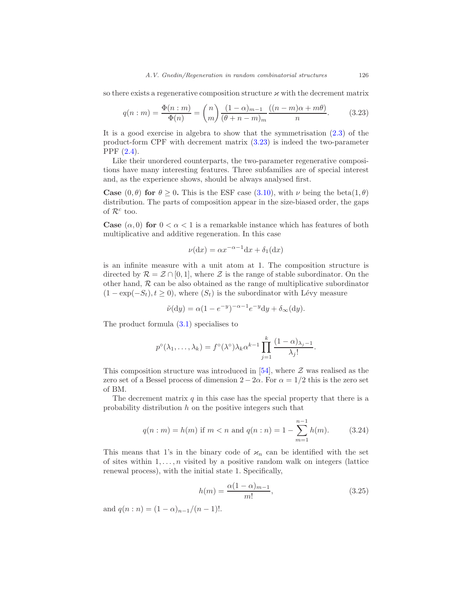so there exists a regenerative composition structure  $\varkappa$  with the decrement matrix

<span id="page-21-0"></span>
$$
q(n:m) = \frac{\Phi(n:m)}{\Phi(n)} = {n \choose m} \frac{(1-\alpha)_{m-1}}{(\theta+n-m)_m} \frac{((n-m)\alpha+m\theta)}{n}.
$$
 (3.23)

It is a good exercise in algebra to show that the symmetrisation [\(2.3\)](#page-7-0) of the product-form CPF with decrement matrix [\(3.23\)](#page-21-0) is indeed the two-parameter PPF [\(2.4\)](#page-8-1).

Like their unordered counterparts, the two-parameter regenerative compositions have many interesting features. Three subfamilies are of special interest and, as the experience shows, should be always analysed first.

**Case**  $(0, \theta)$  for  $\theta > 0$ . This is the ESF case  $(3.10)$ , with  $\nu$  being the beta $(1, \theta)$ distribution. The parts of composition appear in the size-biased order, the gaps of  $\mathcal{R}^c$  too.

**Case**  $(\alpha, 0)$  for  $0 < \alpha < 1$  is a remarkable instance which has features of both multiplicative and additive regeneration. In this case

$$
\nu(\mathrm{d}x) = \alpha x^{-\alpha - 1} \mathrm{d}x + \delta_1(\mathrm{d}x)
$$

is an infinite measure with a unit atom at 1. The composition structure is directed by  $\mathcal{R} = \mathcal{Z} \cap [0,1]$ , where  $\mathcal{Z}$  is the range of stable subordinator. On the other hand,  $R$  can be also obtained as the range of multiplicative subordinator  $(1 - \exp(-S_t), t \ge 0)$ , where  $(S_t)$  is the subordinator with Lévy measure

$$
\tilde{\nu}(\mathrm{d}y) = \alpha (1 - e^{-y})^{-\alpha - 1} e^{-y} \mathrm{d}y + \delta_{\infty}(\mathrm{d}y).
$$

The product formula [\(3.1\)](#page-10-3) specialises to

$$
p^{\circ}(\lambda_1,\ldots,\lambda_k)=f^{\circ}(\lambda^{\circ})\lambda_k\alpha^{k-1}\prod_{j=1}^k\frac{(1-\alpha)\lambda_j-1}{\lambda_j!}.
$$

This composition structure was introduced in [\[54\]](#page-51-0), where  $\mathcal Z$  was realised as the zero set of a Bessel process of dimension  $2 - 2\alpha$ . For  $\alpha = 1/2$  this is the zero set of BM.

The decrement matrix  $q$  in this case has the special property that there is a probability distribution  $h$  on the positive integers such that

$$
q(n : m) = h(m) \text{ if } m < n \text{ and } q(n : n) = 1 - \sum_{m=1}^{n-1} h(m). \tag{3.24}
$$

This means that 1's in the binary code of  $\varkappa_n$  can be identified with the set of sites within  $1, \ldots, n$  visited by a positive random walk on integers (lattice renewal process), with the initial state 1. Specifically,

<span id="page-21-1"></span>
$$
h(m) = \frac{\alpha (1 - \alpha)_{m-1}}{m!},\tag{3.25}
$$

and  $q(n:n) = (1-\alpha)_{n-1}/(n-1)!$ .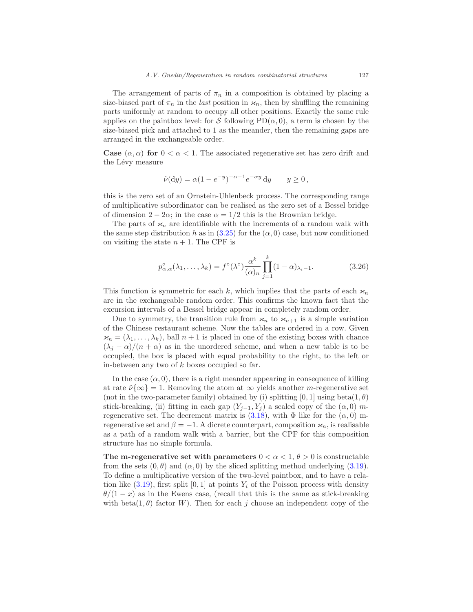The arrangement of parts of  $\pi_n$  in a composition is obtained by placing a size-biased part of  $\pi_n$  in the *last* position in  $\varkappa_n$ , then by shuffling the remaining parts uniformly at random to occupy all other positions. Exactly the same rule applies on the paintbox level: for S following  $PD(\alpha, 0)$ , a term is chosen by the size-biased pick and attached to 1 as the meander, then the remaining gaps are arranged in the exchangeable order.

**Case**  $(\alpha, \alpha)$  for  $0 < \alpha < 1$ . The associated regenerative set has zero drift and the Lévy measure

$$
\tilde{\nu}(\mathrm{d}y) = \alpha (1 - e^{-y})^{-\alpha - 1} e^{-\alpha y} \, \mathrm{d}y \qquad y \ge 0 \,,
$$

this is the zero set of an Ornstein-Uhlenbeck process. The corresponding range of multiplicative subordinator can be realised as the zero set of a Bessel bridge of dimension  $2 - 2\alpha$ ; in the case  $\alpha = 1/2$  this is the Brownian bridge.

The parts of  $\varkappa_n$  are identifiable with the increments of a random walk with the same step distribution h as in  $(3.25)$  for the  $(\alpha, 0)$  case, but now conditioned on visiting the state  $n + 1$ . The CPF is

$$
p_{\alpha,\alpha}^{\circ}(\lambda_1,\ldots,\lambda_k) = f^{\circ}(\lambda^{\circ}) \frac{\alpha^k}{(\alpha)_n} \prod_{j=1}^k (1-\alpha)_{\lambda_j-1}.
$$
 (3.26)

This function is symmetric for each k, which implies that the parts of each  $\varkappa_n$ are in the exchangeable random order. This confirms the known fact that the excursion intervals of a Bessel bridge appear in completely random order.

Due to symmetry, the transition rule from  $\varkappa_n$  to  $\varkappa_{n+1}$  is a simple variation of the Chinese restaurant scheme. Now the tables are ordered in a row. Given  $x_n = (\lambda_1, \ldots, \lambda_k)$ , ball  $n + 1$  is placed in one of the existing boxes with chance  $(\lambda_i - \alpha)/(n + \alpha)$  as in the unordered scheme, and when a new table is to be occupied, the box is placed with equal probability to the right, to the left or in-between any two of  $k$  boxes occupied so far.

In the case  $(\alpha, 0)$ , there is a right meander appearing in consequence of killing at rate  $\tilde{\nu}\{\infty\} = 1$ . Removing the atom at  $\infty$  yields another m-regenerative set (not in the two-parameter family) obtained by (i) splitting  $[0, 1]$  using beta $(1, \theta)$ stick-breaking, (ii) fitting in each gap  $(Y_{j-1}, Y_j)$  a scaled copy of the  $(\alpha, 0)$  mregenerative set. The decrement matrix is  $(3.18)$ , with  $\Phi$  like for the  $(\alpha, 0)$  mregenerative set and  $\beta = -1$ . A dicrete counterpart, composition  $\varkappa_n$ , is realisable as a path of a random walk with a barrier, but the CPF for this composition structure has no simple formula.

The m-regenerative set with parameters  $0 < \alpha < 1, \theta > 0$  is constructable from the sets  $(0, \theta)$  and  $(\alpha, 0)$  by the sliced splitting method underlying  $(3.19)$ . To define a multiplicative version of the two-level paintbox, and to have a relation like  $(3.19)$ , first split  $[0, 1]$  at points  $Y_i$  of the Poisson process with density  $\theta/(1-x)$  as in the Ewens case, (recall that this is the same as stick-breaking with beta(1, $\theta$ ) factor W). Then for each j choose an independent copy of the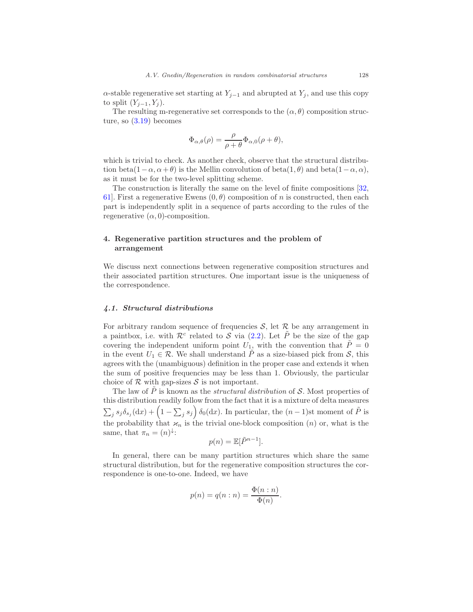$\alpha$ -stable regenerative set starting at  $Y_{j-1}$  and abrupted at  $Y_j$ , and use this copy to split  $(Y_{i-1}, Y_i)$ .

The resulting m-regenerative set corresponds to the  $(\alpha, \theta)$  composition structure, so [\(3.19\)](#page-19-0) becomes

$$
\Phi_{\alpha,\theta}(\rho) = \frac{\rho}{\rho+\theta} \Phi_{\alpha,0}(\rho+\theta),
$$

which is trivial to check. As another check, observe that the structural distribution beta $(1-\alpha, \alpha+\theta)$  is the Mellin convolution of beta $(1, \theta)$  and beta $(1-\alpha, \alpha)$ , as it must be for the two-level splitting scheme.

The construction is literally the same on the level of finite compositions [\[32,](#page-50-9) 61. First a regenerative Ewens  $(0, \theta)$  composition of n is constructed, then each part is independently split in a sequence of parts according to the rules of the regenerative  $(\alpha, 0)$ -composition.

# <span id="page-23-0"></span>4. Regenerative partition structures and the problem of arrangement

We discuss next connections between regenerative composition structures and their associated partition structures. One important issue is the uniqueness of the correspondence.

## <span id="page-23-1"></span>4.1. Structural distributions

For arbitrary random sequence of frequencies  $S$ , let  $R$  be any arrangement in a paintbox, i.e. with  $\mathcal{R}^c$  related to S via [\(2.2\)](#page-7-1). Let  $\tilde{P}$  be the size of the gap covering the independent uniform point  $U_1$ , with the convention that  $\tilde{P}=0$ in the event  $U_1 \in \mathcal{R}$ . We shall understand  $\tilde{P}$  as a size-biased pick from  $S$ , this agrees with the (unambiguous) definition in the proper case and extends it when the sum of positive frequencies may be less than 1. Obviously, the particular choice of  $R$  with gap-sizes  $S$  is not important.

The law of P is known as the *structural distribution* of  $S$ . Most properties of this distribution readily follow from the fact that it is a mixture of delta measures  $\sum_j s_j \delta_{s_j}(\mathrm{d}x) + \left(1 - \sum_j s_j\right) \delta_0(\mathrm{d}x)$ . In particular, the  $(n-1)$ st moment of  $\tilde{P}$  is the probability that  $\varkappa_n$  is the trivial one-block composition  $(n)$  or, what is the same, that  $\pi_n = (n)^{\downarrow}$ :

$$
p(n) = \mathbb{E}[\tilde{P}^{n-1}].
$$

In general, there can be many partition structures which share the same structural distribution, but for the regenerative composition structures the correspondence is one-to-one. Indeed, we have

$$
p(n) = q(n:n) = \frac{\Phi(n:n)}{\Phi(n)}.
$$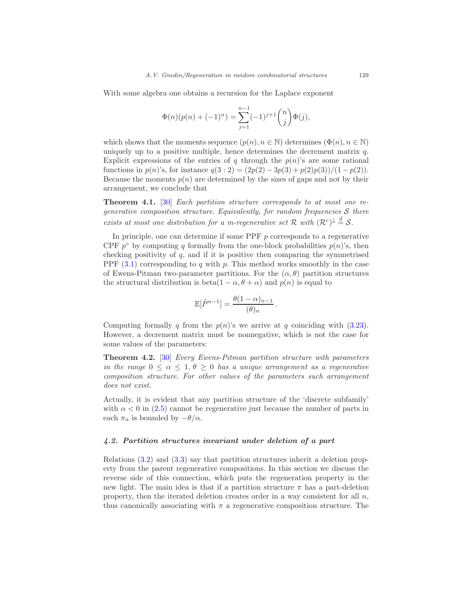With some algebra one obtains a recursion for the Laplace exponent

$$
\Phi(n)(p(n) + (-1)^n) = \sum_{j=1}^{n-1} (-1)^{j+1} \binom{n}{j} \Phi(j),
$$

which shows that the moments sequence  $(p(n), n \in \mathbb{N})$  determines  $(\Phi(n), n \in \mathbb{N})$ uniquely up to a positive multiple, hence determines the decrement matrix  $q$ . Explicit expressions of the entries of q through the  $p(n)$ 's are some rational functions in  $p(n)$ 's, for instance  $q(3:2) = (2p(2) - 3p(3) + p(2)p(3))/(1 - p(2)).$ Because the moments  $p(n)$  are determined by the sizes of gaps and not by their arrangement, we conclude that

<span id="page-24-1"></span>Theorem 4.1. [\[30](#page-50-6)] Each partition structure corresponds to at most one regenerative composition structure. Equivalently, for random frequencies  $S$  there exists at most one distribution for a m-regenerative set R with  $(\mathcal{R}^c)^{\downarrow} \stackrel{d}{=} \mathcal{S}$ .

In principle, one can determine if some PPF  $p$  corresponds to a regenerative CPF  $p^{\circ}$  by computing q formally from the one-block probabilities  $p(n)$ 's, then checking positivity of  $q$ , and if it is positive then comparing the symmetrised PPF  $(3.1)$  corresponding to q with p. This method works smoothly in the case of Ewens-Pitman two-parameter partitions. For the  $(\alpha, \theta)$  partition structures the structural distribution is beta(1 –  $\alpha$ ,  $\theta$  +  $\alpha$ ) and  $p(n)$  is equal to

$$
\mathbb{E}[\tilde{P}^{n-1}] = \frac{\theta(1-\alpha)_{n-1}}{(\theta)_n}.
$$

Computing formally q from the  $p(n)$ 's we arrive at q coinciding with [\(3.23\)](#page-21-0). However, a decrement matrix must be nonnegative, which is not the case for some values of the parameters:

Theorem 4.2. [\[30](#page-50-6)] Every Ewens-Pitman partition structure with parameters in the range  $0 \leq \alpha \leq 1, \theta \geq 0$  has a unique arrangement as a regenerative composition structure. For other values of the parameters such arrangement does not exist.

Actually, it is evident that any partition structure of the 'discrete subfamily' with  $\alpha < 0$  in [\(2.5\)](#page-8-2) cannot be regenerative just because the number of parts in each  $\pi_n$  is bounded by  $-\theta/\alpha$ .

## <span id="page-24-0"></span>4.2. Partition structures invariant under deletion of a part

Relations [\(3.2\)](#page-10-1) and [\(3.3\)](#page-10-2) say that partition structures inherit a deletion property from the parent regenerative compositions. In this section we discuss the reverse side of this connection, which puts the regeneration property in the new light. The main idea is that if a partition structure  $\pi$  has a part-deletion property, then the iterated deletion creates order in a way consistent for all  $n$ , thus canonically associating with  $\pi$  a regenerative composition structure. The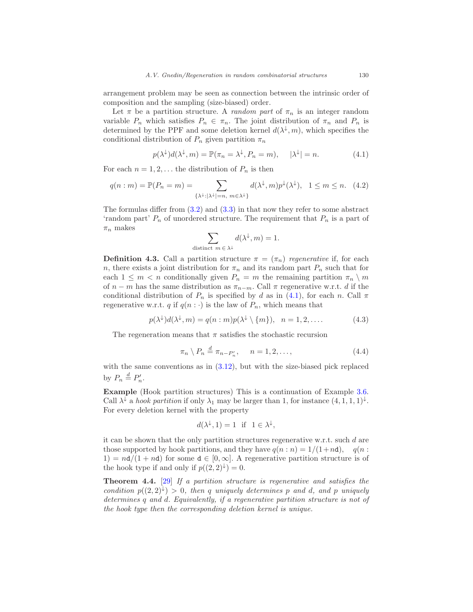arrangement problem may be seen as connection between the intrinsic order of composition and the sampling (size-biased) order.

Let  $\pi$  be a partition structure. A *random part* of  $\pi_n$  is an integer random variable  $P_n$  which satisfies  $P_n \in \pi_n$ . The joint distribution of  $\pi_n$  and  $P_n$  is determined by the PPF and some deletion kernel  $d(\lambda^{\downarrow}, m)$ , which specifies the conditional distribution of  $P_n$  given partition  $\pi_n$ 

<span id="page-25-0"></span>
$$
p(\lambda^{\downarrow})d(\lambda^{\downarrow},m) = \mathbb{P}(\pi_n = \lambda^{\downarrow}, P_n = m), \quad |\lambda^{\downarrow}| = n. \tag{4.1}
$$

For each  $n = 1, 2, \ldots$  the distribution of  $P_n$  is then

$$
q(n:m) = \mathbb{P}(P_n = m) = \sum_{\{\lambda^{\downarrow} : |\lambda^{\downarrow}| = n, m \in \lambda^{\downarrow}\}} d(\lambda^{\downarrow}, m) p^{\downarrow}(\lambda^{\downarrow}), \quad 1 \le m \le n. \tag{4.2}
$$

The formulas differ from  $(3.2)$  and  $(3.3)$  in that now they refer to some abstract 'random part'  $P_n$  of unordered structure. The requirement that  $P_n$  is a part of  $\pi_n$  makes

$$
\sum_{\text{distinct } m \,\in\, \lambda^\downarrow} d(\lambda^\downarrow,m) = 1.
$$

**Definition 4.3.** Call a partition structure  $\pi = (\pi_n)$  regenerative if, for each n, there exists a joint distribution for  $\pi_n$  and its random part  $P_n$  such that for each  $1 \leq m < n$  conditionally given  $P_n = m$  the remaining partition  $\pi_n \setminus m$ of  $n - m$  has the same distribution as  $\pi_{n-m}$ . Call  $\pi$  regenerative w.r.t. d if the conditional distribution of  $P_n$  is specified by d as in [\(4.1\)](#page-25-0), for each n. Call  $\pi$ regenerative w.r.t. q if  $q(n : \cdot)$  is the law of  $P_n$ , which means that

<span id="page-25-1"></span>
$$
p(\lambda^{\downarrow})d(\lambda^{\downarrow},m) = q(n:m)p(\lambda^{\downarrow} \setminus \{m\}), \quad n = 1, 2, .... \tag{4.3}
$$

The regeneration means that  $\pi$  satisfies the stochastic recursion

<span id="page-25-2"></span>
$$
\pi_n \setminus P_n \stackrel{d}{=} \pi_{n-P'_n}, \quad n = 1, 2, \dots,
$$
\n
$$
(4.4)
$$

with the same conventions as in [\(3.12\)](#page-13-2), but with the size-biased pick replaced by  $P_n \stackrel{d}{=} P'_n$ .

Example (Hook partition structures) This is a continuation of Example [3.6.](#page-18-0) Call  $\lambda^{\downarrow}$  a hook partition if only  $\lambda_1$  may be larger than 1, for instance  $(4, 1, 1, 1)^{\downarrow}$ . For every deletion kernel with the property

$$
d(\lambda^{\downarrow}, 1) = 1 \text{ if } 1 \in \lambda^{\downarrow},
$$

it can be shown that the only partition structures regenerative w.r.t. such d are those supported by hook partitions, and they have  $q(n:n) = 1/(1+n\mathsf{d})$ ,  $q(n:n)$  $1) = nd/(1 + nd)$  for some  $d \in [0, \infty]$ . A regenerative partition structure is of the hook type if and only if  $p((2,2)^{\downarrow})=0$ .

**Theorem 4.4.** [\[29\]](#page-50-10) If a partition structure is regenerative and satisfies the condition  $p((2,2)^{\downarrow}) > 0$ , then q uniquely determines p and d, and p uniquely determines q and d. Equivalently, if a regenerative partition structure is not of the hook type then the corresponding deletion kernel is unique.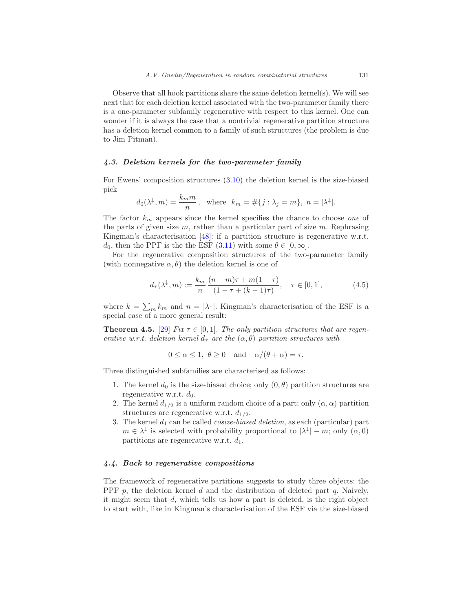Observe that all hook partitions share the same deletion kernel(s). We will see next that for each deletion kernel associated with the two-parameter family there is a one-parameter subfamily regenerative with respect to this kernel. One can wonder if it is always the case that a nontrivial regenerative partition structure has a deletion kernel common to a family of such structures (the problem is due to Jim Pitman).

## <span id="page-26-0"></span>4.3. Deletion kernels for the two-parameter family

For Ewens' composition structures [\(3.10\)](#page-12-0) the deletion kernel is the size-biased pick

$$
d_0(\lambda^{\downarrow}, m) = \frac{k_m m}{n}
$$
, where  $k_m = \#\{j : \lambda_j = m\}$ ,  $n = |\lambda^{\downarrow}|$ .

The factor  $k_m$  appears since the kernel specifies the chance to choose one of the parts of given size  $m$ , rather than a particular part of size  $m$ . Rephrasing Kingman's characterisation [\[48\]](#page-51-6): if a partition structure is regenerative w.r.t.  $d_0$ , then the PPF is the the ESF [\(3.11\)](#page-12-2) with some  $\theta \in [0,\infty]$ .

For the regenerative composition structures of the two-parameter family (with nonnegative  $\alpha, \theta$ ) the deletion kernel is one of

<span id="page-26-2"></span>
$$
d_{\tau}(\lambda^{\downarrow}, m) := \frac{k_m}{n} \frac{(n-m)\tau + m(1-\tau)}{(1-\tau + (k-1)\tau)}, \quad \tau \in [0,1],
$$
 (4.5)

where  $k = \sum_{m} k_m$  and  $n = |\lambda^{\downarrow}|$ . Kingman's characterisation of the ESF is a special case of a more general result:

**Theorem 4.5.** [\[29\]](#page-50-10) Fix  $\tau \in [0, 1]$ . The only partition structures that are regenerative w.r.t. deletion kernel  $d_{\tau}$  are the  $(\alpha, \theta)$  partition structures with

$$
0 \le \alpha \le 1, \ \theta \ge 0
$$
 and  $\alpha/(\theta + \alpha) = \tau$ .

Three distinguished subfamilies are characterised as follows:

- 1. The kernel  $d_0$  is the size-biased choice; only  $(0, \theta)$  partition structures are regenerative w.r.t.  $d_0$ .
- 2. The kernel  $d_{1/2}$  is a uniform random choice of a part; only  $(\alpha, \alpha)$  partition structures are regenerative w.r.t.  $d_{1/2}$ .
- 3. The kernel  $d_1$  can be called *cosize-biased deletion*, as each (particular) part  $m \in \lambda^{\downarrow}$  is selected with probability proportional to  $|\lambda^{\downarrow}| - m$ ; only  $(\alpha, 0)$ partitions are regenerative w.r.t.  $d_1$ .

## <span id="page-26-1"></span>4.4. Back to regenerative compositions

The framework of regenerative partitions suggests to study three objects: the PPF p, the deletion kernel d and the distribution of deleted part q. Naively, it might seem that d, which tells us how a part is deleted, is the right object to start with, like in Kingman's characterisation of the ESF via the size-biased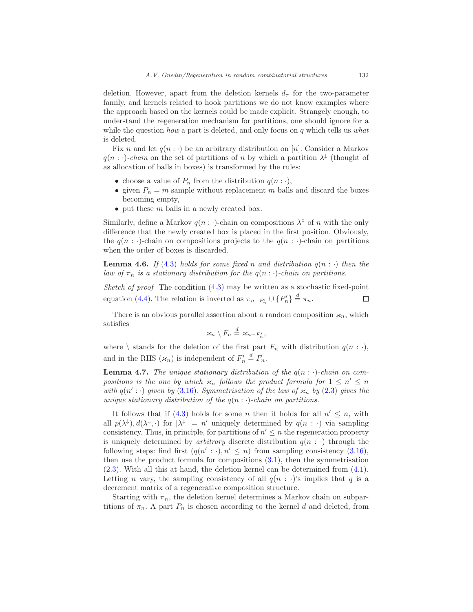deletion. However, apart from the deletion kernels  $d_{\tau}$  for the two-parameter family, and kernels related to hook partitions we do not know examples where the approach based on the kernels could be made explicit. Strangely enough, to understand the regeneration mechanism for partitions, one should ignore for a while the question how a part is deleted, and only focus on q which tells us what is deleted.

Fix n and let  $q(n : \cdot)$  be an arbitrary distribution on [n]. Consider a Markov  $q(n: \cdot)$ -chain on the set of partitions of n by which a partition  $\lambda^{\downarrow}$  (thought of as allocation of balls in boxes) is transformed by the rules:

- choose a value of  $P_n$  from the distribution  $q(n : \cdot)$ ,
- given  $P_n = m$  sample without replacement m balls and discard the boxes becoming empty,
- put these  $m$  balls in a newly created box.

Similarly, define a Markov  $q(n : \cdot)$ -chain on compositions  $\lambda^{\circ}$  of n with the only difference that the newly created box is placed in the first position. Obviously, the  $q(n : \cdot)$ -chain on compositions projects to the  $q(n : \cdot)$ -chain on partitions when the order of boxes is discarded.

**Lemma 4.6.** If [\(4.3\)](#page-25-1) holds for some fixed n and distribution  $q(n : \cdot)$  then the law of  $\pi_n$  is a stationary distribution for the  $q(n : \cdot)$ -chain on partitions.

Sketch of proof The condition  $(4.3)$  may be written as a stochastic fixed-point equation [\(4.4\)](#page-25-2). The relation is inverted as  $\pi_{n-P'_n} \cup \{P'_n\} \stackrel{d}{=} \pi_n$ .  $\Box$ 

There is an obvious parallel assertion about a random composition  $\varkappa_n$ , which satisfies

$$
\varkappa_n\setminus F_n\stackrel{d}{=}\varkappa_{n-F_n'},
$$

where  $\setminus$  stands for the deletion of the first part  $F_n$  with distribution  $q(n : \cdot)$ , and in the RHS  $(\varkappa_n)$  is independent of  $F'_n \stackrel{d}{=} F_n$ .

**Lemma 4.7.** The unique stationary distribution of the  $q(n : \cdot)$ -chain on compositions is the one by which  $\varkappa_n$  follows the product formula for  $1 \leq n' \leq n$ with  $q(n': \cdot)$  given by [\(3.16\)](#page-17-0). Symmetrisation of the law of  $\varkappa_n$  by [\(2.3\)](#page-7-0) gives the unique stationary distribution of the  $q(n : \cdot)$ -chain on partitions.

It follows that if  $(4.3)$  holds for some *n* then it holds for all  $n' \leq n$ , with all  $p(\lambda^{\downarrow}), d(\lambda^{\downarrow}, \cdot)$  for  $|\lambda^{\downarrow}| = n'$  uniquely determined by  $q(n : \cdot)$  via sampling consistency. Thus, in principle, for partitions of  $n' \leq n$  the regeneration property is uniquely determined by *arbitrary* discrete distribution  $q(n : \cdot)$  through the following steps: find first  $(q(n': \cdot), n' \leq n)$  from sampling consistency [\(3.16\)](#page-17-0), then use the product formula for compositions [\(3.1\)](#page-10-3), then the symmetrisation [\(2.3\)](#page-7-0). With all this at hand, the deletion kernel can be determined from [\(4.1\)](#page-25-0). Letting *n* vary, the sampling consistency of all  $q(n : \cdot)$ 's implies that q is a decrement matrix of a regenerative composition structure.

Starting with  $\pi_n$ , the deletion kernel determines a Markov chain on subpartitions of  $\pi_n$ . A part  $P_n$  is chosen according to the kernel d and deleted, from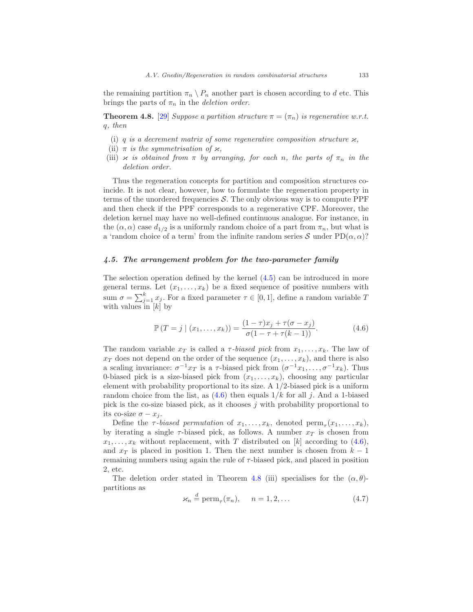the remaining partition  $\pi_n \setminus P_n$  another part is chosen according to d etc. This brings the parts of  $\pi_n$  in the *deletion order*.

<span id="page-28-2"></span>**Theorem 4.8.** [\[29\]](#page-50-10) Suppose a partition structure  $\pi = (\pi_n)$  is regenerative w.r.t. q, then

- (i) q is a decrement matrix of some regenerative composition structure  $\varkappa$ ,
- (ii)  $\pi$  is the symmetrisation of  $\varkappa$ ,
- (iii)  $x$  is obtained from  $\pi$  by arranging, for each n, the parts of  $\pi_n$  in the deletion order.

Thus the regeneration concepts for partition and composition structures coincide. It is not clear, however, how to formulate the regeneration property in terms of the unordered frequencies  $S$ . The only obvious way is to compute PPF and then check if the PPF corresponds to a regenerative CPF. Moreover, the deletion kernel may have no well-defined continuous analogue. For instance, in the  $(\alpha, \alpha)$  case  $d_{1/2}$  is a uniformly random choice of a part from  $\pi_n$ , but what is a 'random choice of a term' from the infinite random series S under  $PD(\alpha, \alpha)$ ?

## <span id="page-28-0"></span>4.5. The arrangement problem for the two-parameter family

The selection operation defined by the kernel [\(4.5\)](#page-26-2) can be introduced in more general terms. Let  $(x_1, \ldots, x_k)$  be a fixed sequence of positive numbers with sum  $\sigma = \sum_{j=1}^{k} x_j$ . For a fixed parameter  $\tau \in [0, 1]$ , define a random variable T with values in  $[k]$  by

<span id="page-28-1"></span>
$$
\mathbb{P}(T = j \mid (x_1, \dots, x_k)) = \frac{(1 - \tau)x_j + \tau(\sigma - x_j)}{\sigma(1 - \tau + \tau(k - 1))}.
$$
\n(4.6)

The random variable  $x_T$  is called a  $\tau$ -biased pick from  $x_1, \ldots, x_k$ . The law of  $x_T$  does not depend on the order of the sequence  $(x_1, \ldots, x_k)$ , and there is also a scaling invariance:  $\sigma^{-1}x_T$  is a  $\tau$ -biased pick from  $(\sigma^{-1}x_1,\ldots,\sigma^{-1}x_k)$ . Thus 0-biased pick is a size-biased pick from  $(x_1, \ldots, x_k)$ , choosing any particular element with probability proportional to its size. A 1/2-biased pick is a uniform random choice from the list, as  $(4.6)$  then equals  $1/k$  for all j. And a 1-biased pick is the co-size biased pick, as it chooses  $j$  with probability proportional to its co-size  $\sigma - x_i$ .

Define the  $\tau$ -biased permutation of  $x_1, \ldots, x_k$ , denoted  $\text{perm}_{\tau}(x_1, \ldots, x_k)$ , by iterating a single  $\tau$ -biased pick, as follows. A number  $x_T$  is chosen from  $x_1, \ldots, x_k$  without replacement, with T distributed on [k] according to [\(4.6\)](#page-28-1), and  $x_T$  is placed in position 1. Then the next number is chosen from  $k-1$ remaining numbers using again the rule of  $\tau$ -biased pick, and placed in position 2, etc.

The deletion order stated in Theorem [4.8](#page-28-2) (iii) specialises for the  $(\alpha, \theta)$ partitions as

<span id="page-28-3"></span>
$$
\varkappa_n \stackrel{d}{=} \text{perm}_\tau(\pi_n), \quad n = 1, 2, \dots \tag{4.7}
$$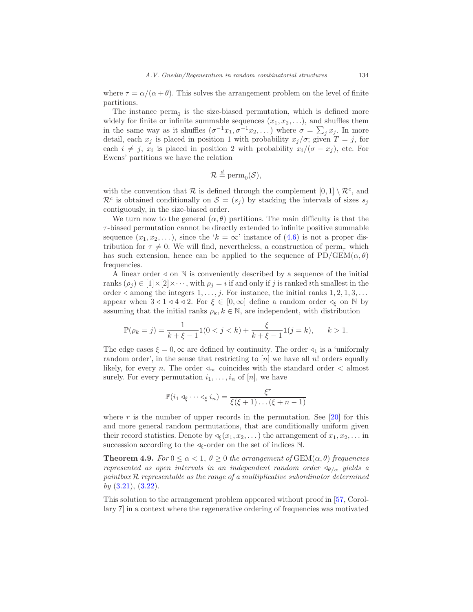where  $\tau = \alpha/(\alpha + \theta)$ . This solves the arrangement problem on the level of finite partitions.

The instance  $perm_0$  is the size-biased permutation, which is defined more widely for finite or infinite summable sequences  $(x_1, x_2, \ldots)$ , and shuffles them in the same way as it shuffles  $(\sigma^{-1}x_1, \sigma^{-1}x_2, ...)$  where  $\sigma = \sum_j x_j$ . In more detail, each  $x_j$  is placed in position 1 with probability  $x_j/\sigma$ ; given  $T = j$ , for each  $i \neq j$ ,  $x_i$  is placed in position 2 with probability  $x_i/(\sigma - x_j)$ , etc. For Ewens' partitions we have the relation

$$
\mathcal{R} \stackrel{d}{=} \mathrm{perm}_0(\mathcal{S}),
$$

with the convention that  $\mathcal R$  is defined through the complement  $[0,1] \setminus \mathcal R^c$ , and  $\mathcal{R}^c$  is obtained conditionally on  $\mathcal{S} = (s_j)$  by stacking the intervals of sizes  $s_j$ contiguously, in the size-biased order.

We turn now to the general  $(\alpha, \theta)$  partitions. The main difficulty is that the  $\tau$ -biased permutation cannot be directly extended to infinite positive summable sequence  $(x_1, x_2, \ldots)$ , since the ' $k = \infty$ ' instance of  $(4.6)$  is not a proper distribution for  $\tau \neq 0$ . We will find, nevertheless, a construction of perm<sub> $\tau$ </sub> which has such extension, hence can be applied to the sequence of  $PD/GEN(\alpha, \theta)$ frequencies.

A linear order  $\triangleleft$  on N is conveniently described by a sequence of the initial ranks  $(\rho_j) \in [1] \times [2] \times \cdots$ , with  $\rho_j = i$  if and only if j is ranked ith smallest in the order  $\triangleleft$  among the integers  $1, \ldots, j$ . For instance, the initial ranks  $1, 2, 1, 3, \ldots$ appear when  $3 \triangleleft 1 \triangleleft 4 \triangleleft 2$ . For  $\xi \in [0, \infty]$  define a random order  $\triangleleft_{\xi}$  on N by assuming that the initial ranks  $\rho_k, k \in \mathbb{N}$ , are independent, with distribution

$$
\mathbb{P}(\rho_k = j) = \frac{1}{k + \xi - 1} \mathbf{1}(0 < j < k) + \frac{\xi}{k + \xi - 1} \mathbf{1}(j = k), \qquad k > 1.
$$

The edge cases  $\xi = 0$ ,  $\infty$  are defined by continuity. The order  $\triangleleft_1$  is a 'uniformly' random order', in the sense that restricting to  $[n]$  we have all n! orders equally likely, for every *n*. The order  $\triangleleft_{\infty}$  coincides with the standard order  $\lt$  almost surely. For every permutation  $i_1, \ldots, i_n$  of  $[n]$ , we have

$$
\mathbb{P}(i_1 \triangleleft_{\xi} \cdots \triangleleft_{\xi} i_n) = \frac{\xi^r}{\xi(\xi+1)\ldots(\xi+n-1)}
$$

where r is the number of upper records in the permutation. See  $[20]$  for this and more general random permutations, that are conditionally uniform given their record statistics. Denote by  $\triangleleft \{x_1, x_2, \ldots\}$  the arrangement of  $x_1, x_2, \ldots$  in succession according to the  $\triangleleft \xi$ -order on the set of indices N.

**Theorem 4.9.** For  $0 \le \alpha < 1$ ,  $\theta \ge 0$  the arrangement of  $GEM(\alpha, \theta)$  frequencies represented as open intervals in an independent random order  $\triangleleft_{\theta/\alpha}$  yields a paintbox  $R$  representable as the range of a multiplicative subordinator determined by  $(3.21), (3.22).$  $(3.21), (3.22).$  $(3.21), (3.22).$  $(3.21), (3.22).$ 

This solution to the arrangement problem appeared without proof in [\[57,](#page-51-11) Corollary 7] in a context where the regenerative ordering of frequencies was motivated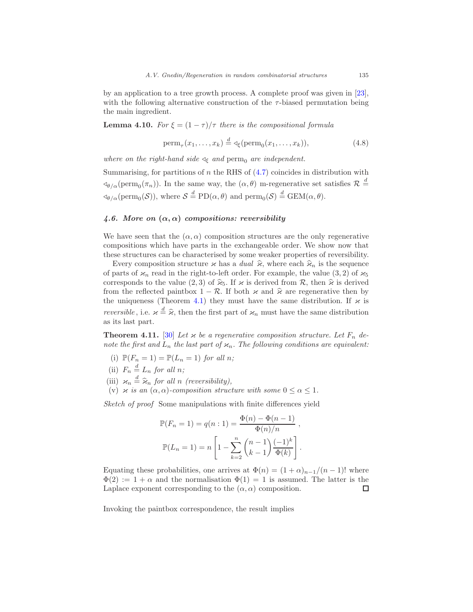by an application to a tree growth process. A complete proof was given in [\[23\]](#page-49-2), with the following alternative construction of the  $\tau$ -biased permutation being the main ingredient.

**Lemma 4.10.** For  $\xi = (1 - \tau)/\tau$  there is the compositional formula

$$
\text{perm}_{\tau}(x_1,\ldots,x_k) \stackrel{d}{=} \text{deg}(\text{perm}_0(x_1,\ldots,x_k)),\tag{4.8}
$$

where on the right-hand side  $\triangleleft_{\xi}$  and perm<sub>0</sub> are independent.

Summarising, for partitions of  $n$  the RHS of  $(4.7)$  coincides in distribution with  $\phi_{\theta/\alpha}(\text{perm}_0(\pi_n))$ . In the same way, the  $(\alpha, \theta)$  m-regenerative set satisfies  $\mathcal{R} \stackrel{d}{=}$  $\triangleleft_{\theta/\alpha}(\text{perm}_0(\mathcal{S}))$ , where  $\mathcal{S} \stackrel{d}{=} \text{PD}(\alpha, \theta)$  and  $\text{perm}_0(\mathcal{S}) \stackrel{d}{=} \text{GEM}(\alpha, \theta)$ .

## <span id="page-30-0"></span>4.6. More on  $(\alpha, \alpha)$  compositions: reversibility

We have seen that the  $(\alpha, \alpha)$  composition structures are the only regenerative compositions which have parts in the exchangeable order. We show now that these structures can be characterised by some weaker properties of reversibility.

Every composition structure  $\varkappa$  has a *dual*  $\hat{\varkappa}$ , where each  $\hat{\varkappa}_n$  is the sequence of parts of  $\varkappa_n$  read in the right-to-left order. For example, the value (3, 2) of  $\varkappa_5$ corresponds to the value (2, 3) of  $\hat{\varkappa}_5$ . If  $\varkappa$  is derived from R, then  $\hat{\varkappa}$  is derived from the reflected paintbox  $1 - \mathcal{R}$ . If both  $\varkappa$  and  $\hat{\varkappa}$  are regenerative then by the uniqueness (Theorem [4.1\)](#page-24-1) they must have the same distribution. If  $\varkappa$  is reversible, i.e.  $\varkappa \stackrel{d}{=} \hat{\varkappa}$ , then the first part of  $\varkappa_n$  must have the same distribution as its last part.

<span id="page-30-1"></span>**Theorem 4.11.** [\[30](#page-50-6)] Let  $\varkappa$  be a regenerative composition structure. Let  $F_n$  denote the first and  $L_n$  the last part of  $\varkappa_n$ . The following conditions are equivalent:

- (i)  $\mathbb{P}(F_n = 1) = \mathbb{P}(L_n = 1)$  for all n;
- (ii)  $F_n \stackrel{d}{=} L_n$  for all n;
- (iii)  $\varkappa_n \stackrel{d}{=} \widehat{\varkappa}_n$  for all n (reversibility),
- (v)  $\varkappa$  is an  $(\alpha, \alpha)$ -composition structure with some  $0 \leq \alpha \leq 1$ .

Sketch of proof Some manipulations with finite differences yield

$$
\mathbb{P}(F_n = 1) = q(n:1) = \frac{\Phi(n) - \Phi(n-1)}{\Phi(n)/n},
$$

$$
\mathbb{P}(L_n = 1) = n \left[ 1 - \sum_{k=2}^n \binom{n-1}{k-1} \frac{(-1)^k}{\Phi(k)} \right].
$$

Equating these probabilities, one arrives at  $\Phi(n) = (1+\alpha)_{n-1}/(n-1)!$  where  $\Phi(2) := 1 + \alpha$  and the normalisation  $\Phi(1) = 1$  is assumed. The latter is the Laplace exponent corresponding to the  $(\alpha, \alpha)$  composition. □

Invoking the paintbox correspondence, the result implies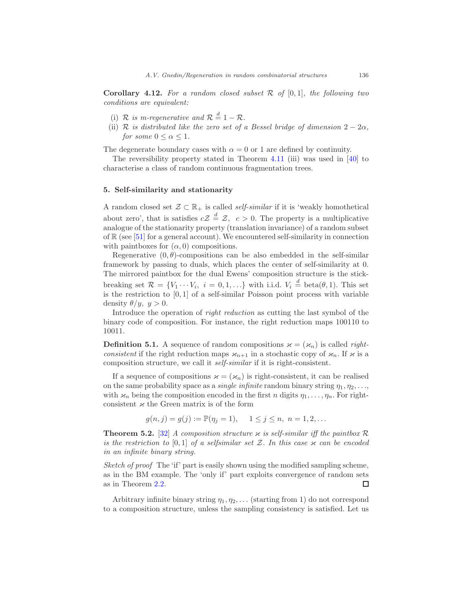**Corollary 4.12.** For a random closed subset  $\mathcal{R}$  of  $[0,1]$ , the following two conditions are equivalent:

- (i) R is m-regenerative and  $R \stackrel{d}{=} 1 R$ .
- (ii) R is distributed like the zero set of a Bessel bridge of dimension  $2 2\alpha$ , for some  $0 \leq \alpha \leq 1$ .

The degenerate boundary cases with  $\alpha = 0$  or 1 are defined by continuity.

The reversibility property stated in Theorem [4.11](#page-30-1) (iii) was used in [\[40\]](#page-50-11) to characterise a class of random continuous fragmentation trees.

## <span id="page-31-0"></span>5. Self-similarity and stationarity

A random closed set  $\mathcal{Z} \subset \mathbb{R}_+$  is called *self-similar* if it is 'weakly homothetical about zero', that is satisfies  $cZ \stackrel{d}{=} Z$ ,  $c > 0$ . The property is a multiplicative analogue of the stationarity property (translation invariance) of a random subset of  $\mathbb{R}$  (see [\[51\]](#page-51-1) for a general account). We encountered self-similarity in connection with paintboxes for  $(\alpha, 0)$  compositions.

Regenerative  $(0, \theta)$ -compositions can be also embedded in the self-similar framework by passing to duals, which places the center of self-similarity at 0. The mirrored paintbox for the dual Ewens' composition structure is the stickbreaking set  $\mathcal{R} = \{V_1 \cdots V_i, i = 0, 1, \ldots\}$  with i.i.d.  $V_i \stackrel{d}{=} \text{beta}(\theta, 1)$ . This set is the restriction to  $[0, 1]$  of a self-similar Poisson point process with variable density  $\theta/y$ ,  $y > 0$ .

Introduce the operation of right reduction as cutting the last symbol of the binary code of composition. For instance, the right reduction maps 100110 to 10011.

**Definition 5.1.** A sequence of random compositions  $\varkappa = (\varkappa_n)$  is called rightconsistent if the right reduction maps  $\varkappa_{n+1}$  in a stochastic copy of  $\varkappa_n$ . If  $\varkappa$  is a composition structure, we call it self-similar if it is right-consistent.

If a sequence of compositions  $\varkappa = (\varkappa_n)$  is right-consistent, it can be realised on the same probability space as a *single infinite* random binary string  $\eta_1, \eta_2, \ldots$ , with  $\varkappa_n$  being the composition encoded in the first n digits  $\eta_1, \ldots, \eta_n$ . For rightconsistent  $\varkappa$  the Green matrix is of the form

$$
g(n,j) = g(j) := \mathbb{P}(\eta_j = 1), \quad 1 \le j \le n, n = 1, 2, ...
$$

**Theorem 5.2.** [\[32](#page-50-9)] A composition structure  $\varkappa$  is self-similar iff the paintbox R is the restriction to [0,1] of a selfsimilar set  $\mathcal Z$ . In this case  $\varkappa$  can be encoded in an infinite binary string.

Sketch of proof The 'if' part is easily shown using the modified sampling scheme, as in the BM example. The 'only if' part exploits convergence of random sets as in Theorem [2.2.](#page-6-1) □

Arbitrary infinite binary string  $\eta_1, \eta_2, \ldots$  (starting from 1) do not correspond to a composition structure, unless the sampling consistency is satisfied. Let us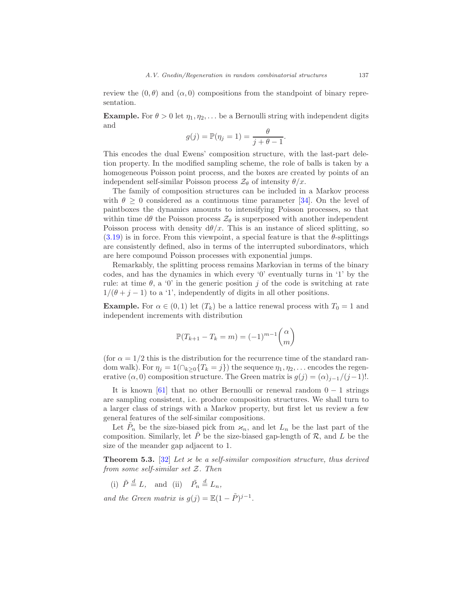review the  $(0, \theta)$  and  $(\alpha, 0)$  compositions from the standpoint of binary representation.

**Example.** For  $\theta > 0$  let  $\eta_1, \eta_2, \ldots$  be a Bernoulli string with independent digits and

$$
g(j) = \mathbb{P}(\eta_j = 1) = \frac{\theta}{j + \theta - 1}.
$$

This encodes the dual Ewens' composition structure, with the last-part deletion property. In the modified sampling scheme, the role of balls is taken by a homogeneous Poisson point process, and the boxes are created by points of an independent self-similar Poisson process  $\mathcal{Z}_{\theta}$  of intensity  $\theta/x$ .

The family of composition structures can be included in a Markov process with  $\theta \geq 0$  considered as a continuous time parameter [\[34](#page-50-12)]. On the level of paintboxes the dynamics amounts to intensifying Poisson processes, so that within time  $d\theta$  the Poisson process  $\mathcal{Z}_{\theta}$  is superposed with another independent Poisson process with density  $d\theta/x$ . This is an instance of sliced splitting, so  $(3.19)$  is in force. From this viewpoint, a special feature is that the  $\theta$ -splittings are consistently defined, also in terms of the interrupted subordinators, which are here compound Poisson processes with exponential jumps.

Remarkably, the splitting process remains Markovian in terms of the binary codes, and has the dynamics in which every '0' eventually turns in '1' by the rule: at time  $\theta$ , a '0' in the generic position j of the code is switching at rate  $1/(\theta + j - 1)$  to a '1', independently of digits in all other positions.

**Example.** For  $\alpha \in (0,1)$  let  $(T_k)$  be a lattice renewal process with  $T_0 = 1$  and independent increments with distribution

$$
\mathbb{P}(T_{k+1} - T_k = m) = (-1)^{m-1} \binom{\alpha}{m}
$$

(for  $\alpha = 1/2$  this is the distribution for the recurrence time of the standard random walk). For  $\eta_i = 1(\bigcap_{k>0} \{T_k = j\})$  the sequence  $\eta_1, \eta_2, \ldots$  encodes the regenerative  $(\alpha, 0)$  composition structure. The Green matrix is  $g(j) = (\alpha)_{j-1}/(j-1)!$ .

It is known [\[61\]](#page-51-10) that no other Bernoulli or renewal random  $0 - 1$  strings are sampling consistent, i.e. produce composition structures. We shall turn to a larger class of strings with a Markov property, but first let us review a few general features of the self-similar compositions.

Let  $\tilde{P}_n$  be the size-biased pick from  $\varkappa_n$ , and let  $L_n$  be the last part of the composition. Similarly, let P be the size-biased gap-length of  $\mathcal{R}$ , and L be the size of the meander gap adjacent to 1.

<span id="page-32-0"></span>**Theorem 5.3.** [\[32](#page-50-9)] Let  $\varkappa$  be a self-similar composition structure, thus derived from some self-similar set Z. Then

(i)  $\tilde{P} \stackrel{d}{=} L$ , and (ii)  $\tilde{P_n} \stackrel{d}{=} L_n$ ,

and the Green matrix is  $g(j) = \mathbb{E}(1 - \tilde{P})^{j-1}$ .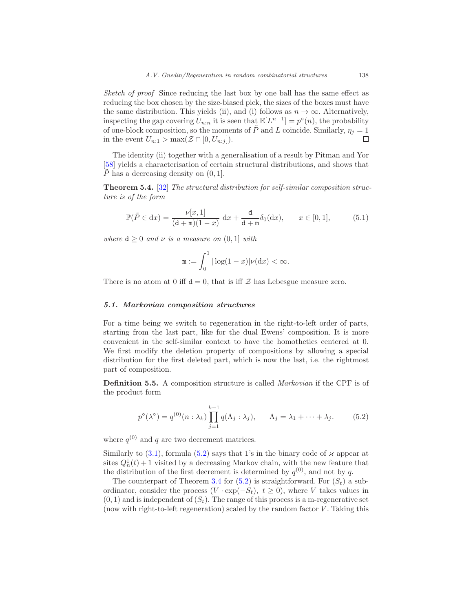Sketch of proof Since reducing the last box by one ball has the same effect as reducing the box chosen by the size-biased pick, the sizes of the boxes must have the same distribution. This yields (ii), and (i) follows as  $n \to \infty$ . Alternatively, inspecting the gap covering  $U_{n:n}$  it is seen that  $\mathbb{E}[L^{n-1}] = p^{\circ}(n)$ , the probability of one-block composition, so the moments of  $\tilde{P}$  and L coincide. Similarly,  $\eta_j = 1$ in the event  $U_{n:1} > \max(\mathcal{Z} \cap [0, U_{n:j}]).$  $\Box$ 

The identity (ii) together with a generalisation of a result by Pitman and Yor [\[58\]](#page-51-12) yields a characterisation of certain structural distributions, and shows that P has a decreasing density on  $(0, 1]$ .

Theorem 5.4. [\[32\]](#page-50-9) The structural distribution for self-similar composition structure is of the form

<span id="page-33-2"></span>
$$
\mathbb{P}(\tilde{P} \in dx) = \frac{\nu[x, 1]}{(d + m)(1 - x)} dx + \frac{d}{d + m} \delta_0(dx), \qquad x \in [0, 1],
$$
 (5.1)

where  $d \geq 0$  and  $\nu$  is a measure on  $(0, 1]$  with

$$
\mathbf{m} := \int_0^1 |\log(1-x)| \nu(\mathrm{d}x) < \infty.
$$

There is no atom at 0 iff  $d = 0$ , that is iff Z has Lebesgue measure zero.

## <span id="page-33-0"></span>5.1. Markovian composition structures

For a time being we switch to regeneration in the right-to-left order of parts, starting from the last part, like for the dual Ewens' composition. It is more convenient in the self-similar context to have the homotheties centered at 0. We first modify the deletion property of compositions by allowing a special distribution for the first deleted part, which is now the last, i.e. the rightmost part of composition.

Definition 5.5. A composition structure is called Markovian if the CPF is of the product form

<span id="page-33-1"></span>
$$
p^{\circ}(\lambda^{\circ}) = q^{(0)}(n : \lambda_k) \prod_{j=1}^{k-1} q(\Lambda_j : \lambda_j), \qquad \Lambda_j = \lambda_1 + \dots + \lambda_j.
$$
 (5.2)

where  $q^{(0)}$  and q are two decrement matrices.

Similarly to [\(3.1\)](#page-10-3), formula [\(5.2\)](#page-33-1) says that 1's in the binary code of  $\varkappa$  appear at sites  $Q_n^{\downarrow}(t) + 1$  visited by a decreasing Markov chain, with the new feature that the distribution of the first decrement is determined by  $q^{(0)}$ , and not by q.

The counterpart of Theorem [3.4](#page-17-1) for  $(5.2)$  is straightforward. For  $(S_t)$  a subordinator, consider the process  $(V \cdot \exp(-S_t), t \geq 0)$ , where V takes values in  $(0, 1)$  and is independent of  $(S_t)$ . The range of this process is a m-regenerative set (now with right-to-left regeneration) scaled by the random factor  $V$ . Taking this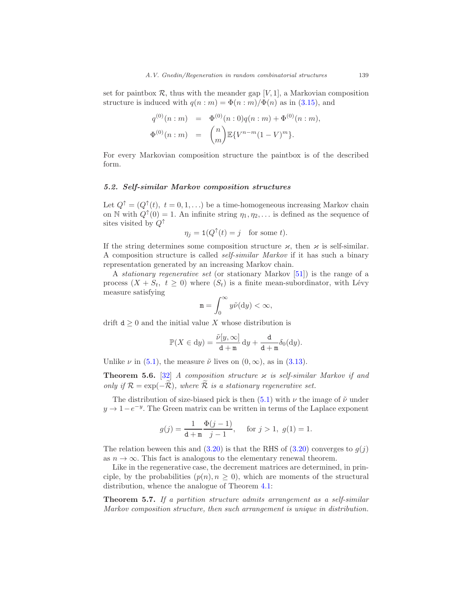set for paintbox  $\mathcal{R}$ , thus with the meander gap [V, 1], a Markovian composition structure is induced with  $q(n : m) = \Phi(n : m) / \Phi(n)$  as in [\(3.15\)](#page-16-0), and

$$
q^{(0)}(n:m) = \Phi^{(0)}(n:0)q(n:m) + \Phi^{(0)}(n:m),
$$
  

$$
\Phi^{(0)}(n:m) = {n \choose m} \mathbb{E}\{V^{n-m}(1-V)^m\}.
$$

For every Markovian composition structure the paintbox is of the described form.

## <span id="page-34-0"></span>5.2. Self-similar Markov composition structures

Let  $Q^{\uparrow} = (Q^{\uparrow}(t), t = 0, 1, \ldots)$  be a time-homogeneous increasing Markov chain on N with  $Q^{\uparrow}(0) = 1$ . An infinite string  $\eta_1, \eta_2, \ldots$  is defined as the sequence of sites visited by  $Q^{\uparrow}$ 

$$
\eta_j = \mathbf{1}(Q^\uparrow(t) = j \quad \text{for some } t).
$$

If the string determines some composition structure  $\varkappa$ , then  $\varkappa$  is self-similar. A composition structure is called self-similar Markov if it has such a binary representation generated by an increasing Markov chain.

A stationary regenerative set (or stationary Markov [\[51\]](#page-51-1)) is the range of a process  $(X + S_t, t \geq 0)$  where  $(S_t)$  is a finite mean-subordinator, with Lévy measure satisfying

$$
\mathbf{m} = \int_0^\infty y \tilde{\nu}(\mathrm{d}y) < \infty,
$$

drift  $d \geq 0$  and the initial value X whose distribution is

$$
\mathbb{P}(X \in dy) = \frac{\tilde{\nu}[y,\infty]}{d+\mathfrak{m}} dy + \frac{d}{d+\mathfrak{m}} \delta_0(dy).
$$

Unlike  $\nu$  in [\(5.1\)](#page-33-2), the measure  $\tilde{\nu}$  lives on  $(0, \infty)$ , as in [\(3.13\)](#page-15-1).

**Theorem 5.6.** [\[32\]](#page-50-9) A composition structure  $\varkappa$  is self-similar Markov if and only if  $\mathcal{R} = \exp(-\widetilde{\mathcal{R}})$ , where  $\widetilde{\mathcal{R}}$  is a stationary regenerative set.

The distribution of size-biased pick is then [\(5.1\)](#page-33-2) with  $\nu$  the image of  $\tilde{\nu}$  under  $y \to 1-e^{-y}$ . The Green matrix can be written in terms of the Laplace exponent

$$
g(j) = \frac{1}{d+m} \frac{\Phi(j-1)}{j-1}, \quad \text{for } j > 1, \ g(1) = 1.
$$

The relation beween this and  $(3.20)$  is that the RHS of  $(3.20)$  converges to  $q(i)$ as  $n \to \infty$ . This fact is analogous to the elementary renewal theorem.

Like in the regenerative case, the decrement matrices are determined, in principle, by the probabilities  $(p(n), n \geq 0)$ , which are moments of the structural distribution, whence the analogue of Theorem [4.1:](#page-24-1)

Theorem 5.7. If a partition structure admits arrangement as a self-similar Markov composition structure, then such arrangement is unique in distribution.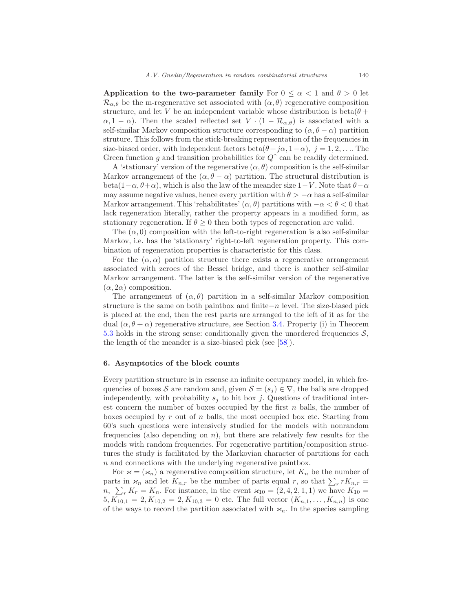Application to the two-parameter family For  $0 \le \alpha < 1$  and  $\theta > 0$  let  $\mathcal{R}_{\alpha,\theta}$  be the m-regenerative set associated with  $(\alpha,\theta)$  regenerative composition structure, and let V be an independent variable whose distribution is beta $(\theta +$  $\alpha$ , 1 –  $\alpha$ ). Then the scaled reflected set  $V \cdot (1 - \mathcal{R}_{\alpha,\theta})$  is associated with a self-similar Markov composition structure corresponding to  $(\alpha, \theta - \alpha)$  partition struture. This follows from the stick-breaking representation of the frequencies in size-biased order, with independent factors beta $(\theta + j\alpha, 1-\alpha)$ ,  $j = 1, 2, \dots$  The Green function g and transition probabilities for  $Q^{\uparrow}$  can be readily determined.

A 'stationary' version of the regenerative  $(\alpha, \theta)$  composition is the self-similar Markov arrangement of the  $(\alpha, \theta - \alpha)$  partition. The structural distribution is beta(1− $\alpha$ ,  $\theta$ + $\alpha$ ), which is also the law of the meander size 1−V. Note that  $\theta$ − $\alpha$ may assume negative values, hence every partition with  $\theta > -\alpha$  has a self-similar Markov arrangement. This 'rehabilitates'  $(\alpha, \theta)$  partitions with  $-\alpha < \theta < 0$  that lack regeneration literally, rather the property appears in a modified form, as stationary regeneration. If  $\theta \geq 0$  then both types of regeneration are valid.

The  $(\alpha, 0)$  composition with the left-to-right regeneration is also self-similar Markov, i.e. has the 'stationary' right-to-left regeneration property. This combination of regeneration properties is characteristic for this class.

For the  $(\alpha, \alpha)$  partition structure there exists a regenerative arrangement associated with zeroes of the Bessel bridge, and there is another self-similar Markov arrangement. The latter is the self-similar version of the regenerative  $(\alpha, 2\alpha)$  composition.

The arrangement of  $(\alpha, \theta)$  partition in a self-similar Markov composition structure is the same on both paintbox and finite−n level. The size-biased pick is placed at the end, then the rest parts are arranged to the left of it as for the dual  $(\alpha, \theta + \alpha)$  regenerative structure, see Section [3.4.](#page-20-0) Property (i) in Theorem [5.3](#page-32-0) holds in the strong sense: conditionally given the unordered frequencies  $S$ , the length of the meander is a size-biased pick (see [\[58\]](#page-51-12)).

## <span id="page-35-0"></span>6. Asymptotics of the block counts

Every partition structure is in essense an infinite occupancy model, in which frequencies of boxes S are random and, given  $S = (s_i) \in \nabla$ , the balls are dropped independently, with probability  $s_j$  to hit box j. Questions of traditional interest concern the number of boxes occupied by the first  $n$  balls, the number of boxes occupied by  $r$  out of  $n$  balls, the most occupied box etc. Starting from 60's such questions were intensively studied for the models with nonrandom frequencies (also depending on  $n$ ), but there are relatively few results for the models with random frequencies. For regenerative partition/composition structures the study is facilitated by the Markovian character of partitions for each n and connections with the underlying regenerative paintbox.

For  $\varkappa = (\varkappa_n)$  a regenerative composition structure, let  $K_n$  be the number of parts in  $\varkappa_n$  and let  $K_{n,r}$  be the number of parts equal r, so that  $\sum_{r} r K_{n,r} =$  $n, \sum_r K_r = K_n$ . For instance, in the event  $\varkappa_{10} = (2, 4, 2, 1, 1)$  we have  $K_{10} =$  $5, K_{10,1} = 2, K_{10,2} = 2, K_{10,3} = 0$  etc. The full vector  $(K_{n,1},...,K_{n,n})$  is one of the ways to record the partition associated with  $\varkappa_n$ . In the species sampling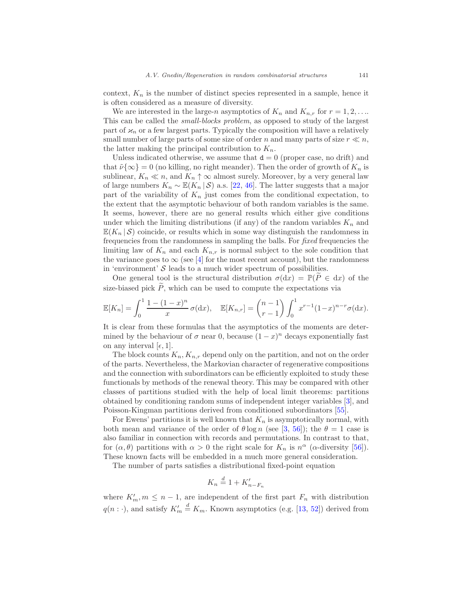context,  $K_n$  is the number of distinct species represented in a sample, hence it is often considered as a measure of diversity.

We are interested in the large-n asymptotics of  $K_n$  and  $K_{n,r}$  for  $r = 1, 2, \ldots$ This can be called the small-blocks problem, as opposed to study of the largest part of  $\varkappa_n$  or a few largest parts. Typically the composition will have a relatively small number of large parts of some size of order n and many parts of size  $r \ll n$ , the latter making the principal contribution to  $K_n$ .

Unless indicated otherwise, we assume that  $d = 0$  (proper case, no drift) and that  $\tilde{\nu}\{\infty\} = 0$  (no killing, no right meander). Then the order of growth of  $K_n$  is sublinear,  $K_n \ll n$ , and  $K_n \uparrow \infty$  almost surely. Moreover, by a very general law of large numbers  $K_n \sim \mathbb{E}(K_n | S)$  a.s. [\[22](#page-49-9), [46](#page-51-13)]. The latter suggests that a major part of the variability of  $K_n$  just comes from the conditional expectation, to the extent that the asymptotic behaviour of both random variables is the same. It seems, however, there are no general results which either give conditions under which the limiting distributions (if any) of the random variables  $K_n$  and  $\mathbb{E}(K_n | S)$  coincide, or results which in some way distinguish the randomness in frequencies from the randomness in sampling the balls. For fixed frequencies the limiting law of  $K_n$  and each  $K_{n,r}$  is normal subject to the sole condition that the variance goes to  $\infty$  (see [\[4\]](#page-48-8) for the most recent account), but the randomness in 'environment'  $\mathcal S$  leads to a much wider spectrum of possibilities.

One general tool is the structural distribution  $\sigma(dx) = \mathbb{P}(\tilde{P} \in dx)$  of the size-biased pick  $P$ , which can be used to compute the expectations via

$$
\mathbb{E}[K_n] = \int_0^1 \frac{1 - (1 - x)^n}{x} \sigma(\mathrm{d}x), \quad \mathbb{E}[K_{n,r}] = {n - 1 \choose r - 1} \int_0^1 x^{r - 1} (1 - x)^{n - r} \sigma(\mathrm{d}x).
$$

It is clear from these formulas that the asymptotics of the moments are determined by the behaviour of  $\sigma$  near 0, because  $(1-x)^n$  decays exponentially fast on any interval  $[\epsilon, 1]$ .

The block counts  $K_n, K_{n,r}$  depend only on the partition, and not on the order of the parts. Nevertheless, the Markovian character of regenerative compositions and the connection with subordinators can be efficiently exploited to study these functionals by methods of the renewal theory. This may be compared with other classes of partitions studied with the help of local limit theorems: partitions obtained by conditioning random sums of independent integer variables [\[3](#page-48-5)], and Poisson-Kingman partitions derived from conditioned subordinators [\[55](#page-51-14)].

For Ewens' partitions it is well known that  $K_n$  is asymptotically normal, with both mean and variance of the order of  $\theta \log n$  (see [\[3](#page-48-5), [56\]](#page-51-3)); the  $\theta = 1$  case is also familiar in connection with records and permutations. In contrast to that, for  $(\alpha, \theta)$  partitions with  $\alpha > 0$  the right scale for  $K_n$  is  $n^{\alpha}$  ( $\alpha$ -diversity [\[56](#page-51-3)]). These known facts will be embedded in a much more general consideration.

The number of parts satisfies a distributional fixed-point equation

$$
K_n \stackrel{d}{=} 1 + K'_{n-F_n}
$$

where  $K'_m, m \leq n-1$ , are independent of the first part  $F_n$  with distribution  $q(n: \cdot)$ , and satisfy  $K'_m \stackrel{d}{=} K_m$ . Known asymptotics (e.g. [\[13](#page-49-10), [52](#page-51-15)]) derived from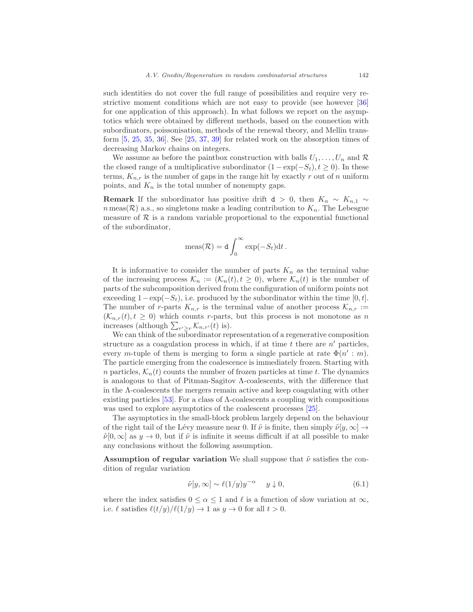such identities do not cover the full range of possibilities and require very restrictive moment conditions which are not easy to provide (see however [\[36\]](#page-50-13) for one application of this approach). In what follows we report on the asymptotics which were obtained by different methods, based on the connection with subordinators, poissonisation, methods of the renewal theory, and Mellin transform [\[5](#page-48-9), [25,](#page-49-11) [35,](#page-50-14) [36](#page-50-13)]. See [\[25](#page-49-11), [37](#page-50-15), [39](#page-50-16)] for related work on the absorption times of decreasing Markov chains on integers.

We assume as before the paintbox construction with balls  $U_1, \ldots, U_n$  and  $\mathcal R$ the closed range of a multiplicative subordinator  $(1 - \exp(-S_t), t \ge 0)$ . In these terms,  $K_{n,r}$  is the number of gaps in the range hit by exactly r out of n uniform points, and  $K_n$  is the total number of nonempty gaps.

**Remark** If the subordinator has positive drift  $d > 0$ , then  $K_n \sim K_{n,1} \sim$  $n$  meas( $\mathcal{R}$ ) a.s., so singletons make a leading contribution to  $K_n$ . The Lebesgue measure of  $\mathcal R$  is a random variable proportional to the exponential functional of the subordinator,

$$
\operatorname{meas}(\mathcal{R}) = d \int_0^\infty \exp(-S_t) dt.
$$

It is informative to consider the number of parts  $K_n$  as the terminal value of the increasing process  $\mathcal{K}_n := (\mathcal{K}_n(t), t \geq 0)$ , where  $\mathcal{K}_n(t)$  is the number of parts of the subcomposition derived from the configuration of uniform points not exceeding  $1-\exp(-S_t)$ , i.e. produced by the subordinator within the time [0, t]. The number of r-parts  $K_{n,r}$  is the terminal value of another process  $\mathcal{K}_{n,r}$  :=  $(\mathcal{K}_{n,r}(t), t \geq 0)$  which counts r-parts, but this process is not monotone as n increases (although  $\sum_{r' \geq r} \mathcal{K}_{n,r'}(t)$  is).

We can think of the subordinator representation of a regenerative composition structure as a coagulation process in which, if at time  $t$  there are  $n'$  particles, every m-tuple of them is merging to form a single particle at rate  $\Phi(n': m)$ . The particle emerging from the coalescence is immediately frozen. Starting with n particles,  $\mathcal{K}_n(t)$  counts the number of frozen particles at time t. The dynamics is analogous to that of Pitman-Sagitov Λ-coalescents, with the difference that in the Λ-coalescents the mergers remain active and keep coagulating with other existing particles [\[53\]](#page-51-16). For a class of  $\Lambda$ -coalescents a coupling with compositions was used to explore asymptotics of the coalescent processes [\[25\]](#page-49-11).

The asymptotics in the small-block problem largely depend on the behaviour of the right tail of the Lévy measure near 0. If  $\tilde{\nu}$  is finite, then simply  $\tilde{\nu}[y,\infty] \rightarrow$  $\tilde{\nu}[0,\infty]$  as  $y\to 0$ , but if  $\tilde{\nu}$  is infinite it seems difficult if at all possible to make any conclusions without the following assumption.

Assumption of regular variation We shall suppose that  $\tilde{\nu}$  satisfies the condition of regular variation

<span id="page-37-0"></span>
$$
\tilde{\nu}[y,\infty] \sim \ell(1/y)y^{-\alpha} \quad y \downarrow 0,\tag{6.1}
$$

where the index satisfies  $0 \leq \alpha \leq 1$  and  $\ell$  is a function of slow variation at  $\infty$ , i.e.  $\ell$  satisfies  $\ell(t/y)/\ell(1/y) \to 1$  as  $y \to 0$  for all  $t > 0$ .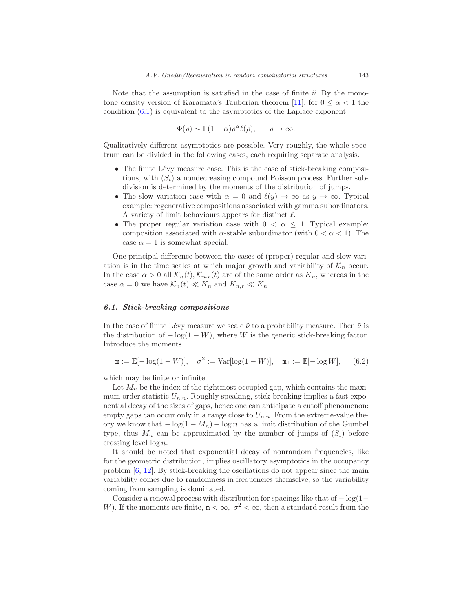Note that the assumption is satisfied in the case of finite  $\tilde{\nu}$ . By the mono-tone density version of Karamata's Tauberian theorem [\[11\]](#page-49-12), for  $0 \leq \alpha < 1$  the condition  $(6.1)$  is equivalent to the asymptotics of the Laplace exponent

$$
\Phi(\rho) \sim \Gamma(1-\alpha)\rho^{\alpha} \ell(\rho), \qquad \rho \to \infty.
$$

Qualitatively different asymptotics are possible. Very roughly, the whole spectrum can be divided in the following cases, each requiring separate analysis.

- The finite Lévy measure case. This is the case of stick-breaking compositions, with  $(S_t)$  a nondecreasing compound Poisson process. Further subdivision is determined by the moments of the distribution of jumps.
- The slow variation case with  $\alpha = 0$  and  $\ell(y) \to \infty$  as  $y \to \infty$ . Typical example: regenerative compositions associated with gamma subordinators. A variety of limit behaviours appears for distinct  $\ell$ .
- The proper regular variation case with  $0 < \alpha < 1$ . Typical example: composition associated with  $\alpha$ -stable subordinator (with  $0 < \alpha < 1$ ). The case  $\alpha = 1$  is somewhat special.

One principal difference between the cases of (proper) regular and slow variation is in the time scales at which major growth and variability of  $\mathcal{K}_n$  occur. In the case  $\alpha > 0$  all  $\mathcal{K}_n(t), \mathcal{K}_{n,r}(t)$  are of the same order as  $K_n$ , whereas in the case  $\alpha = 0$  we have  $\mathcal{K}_n(t) \ll K_n$  and  $K_{n,r} \ll K_n$ .

## <span id="page-38-0"></span>6.1. Stick-breaking compositions

In the case of finite Lévy measure we scale  $\tilde{\nu}$  to a probability measure. Then  $\tilde{\nu}$  is the distribution of  $-\log(1-W)$ , where W is the generic stick-breaking factor. Introduce the moments

$$
\mathbf{m} := \mathbb{E}[-\log(1 - W)], \quad \sigma^2 := \text{Var}[\log(1 - W)], \quad \mathbf{m}_1 := \mathbb{E}[-\log W], \quad (6.2)
$$

which may be finite or infinite.

Let  $M_n$  be the index of the rightmost occupied gap, which contains the maximum order statistic  $U_{n:n}$ . Roughly speaking, stick-breaking implies a fast exponential decay of the sizes of gaps, hence one can anticipate a cutoff phenomenon: empty gaps can occur only in a range close to  $U_{n:n}$ . From the extreme-value theory we know that  $-\log(1 - M_n) - \log n$  has a limit distribution of the Gumbel type, thus  $M_n$  can be approximated by the number of jumps of  $(S_t)$  before crossing level  $\log n$ .

It should be noted that exponential decay of nonrandom frequencies, like for the geometric distribution, implies oscillatory asymptotics in the occupancy problem [\[6](#page-48-10), [12\]](#page-49-13). By stick-breaking the oscillations do not appear since the main variability comes due to randomness in frequencies themselve, so the variability coming from sampling is dominated.

Consider a renewal process with distribution for spacings like that of − log(1− W). If the moments are finite,  $m < \infty$ ,  $\sigma^2 < \infty$ , then a standard result from the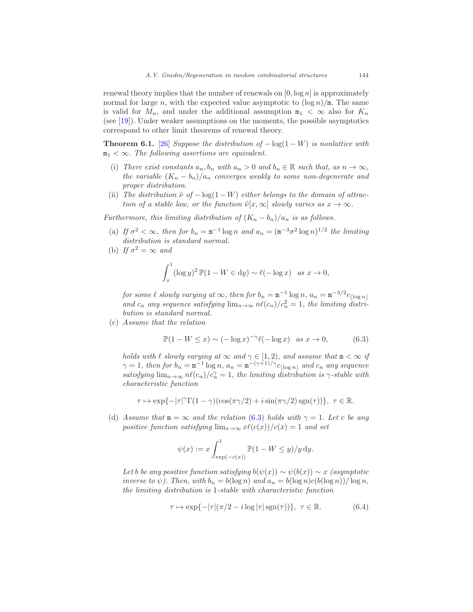renewal theory implies that the number of renewals on  $[0, \log n]$  is approximately normal for large n, with the expected value asymptotic to  $(\log n)/m$ . The same is valid for  $M_n$ , and under the additional assumption  $m_1 < \infty$  also for  $K_n$ (see [\[19](#page-49-4)]). Under weaker assumptions on the moments, the possible asymptotics correspond to other limit theorems of renewal theory.

<span id="page-39-1"></span>**Theorem 6.1.** [\[26\]](#page-49-14) Suppose the distribution of  $-\log(1-W)$  is nonlattice with  $m_1 < \infty$ . The following assertions are equivalent.

- (i) There exist constants  $a_n, b_n$  with  $a_n > 0$  and  $b_n \in \mathbb{R}$  such that, as  $n \to \infty$ , the variable  $(K_n - b_n)/a_n$  converges weakly to some non-degenerate and proper distribution.
- (ii) The distribution  $\tilde{\nu}$  of  $-\log(1-W)$  either belongs to the domain of attraction of a stable law, or the function  $\tilde{\nu}[x,\infty]$  slowly varies as  $x \to \infty$ .

Furthermore, this limiting distribution of  $(K_n - b_n)/a_n$  is as follows.

- (a) If  $\sigma^2 < \infty$ , then for  $b_n = m^{-1} \log n$  and  $a_n = (m^{-3} \sigma^2 \log n)^{1/2}$  the limiting distribution is standard normal.
- (b) If  $\sigma^2 = \infty$  and

$$
\int_x^1 (\log y)^2 \, \mathbb{P}(1 - W \in \mathrm{d}y) \sim \ell(-\log x) \quad \text{as } x \to 0,
$$

for some  $\ell$  slowly varying at  $\infty$ , then for  $b_n = \mathtt{m}^{-1} \log n$ ,  $a_n = \mathtt{m}^{-3/2} c_{\lfloor \log n \rfloor}$ and  $c_n$  any sequence satisfying  $\lim_{n\to\infty} n\ell(c_n)/c_n^2 = 1$ , the limiting distribution is standard normal.

(c) Assume that the relation

<span id="page-39-0"></span>
$$
\mathbb{P}(1 - W \le x) \sim (-\log x)^{-\gamma} \ell(-\log x) \quad \text{as } x \to 0,\tag{6.3}
$$

holds with  $\ell$  slowly varying at  $\infty$  and  $\gamma \in [1,2)$ , and assume that  $m < \infty$  if  $\gamma = 1$ , then for  $b_n = m^{-1} \log n$ ,  $a_n = m^{-(\gamma+1)/\gamma} c_{\lfloor \log n \rfloor}$  and  $c_n$  any sequence satisfying  $\lim_{n\to\infty} n\ell(c_n)/c_n^{\gamma} = 1$ , the limiting distribution is  $\gamma$ -stable with characteristic function

$$
\tau\mapsto \exp\{-|\tau|^\gamma\Gamma(1-\gamma)(\cos(\pi\gamma/2)+i\sin(\pi\gamma/2)\operatorname{sgn}(\tau))\},\ \tau\in\mathbb{R}.
$$

(d) Assume that  $m = \infty$  and the relation [\(6.3\)](#page-39-0) holds with  $\gamma = 1$ . Let c be any positive function satisfying  $\lim_{x\to\infty} x\ell(c(x))/c(x) = 1$  and set

$$
\psi(x) := x \int_{\exp(-c(x))}^{1} \mathbb{P}(1 - W \le y) / y \, dy.
$$

Let b be any positive function satisfying  $b(\psi(x)) \sim \psi(b(x)) \sim x$  (asymptotic inverse to  $\psi$ ). Then, with  $b_n = b(\log n)$  and  $a_n = b(\log n)c(b(\log n))/\log n$ , the limiting distribution is 1-stable with characteristic function

<span id="page-39-2"></span>
$$
\tau \mapsto \exp\{-|\tau|(\pi/2 - i\log|\tau|\operatorname{sgn}(\tau))\}, \ \tau \in \mathbb{R}.\tag{6.4}
$$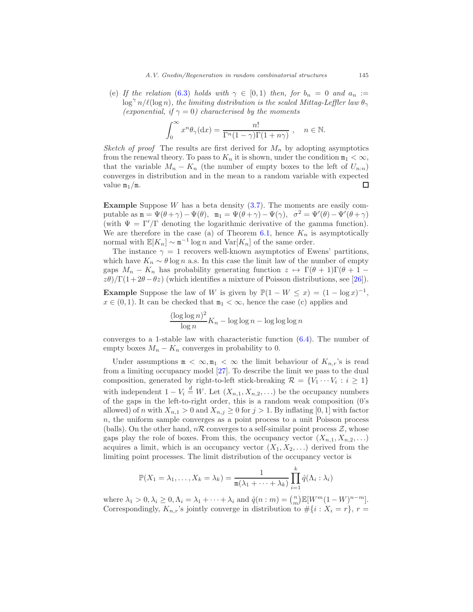(e) If the relation [\(6.3\)](#page-39-0) holds with  $\gamma \in [0,1)$  then, for  $b_n = 0$  and  $a_n :=$  $\log^{\gamma} n/\ell(\log n)$ , the limiting distribution is the scaled Mittag-Leffler law  $\theta_{\gamma}$ (exponential, if  $\gamma = 0$ ) characterised by the moments

$$
\int_0^\infty x^n \theta_\gamma(\mathrm{d}x) = \frac{n!}{\Gamma^n(1-\gamma)\Gamma(1+n\gamma)}, \quad n \in \mathbb{N}.
$$

Sketch of proof. The results are first derived for  $M_n$  by adopting asymptotics from the renewal theory. To pass to  $K_n$  it is shown, under the condition  $m_1 < \infty$ , that the variable  $M_n - K_n$  (the number of empty boxes to the left of  $U_{n:n}$ ) converges in distribution and in the mean to a random variable with expected value  $m_1/m$ .  $\Box$ 

**Example** Suppose W has a beta density  $(3.7)$ . The moments are easily computable as  $\mathbf{m} = \Psi(\theta + \gamma) - \Psi(\theta)$ ,  $\mathbf{m}_1 = \Psi(\theta + \gamma) - \Psi(\gamma)$ ,  $\sigma^2 = \Psi'(\theta) - \Psi'(\theta + \gamma)$ (with  $\Psi = \Gamma'/\Gamma$  denoting the logarithmic derivative of the gamma function). We are therefore in the case (a) of Theorem [6.1,](#page-39-1) hence  $K_n$  is asymptotically normal with  $\mathbb{E}[K_n] \sim \mathbb{m}^{-1} \log n$  and  $\text{Var}[K_n]$  of the same order.

The instance  $\gamma = 1$  recovers well-known asymptotics of Ewens' partitions, which have  $K_n \sim \theta \log n$  a.s. In this case the limit law of the number of empty gaps  $M_n - K_n$  has probability generating function  $z \mapsto \Gamma(\theta + 1)\Gamma(\theta + 1 - \theta)$  $z\theta$ )/Γ(1+2θ – θz) (which identifies a mixture of Poisson distributions, see [\[26](#page-49-14)]).

**Example** Suppose the law of W is given by  $\mathbb{P}(1 - W \leq x) = (1 - \log x)^{-1}$ ,  $x \in (0, 1)$ . It can be checked that  $m_1 < \infty$ , hence the case (c) applies and

$$
\frac{(\log \log n)^2}{\log n} K_n - \log \log n - \log \log \log n
$$

converges to a 1-stable law with characteristic function [\(6.4\)](#page-39-2). The number of empty boxes  $M_n - K_n$  converges in probability to 0.

Under assumptions  $m < \infty, m_1 < \infty$  the limit behaviour of  $K_{n,r}$ 's is read from a limiting occupancy model [\[27](#page-49-15)]. To describe the limit we pass to the dual composition, generated by right-to-left stick-breaking  $\mathcal{R} = \{V_1 \cdots V_i : i \geq 1\}$ with independent  $1 - V_i \stackrel{d}{=} W$ . Let  $(X_{n,1}, X_{n,2}, ...)$  be the occupancy numbers of the gaps in the left-to-right order, this is a random weak composition (0's allowed) of n with  $X_{n,1} > 0$  and  $X_{n,j} \geq 0$  for  $j > 1$ . By inflating [0, 1] with factor  $n$ , the uniform sample converges as a point process to a unit Poisson process (balls). On the other hand,  $n\mathcal{R}$  converges to a self-similar point process  $\mathcal{Z}$ , whose gaps play the role of boxes. From this, the occupancy vector  $(X_{n,1}, X_{n,2}, ...)$ acquires a limit, which is an occupancy vector  $(X_1, X_2, \ldots)$  derived from the limiting point processes. The limit distribution of the occupancy vector is

$$
\mathbb{P}(X_1 = \lambda_1, \dots, X_k = \lambda_k) = \frac{1}{\mathfrak{m}(\lambda_1 + \dots + \lambda_k)} \prod_{i=1}^k \hat{q}(\Lambda_i : \lambda_i)
$$

where  $\lambda_1 > 0, \lambda_i \geq 0, \Lambda_i = \lambda_1 + \cdots + \lambda_i$  and  $\hat{q}(n : m) = \binom{n}{m} \mathbb{E}[W^m(1 - W)^{n-m}].$ Correspondingly,  $K_{n,r}$ 's jointly converge in distribution to  $\#\{i : X_i = r\}, r =$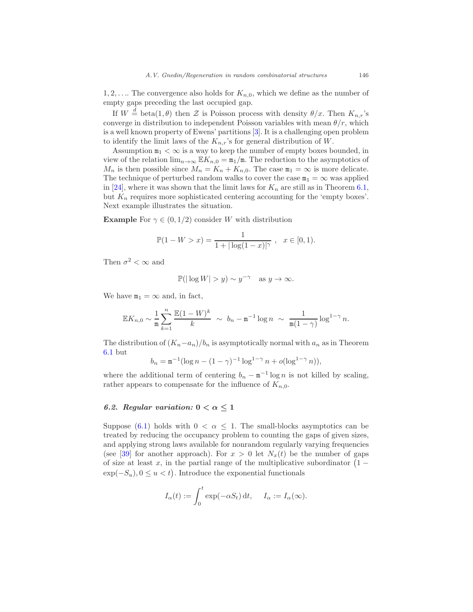$1, 2, \ldots$  The convergence also holds for  $K_{n,0}$ , which we define as the number of empty gaps preceding the last occupied gap.

If  $W \stackrel{d}{=} \text{beta}(1,\theta)$  then  $\mathcal Z$  is Poisson process with density  $\theta/x$ . Then  $K_{n,r}$ 's converge in distribution to independent Poisson variables with mean  $\theta/r$ , which is a well known property of Ewens' partitions [\[3\]](#page-48-5). It is a challenging open problem to identify the limit laws of the  $K_{n,r}$ 's for general distribution of W.

Assumption  $m_1 < \infty$  is a way to keep the number of empty boxes bounded, in view of the relation  $\lim_{n\to\infty} \mathbb{E}K_{n,0} = \mathbb{m}_1/\mathbb{m}$ . The reduction to the asymptotics of  $M_n$  is then possible since  $M_n = K_n + K_{n,0}$ . The case  $m_1 = \infty$  is more delicate. The technique of perturbed random walks to cover the case  $m_1 = \infty$  was applied in [\[24\]](#page-49-16), where it was shown that the limit laws for  $K_n$  are still as in Theorem [6.1,](#page-39-1) but  $K_n$  requires more sophisticated centering accounting for the 'empty boxes'. Next example illustrates the situation.

**Example** For  $\gamma \in (0, 1/2)$  consider W with distribution

$$
\mathbb{P}(1 - W > x) = \frac{1}{1 + |\log(1 - x)|^{\gamma}}, \quad x \in [0, 1).
$$

Then  $\sigma^2 < \infty$  and

$$
\mathbb{P}(|\log W| > y) \sim y^{-\gamma} \text{ as } y \to \infty.
$$

We have  $m_1 = \infty$  and, in fact,

$$
\mathbb{E} K_{n,0} \sim \frac{1}{\mathtt{m}} \sum_{k=1}^n \frac{\mathbb{E} (1-W)^k}{k} \; \sim \; b_n - \mathtt{m}^{-1} \log n \; \sim \; \frac{1}{\mathtt{m} (1-\gamma)} \log^{1-\gamma} n.
$$

The distribution of  $(K_n-a_n)/b_n$  is asymptotically normal with  $a_n$  as in Theorem [6.1](#page-39-1) but

$$
b_n = \mathbf{m}^{-1} (\log n - (1 - \gamma)^{-1} \log^{1 - \gamma} n + o(\log^{1 - \gamma} n)),
$$

where the additional term of centering  $b_n - m^{-1} \log n$  is not killed by scaling, rather appears to compensate for the influence of  $K_{n,0}$ .

## <span id="page-41-0"></span>6.2. Regular variation:  $0 < \alpha \leq 1$

Suppose [\(6.1\)](#page-37-0) holds with  $0 < \alpha < 1$ . The small-blocks asymptotics can be treated by reducing the occupancy problem to counting the gaps of given sizes, and applying strong laws available for nonrandom regularly varying frequencies (see [\[39\]](#page-50-16) for another approach). For  $x > 0$  let  $N_x(t)$  be the number of gaps of size at least x, in the partial range of the multiplicative subordinator  $(1 \exp(-S_u)$ ,  $0 \le u < t$ ). Introduce the exponential functionals

$$
I_{\alpha}(t) := \int_0^t \exp(-\alpha S_t) dt, \quad I_{\alpha} := I_{\alpha}(\infty).
$$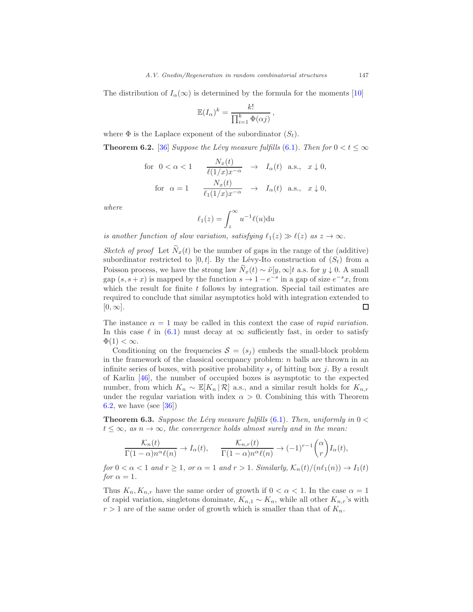The distribution of  $I_\alpha(\infty)$  is determined by the formula for the moments [\[10](#page-48-11)]

$$
\mathbb{E}(I_{\alpha})^k = \frac{k!}{\prod_{i=1}^k \Phi(\alpha j)},
$$

where  $\Phi$  is the Laplace exponent of the subordinator  $(S_t)$ .

<span id="page-42-0"></span>**Theorem 6.2.** [\[36\]](#page-50-13) Suppose the Lévy measure fulfills [\(6.1\)](#page-37-0). Then for  $0 < t \leq \infty$ 

$$
\begin{array}{cccc}\n\text{for} & 0 < \alpha < 1 & \frac{N_x(t)}{\ell(1/x)x^{-\alpha}} & \to & I_\alpha(t) \text{ a.s., } x \downarrow 0, \\
\text{for } \alpha = 1 & \frac{N_x(t)}{\ell_1(1/x)x^{-\alpha}} & \to & I_\alpha(t) \text{ a.s., } x \downarrow 0,\n\end{array}
$$

where

$$
\ell_1(z) = \int_z^{\infty} u^{-1} \ell(u) \mathrm{d}u
$$

is another function of slow variation, satisfying  $\ell_1(z) \gg \ell(z)$  as  $z \to \infty$ .

Sketch of proof Let  $\widetilde{N}_x(t)$  be the number of gaps in the range of the (additive) subordinator restricted to [0, t]. By the Lévy-Ito construction of  $(S_t)$  from a Poisson process, we have the strong law  $\tilde{N}_x(t) \sim \tilde{\nu}[y,\infty]t$  a.s. for  $y \downarrow 0$ . A small gap  $(s, s+x)$  is mapped by the function  $s \to 1-e^{-s}$  in a gap of size  $e^{-s}x$ , from which the result for finite  $t$  follows by integration. Special tail estimates are required to conclude that similar asymptotics hold with integration extended to  $[0, \infty]$ .  $\Box$ 

The instance  $\alpha = 1$  may be called in this context the case of *rapid variation*. In this case  $\ell$  in [\(6.1\)](#page-37-0) must decay at  $\infty$  sufficiently fast, in order to satisfy  $\Phi(1) < \infty$ .

Conditioning on the frequencies  $S = (s_i)$  embeds the small-block problem in the framework of the classical occupancy problem:  $n$  balls are thrown in an infinite series of boxes, with positive probability  $s_i$  of hitting box j. By a result of Karlin [\[46\]](#page-51-13), the number of occupied boxes is asymptotic to the expected number, from which  $K_n \sim \mathbb{E}[K_n | \mathcal{R}]$  a.s., and a similar result holds for  $K_{n,r}$ under the regular variation with index  $\alpha > 0$ . Combining this with Theorem [6.2,](#page-42-0) we have (see [\[36\]](#page-50-13))

<span id="page-42-1"></span>**Theorem 6.3.** Suppose the Lévy measure fulfills  $(6.1)$ . Then, uniformly in  $0 <$  $t \leq \infty$ , as  $n \to \infty$ , the convergence holds almost surely and in the mean:

$$
\frac{\mathcal{K}_n(t)}{\Gamma(1-\alpha)n^{\alpha}\ell(n)} \to I_{\alpha}(t), \qquad \frac{\mathcal{K}_{n,r}(t)}{\Gamma(1-\alpha)n^{\alpha}\ell(n)} \to (-1)^{r-1}\binom{\alpha}{r}I_{\alpha}(t),
$$

for  $0 < \alpha < 1$  and  $r \ge 1$ , or  $\alpha = 1$  and  $r > 1$ . Similarly,  $\mathcal{K}_n(t)/(n\ell_1(n)) \to I_1(t)$ for  $\alpha = 1$ .

Thus  $K_n, K_{n,r}$  have the same order of growth if  $0 < \alpha < 1$ . In the case  $\alpha = 1$ of rapid variation, singletons dominate,  $K_{n,1} \sim K_n$ , while all other  $K_{n,r}$ 's with  $r > 1$  are of the same order of growth which is smaller than that of  $K_n$ .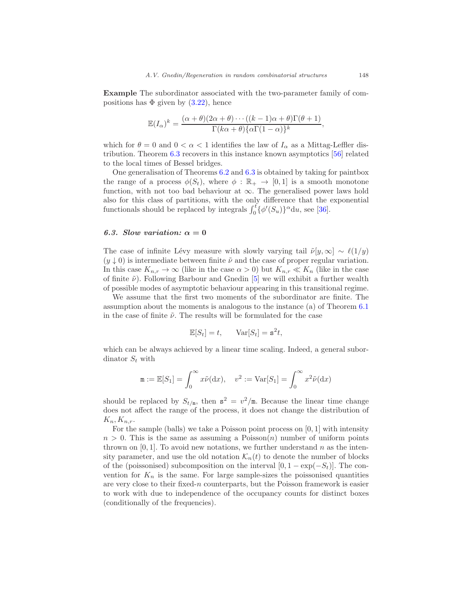Example The subordinator associated with the two-parameter family of compositions has  $\Phi$  given by  $(3.22)$ , hence

$$
\mathbb{E}(I_{\alpha})^k = \frac{(\alpha + \theta)(2\alpha + \theta) \cdots ((k - 1)\alpha + \theta)\Gamma(\theta + 1)}{\Gamma(k\alpha + \theta)\{\alpha\Gamma(1 - \alpha)\}^k},
$$

which for  $\theta = 0$  and  $0 < \alpha < 1$  identifies the law of  $I_{\alpha}$  as a Mittag-Leffler distribution. Theorem [6.3](#page-42-1) recovers in this instance known asymptotics [\[56\]](#page-51-3) related to the local times of Bessel bridges.

One generalisation of Theorems [6.2](#page-42-0) and [6.3](#page-42-1) is obtained by taking for paintbox the range of a process  $\phi(S_t)$ , where  $\phi : \mathbb{R}_+ \to [0,1]$  is a smooth monotone function, with not too bad behaviour at  $\infty$ . The generalised power laws hold also for this class of partitions, with the only difference that the exponential functionals should be replaced by integrals  $\int_0^t {\phi'(S_u)}^{\alpha} du$ , see [\[36\]](#page-50-13).

## <span id="page-43-0"></span>6.3. Slow variation:  $\alpha = 0$

The case of infinite Lévy measure with slowly varying tail  $\tilde{\nu}[y,\infty] \sim \ell(1/y)$  $(y \downarrow 0)$  is intermediate between finite  $\tilde{\nu}$  and the case of proper regular variation. In this case  $K_{n,r} \to \infty$  (like in the case  $\alpha > 0$ ) but  $K_{n,r} \ll K_n$  (like in the case of finite  $\tilde{\nu}$ ). Following Barbour and Gnedin [\[5](#page-48-9)] we will exhibit a further wealth of possible modes of asymptotic behaviour appearing in this transitional regime.

We assume that the first two moments of the subordinator are finite. The assumption about the moments is analogous to the instance (a) of Theorem [6.1](#page-39-1) in the case of finite  $\tilde{\nu}$ . The results will be formulated for the case

$$
\mathbb{E}[S_t] = t, \quad \text{Var}[S_t] = \mathbf{s}^2 t,
$$

which can be always achieved by a linear time scaling. Indeed, a general subordinator  $S_t$  with

$$
\mathtt{m}:=\mathbb{E}[S_1]=\int_0^\infty x\tilde{\nu}(\mathrm{d} x),\quad v^2:=\mathrm{Var}[S_1]=\int_0^\infty x^2\tilde{\nu}(\mathrm{d} x)
$$

should be replaced by  $S_{t/m}$ , then  $s^2 = v^2/m$ . Because the linear time change does not affect the range of the process, it does not change the distribution of  $K_n, K_{n,r}.$ 

For the sample (balls) we take a Poisson point process on [0, 1] with intensity  $n > 0$ . This is the same as assuming a Poisson(n) number of uniform points thrown on  $[0, 1]$ . To avoid new notations, we further understand n as the intensity parameter, and use the old notation  $\mathcal{K}_n(t)$  to denote the number of blocks of the (poissonised) subcomposition on the interval  $[0, 1 - \exp(-S_t)]$ . The convention for  $K_n$  is the same. For large sample-sizes the poissonised quantities are very close to their fixed- $n$  counterparts, but the Poisson framework is easier to work with due to independence of the occupancy counts for distinct boxes (conditionally of the frequencies).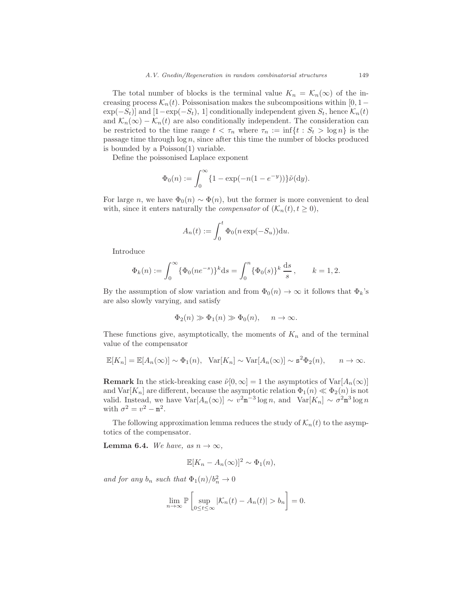The total number of blocks is the terminal value  $K_n = \mathcal{K}_n(\infty)$  of the increasing process  $\mathcal{K}_n(t)$ . Poissonisation makes the subcompositions within [0, 1 –  $\exp(-S_t)$  and  $[1-\exp(-S_t), 1]$  conditionally independent given  $S_t$ , hence  $\mathcal{K}_n(t)$ and  $\mathcal{K}_n(\infty) - \mathcal{K}_n(t)$  are also conditionally independent. The consideration can be restricted to the time range  $t < \tau_n$  where  $\tau_n := \inf\{t : S_t > \log n\}$  is the passage time through  $log n$ , since after this time the number of blocks produced is bounded by a Poisson(1) variable.

Define the poissonised Laplace exponent

$$
\Phi_0(n) := \int_0^\infty \{1 - \exp(-n(1 - e^{-y}))\} \tilde{\nu}(\mathrm{d}y).
$$

For large n, we have  $\Phi_0(n) \sim \Phi(n)$ , but the former is more convenient to deal with, since it enters naturally the *compensator* of  $(\mathcal{K}_n(t), t \geq 0)$ ,

$$
A_n(t) := \int_0^t \Phi_0(n \exp(-S_u)) \mathrm{d}u.
$$

Introduce

$$
\Phi_k(n) := \int_0^\infty {\{\Phi_0(ne^{-s})\}}^k ds = \int_0^n {\{\Phi_0(s)\}}^k \frac{ds}{s}, \qquad k = 1, 2.
$$

By the assumption of slow variation and from  $\Phi_0(n) \to \infty$  it follows that  $\Phi_k$ 's are also slowly varying, and satisfy

$$
\Phi_2(n) \gg \Phi_1(n) \gg \Phi_0(n), \quad n \to \infty.
$$

These functions give, asymptotically, the moments of  $K_n$  and of the terminal value of the compensator

$$
\mathbb{E}[K_n] = \mathbb{E}[A_n(\infty)] \sim \Phi_1(n), \quad \text{Var}[K_n] \sim \text{Var}[A_n(\infty)] \sim \mathbf{s}^2 \Phi_2(n), \qquad n \to \infty.
$$

**Remark** In the stick-breaking case  $\tilde{\nu}[0,\infty] = 1$  the asymptotics of  $\text{Var}[A_n(\infty)]$ and  $\text{Var}[K_n]$  are different, because the asymptotic relation  $\Phi_1(n) \ll \Phi_2(n)$  is not valid. Instead, we have  $\text{Var}[A_n(\infty)] \sim v^2 \text{m}^{-3} \log n$ , and  $\text{Var}[K_n] \sim \sigma^2 \text{m}^3 \log n$ with  $\sigma^2 = v^2 - m^2$ .

The following approximation lemma reduces the study of  $\mathcal{K}_n(t)$  to the asymptotics of the compensator.

**Lemma 6.4.** We have, as  $n \to \infty$ ,

$$
\mathbb{E}[K_n - A_n(\infty)]^2 \sim \Phi_1(n),
$$

and for any  $b_n$  such that  $\Phi_1(n)/b_n^2 \to 0$ 

$$
\lim_{n \to \infty} \mathbb{P}\left[\sup_{0 \le t \le \infty} |\mathcal{K}_n(t) - A_n(t)| > b_n\right] = 0.
$$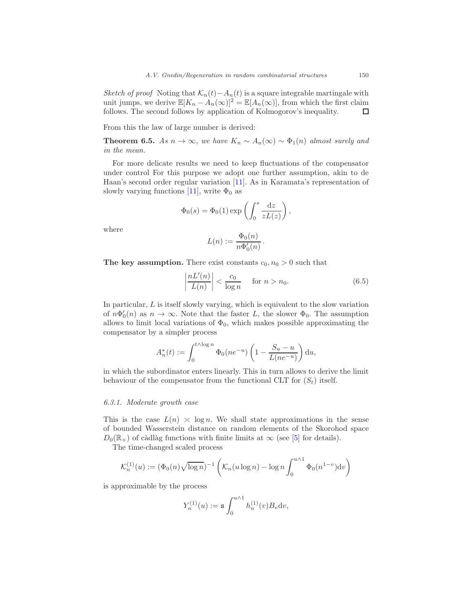Sketch of proof Noting that  $\mathcal{K}_n(t) - A_n(t)$  is a square integrable martingale with unit jumps, we derive  $\mathbb{E}[K_n - A_n(\infty)]^2 = \mathbb{E}[A_n(\infty)]$ , from which the first claim follows. The second follows by application of Kolmogorov's inequality. follows. The second follows by application of Kolmogorov's inequality.

From this the law of large number is derived:

**Theorem 6.5.** As  $n \to \infty$ , we have  $K_n \sim A_n(\infty) \sim \Phi_1(n)$  almost surely and in the mean.

For more delicate results we need to keep fluctuations of the compensator under control For this purpose we adopt one further assumption, akin to de Haan's second order regular variation [\[11](#page-49-12)]. As in Karamata's representation of slowly varying functions [\[11\]](#page-49-12), write  $\Phi_0$  as

$$
\Phi_0(s) = \Phi_0(1) \exp\left(\int_0^s \frac{\mathrm{d}z}{zL(z)}\right),\,
$$

where

$$
L(n) := \frac{\Phi_0(n)}{n\Phi'_0(n)}.
$$

The key assumption. There exist constants  $c_0$ ,  $n_0 > 0$  such that

$$
\left|\frac{nL'(n)}{L(n)}\right| < \frac{c_0}{\log n} \quad \text{for } n > n_0. \tag{6.5}
$$

In particular,  $L$  is itself slowly varying, which is equivalent to the slow variation of  $n\Phi'_0(n)$  as  $n \to \infty$ . Note that the faster L, the slower  $\Phi_0$ . The assumption allows to limit local variations of  $\Phi_0$ , which makes possible approximating the compensator by a simpler process

$$
A_n^*(t) := \int_0^{t \wedge \log n} \Phi_0(n e^{-u}) \left(1 - \frac{S_u - u}{L(n e^{-u})}\right) du,
$$

in which the subordinator enters linearly. This in turn allows to derive the limit behaviour of the compensator from the functional CLT for  $(S_t)$  itself.

#### <span id="page-45-0"></span>6.3.1. Moderate growth case

This is the case  $L(n) \approx \log n$ . We shall state approximations in the sense of bounded Wasserstein distance on random elements of the Skorohod space  $D_0(\mathbb{R}_+)$  of càdlàg functions with finite limits at  $\infty$  (see [\[5\]](#page-48-9) for details).

The time-changed scaled process

$$
\mathcal{K}_n^{(1)}(u) := (\Phi_0(n)\sqrt{\log n})^{-1} \left( \mathcal{K}_n(u \log n) - \log n \int_0^{u \wedge 1} \Phi_0(n^{1-v}) \mathrm{d}v \right)
$$

is approximable by the process

$$
Y_n^{(1)}(u):={\mathtt{s}}\int_0^{u\wedge 1}h_n^{(1)}(v)B_v{\rm d}v,
$$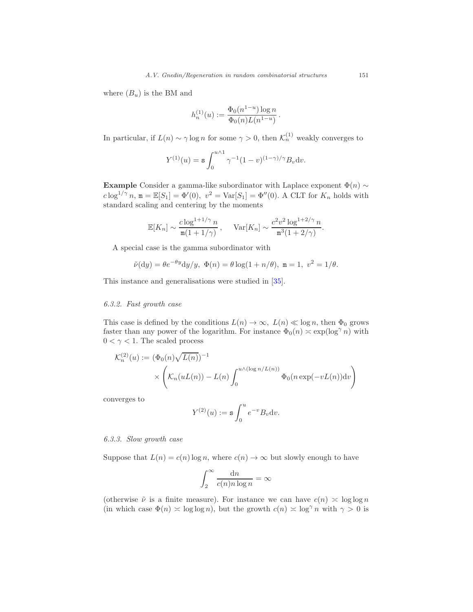where  $(B_u)$  is the BM and

$$
h_n^{(1)}(u) := \frac{\Phi_0(n^{1-u}) \log n}{\Phi_0(n) L(n^{1-u})}.
$$

In particular, if  $L(n) \sim \gamma \log n$  for some  $\gamma > 0$ , then  $\mathcal{K}_n^{(1)}$  weakly converges to

$$
Y^{(1)}(u) = \mathbf{s} \int_0^{u \wedge 1} \gamma^{-1} (1 - v)^{(1 - \gamma)/\gamma} B_v \mathrm{d}v.
$$

Example Consider a gamma-like subordinator with Laplace exponent  $\Phi(n) \sim$  $c \log^{1/\gamma} n$ ,  $\mathbf{m} = \mathbb{E}[S_1] = \Phi'(0)$ ,  $v^2 = \text{Var}[S_1] = \Phi''(0)$ . A CLT for  $K_n$  holds with standard scaling and centering by the moments

$$
\mathbb{E}[K_n] \sim \frac{c \log^{1+1/\gamma} n}{\mathfrak{m}(1+1/\gamma)}, \quad \text{Var}[K_n] \sim \frac{c^2 v^2 \log^{1+2/\gamma} n}{\mathfrak{m}^3 (1+2/\gamma)}.
$$

A special case is the gamma subordinator with

$$
\tilde{\nu}(\mathrm{d}y) = \theta e^{-\theta y} \mathrm{d}y/y, \ \Phi(n) = \theta \log(1 + n/\theta), \ \mathbf{m} = 1, \ v^2 = 1/\theta.
$$

This instance and generalisations were studied in [\[35](#page-50-14)].

## <span id="page-46-0"></span>6.3.2. Fast growth case

This case is defined by the conditions  $L(n) \to \infty$ ,  $L(n) \ll \log n$ , then  $\Phi_0$  grows faster than any power of the logarithm. For instance  $\Phi_0(n) \approx \exp(\log^{\gamma} n)$  with  $0 < \gamma < 1$ . The scaled process

$$
\mathcal{K}_n^{(2)}(u) := (\Phi_0(n)\sqrt{L(n)})^{-1}
$$

$$
\times \left(\mathcal{K}_n(uL(n)) - L(n)\int_0^{u \wedge (\log n/L(n))} \Phi_0(n \exp(-vL(n))dv\right)
$$

converges to

$$
Y^{(2)}(u):={\mathtt{s}}\int_0^u e^{-v}B_v\mathrm{d}v.
$$

## <span id="page-46-1"></span>6.3.3. Slow growth case

Suppose that  $L(n) = c(n) \log n$ , where  $c(n) \to \infty$  but slowly enough to have

$$
\int_2^\infty \frac{\mathrm{d}n}{c(n)n \log n} = \infty
$$

(otherwise  $\tilde{\nu}$  is a finite measure). For instance we can have  $c(n) \approx \log \log n$ (in which case  $\Phi(n) \approx \log \log n$ ), but the growth  $c(n) \approx \log^{\gamma} n$  with  $\gamma > 0$  is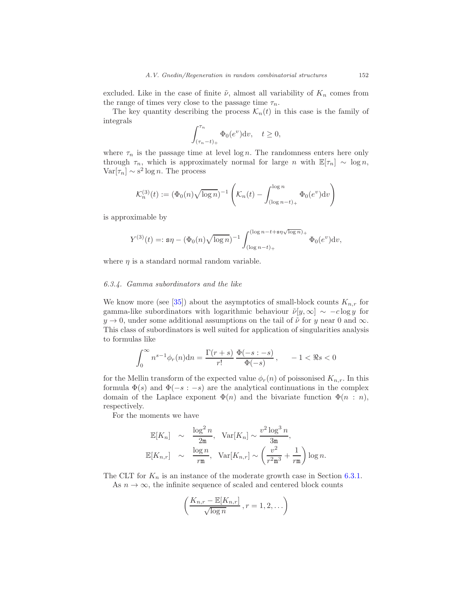excluded. Like in the case of finite  $\tilde{\nu}$ , almost all variability of  $K_n$  comes from the range of times very close to the passage time  $\tau_n$ .

The key quantity describing the process  $\mathcal{K}_n(t)$  in this case is the family of integrals

$$
\int_{(\tau_n-t)_+}^{\tau_n} \Phi_0(e^v) \mathrm{d}v, \quad t \ge 0,
$$

where  $\tau_n$  is the passage time at level log n. The randomness enters here only through  $\tau_n$ , which is approximately normal for large n with  $\mathbb{E}[\tau_n] \sim \log n$ ,  $\text{Var}[\tau_n] \sim s^2 \log n$ . The process

$$
\mathcal{K}_n^{(3)}(t) := (\Phi_0(n)\sqrt{\log n})^{-1} \left( \mathcal{K}_n(t) - \int_{(\log n - t)_+}^{\log n} \Phi_0(e^v) \mathrm{d}v \right)
$$

is approximable by

$$
Y^{(3)}(t) =: \mathbf{s}\eta - (\Phi_0(n)\sqrt{\log n})^{-1} \int_{(\log n - t)_{+}}^{(\log n - t + s\eta\sqrt{\log n})_{+}} \Phi_0(e^v) \mathrm{d}v,
$$

where  $\eta$  is a standard normal random variable.

#### <span id="page-47-0"></span>6.3.4. Gamma subordinators and the like

We know more (see [\[35](#page-50-14)]) about the asymptotics of small-block counts  $K_{n,r}$  for gamma-like subordinators with logarithmic behaviour  $\tilde{\nu}[y,\infty] \sim -c \log y$  for  $y \to 0$ , under some additional assumptions on the tail of  $\tilde{\nu}$  for y near 0 and  $\infty$ . This class of subordinators is well suited for application of singularities analysis to formulas like

$$
\int_0^\infty n^{s-1} \phi_r(n) \mathrm{d}n = \frac{\Gamma(r+s)}{r!} \frac{\Phi(-s; -s)}{\Phi(-s)}, \quad -1 < \Re s < 0
$$

for the Mellin transform of the expected value  $\phi_r(n)$  of poissonised  $K_{n,r}$ . In this formula  $\Phi(s)$  and  $\Phi(-s:-s)$  are the analytical continuations in the complex domain of the Laplace exponent  $\Phi(n)$  and the bivariate function  $\Phi(n:n)$ , respectively.

For the moments we have

$$
\mathbb{E}[K_n] \sim \frac{\log^2 n}{2m}, \quad \text{Var}[K_n] \sim \frac{v^2 \log^3 n}{3m},
$$
  

$$
\mathbb{E}[K_{n,r}] \sim \frac{\log n}{rm}, \quad \text{Var}[K_{n,r}] \sim \left(\frac{v^2}{r^2m^3} + \frac{1}{rm}\right) \log n.
$$

The CLT for  $K_n$  is an instance of the moderate growth case in Section [6.3.1.](#page-45-0) As  $n \to \infty$ , the infinite sequence of scaled and centered block counts

$$
\left(\frac{K_{n,r} - \mathbb{E}[K_{n,r}]}{\sqrt{\log n}}, r = 1, 2, \ldots\right)
$$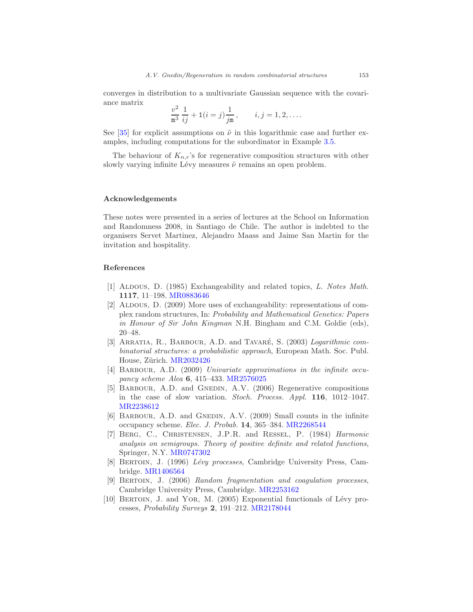converges in distribution to a multivariate Gaussian sequence with the covariance matrix

$$
\frac{v^2}{m^3} \frac{1}{ij} + 1(i = j) \frac{1}{jm}, \qquad i, j = 1, 2, \dots.
$$

See [\[35\]](#page-50-14) for explicit assumptions on  $\tilde{\nu}$  in this logarithmic case and further examples, including computations for the subordinator in Example [3.5.](#page-18-1)

The behaviour of  $K_{n,r}$ 's for regenerative composition structures with other slowly varying infinite Lévy measures  $\tilde{\nu}$  remains an open problem.

## <span id="page-48-0"></span>Acknowledgements

These notes were presented in a series of lectures at the School on Information and Randomness 2008, in Santiago de Chile. The author is indebted to the organisers Servet Martinez, Alejandro Maass and Jaime San Martin for the invitation and hospitality.

## <span id="page-48-1"></span>References

- <span id="page-48-3"></span>[1] Aldous, D. (1985) Exchangeability and related topics, L. Notes Math. 1117, 11–198. [MR0883646](http://www.ams.org/mathscinet-getitem?mr=0883646)
- <span id="page-48-4"></span>[2] ALDOUS, D. (2009) More uses of exchangeability: representations of complex random structures, In: Probability and Mathematical Genetics: Papers in Honour of Sir John Kingman N.H. Bingham and C.M. Goldie (eds), 20–48.
- <span id="page-48-5"></span>[3] ARRATIA, R., BARBOUR, A.D. and TAVARÉ, S.  $(2003)$  Logarithmic combinatorial structures: a probabilistic approach, European Math. Soc. Publ. House, Zürich. [MR2032426](http://www.ams.org/mathscinet-getitem?mr=2032426)
- <span id="page-48-8"></span>[4] BARBOUR, A.D. (2009) Univariate approximations in the infinite occupancy scheme Alea 6, 415–433. [MR2576025](http://www.ams.org/mathscinet-getitem?mr=2576025)
- <span id="page-48-9"></span>[5] BARBOUR, A.D. and GNEDIN, A.V. (2006) Regenerative compositions in the case of slow variation. Stoch. Process. Appl. 116, 1012–1047. [MR2238612](http://www.ams.org/mathscinet-getitem?mr=2238612)
- <span id="page-48-10"></span>[6] BARBOUR, A.D. and GNEDIN, A.V. (2009) Small counts in the infinite occupancy scheme. Elec. J. Probab. 14, 365–384. [MR2268544](http://www.ams.org/mathscinet-getitem?mr=2268544)
- <span id="page-48-7"></span>[7] Berg, C., Christensen, J.P.R. and Ressel, P. (1984) Harmonic analysis on semigroups. Theory of positive definite and related functions, Springer, N.Y. [MR0747302](http://www.ams.org/mathscinet-getitem?mr=0747302)
- <span id="page-48-6"></span>[8] BERTOIN, J. (1996) Lévy processes, Cambridge University Press, Cambridge. [MR1406564](http://www.ams.org/mathscinet-getitem?mr=1406564)
- <span id="page-48-2"></span>[9] BERTOIN, J. (2006) Random fragmentation and coagulation processes, Cambridge University Press, Cambridge. [MR2253162](http://www.ams.org/mathscinet-getitem?mr=2253162)
- <span id="page-48-11"></span>[10] BERTOIN, J. and YOR, M. (2005) Exponential functionals of Lévy processes, Probability Surveys 2, 191–212. [MR2178044](http://www.ams.org/mathscinet-getitem?mr=2178044)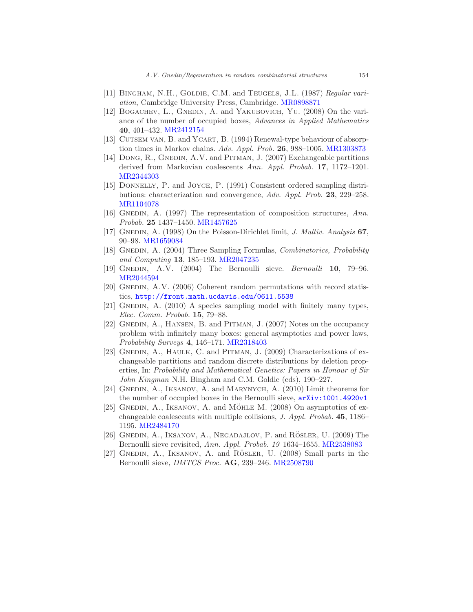- <span id="page-49-12"></span>[11] BINGHAM, N.H., GOLDIE, C.M. and TEUGELS, J.L. (1987) Regular variation, Cambridge University Press, Cambridge. [MR0898871](http://www.ams.org/mathscinet-getitem?mr=0898871)
- <span id="page-49-13"></span>[12] BOGACHEV, L., GNEDIN, A. and YAKUBOVICH, YU. (2008) On the variance of the number of occupied boxes, Advances in Applied Mathematics 40, 401–432. [MR2412154](http://www.ams.org/mathscinet-getitem?mr=2412154)
- <span id="page-49-10"></span>[13] CUTSEM VAN, B. and YCART, B. (1994) Renewal-type behaviour of absorption times in Markov chains. Adv. Appl. Prob. 26, 988–1005. [MR1303873](http://www.ams.org/mathscinet-getitem?mr=1303873)
- <span id="page-49-7"></span>[14] DONG, R., GNEDIN, A.V. and PITMAN, J.  $(2007)$  Exchangeable partitions derived from Markovian coalescents Ann. Appl. Probab. 17, 1172–1201. [MR2344303](http://www.ams.org/mathscinet-getitem?mr=2344303)
- <span id="page-49-6"></span>[15] Donnelly, P. and Joyce, P. (1991) Consistent ordered sampling distributions: characterization and convergence, Adv. Appl. Prob. 23, 229–258. [MR1104078](http://www.ams.org/mathscinet-getitem?mr=1104078)
- <span id="page-49-0"></span>[16] GNEDIN, A. (1997) The representation of composition structures,  $Ann.$ Probab. 25 1437–1450. [MR1457625](http://www.ams.org/mathscinet-getitem?mr=1457625)
- <span id="page-49-1"></span>[17] GNEDIN, A. (1998) On the Poisson-Dirichlet limit, J. Multiv. Analysis 67, 90–98. [MR1659084](http://www.ams.org/mathscinet-getitem?mr=1659084)
- <span id="page-49-5"></span>[18] GNEDIN, A. (2004) Three Sampling Formulas, Combinatorics, Probability and Computing 13, 185–193. [MR2047235](http://www.ams.org/mathscinet-getitem?mr=2047235)
- <span id="page-49-4"></span>[19] Gnedin, A.V. (2004) The Bernoulli sieve. Bernoulli 10, 79–96. [MR2044594](http://www.ams.org/mathscinet-getitem?mr=2044594)
- <span id="page-49-8"></span>[20] GNEDIN,  $A.V.$  (2006) Coherent random permutations with record statistics, <http://front.math.ucdavis.edu/0611.5538>
- <span id="page-49-3"></span>[21] GNEDIN, A. (2010) A species sampling model with finitely many types, Elec. Comm. Probab. 15, 79–88.
- <span id="page-49-9"></span>[22] GNEDIN, A., HANSEN, B. and PITMAN, J. (2007) Notes on the occupancy problem with infinitely many boxes: general asymptotics and power laws, Probability Surveys 4, 146–171. [MR2318403](http://www.ams.org/mathscinet-getitem?mr=2318403)
- <span id="page-49-2"></span>[23] GNEDIN, A., HAULK, C. and PITMAN, J. (2009) Characterizations of exchangeable partitions and random discrete distributions by deletion properties, In: Probability and Mathematical Genetics: Papers in Honour of Sir John Kingman N.H. Bingham and C.M. Goldie (eds), 190–227.
- <span id="page-49-16"></span>[24] GNEDIN, A., IKSANOV, A. and MARYNYCH, A. (2010) Limit theorems for the number of occupied boxes in the Bernoulli sieve, [arXiv:1001.4920v1](http://arxiv.org/abs/1001.4920v1)
- <span id="page-49-11"></span>[25] GNEDIN, A., IKSANOV, A. and MÖHLE M.  $(2008)$  On asymptotics of exchangeable coalescents with multiple collisions, J. Appl. Probab. 45, 1186– 1195. [MR2484170](http://www.ams.org/mathscinet-getitem?mr=2484170)
- <span id="page-49-14"></span>[26] GNEDIN, A., IKSANOV, A., NEGADAJLOV, P. and RÖSLER, U. (2009) The Bernoulli sieve revisited, Ann. Appl. Probab. 19 1634–1655. [MR2538083](http://www.ams.org/mathscinet-getitem?mr=2538083)
- <span id="page-49-15"></span>[27] GNEDIN, A., IKSANOV, A. and RÖSLER, U. (2008) Small parts in the Bernoulli sieve, DMTCS Proc. AG, 239-246. [MR2508790](http://www.ams.org/mathscinet-getitem?mr=2508790)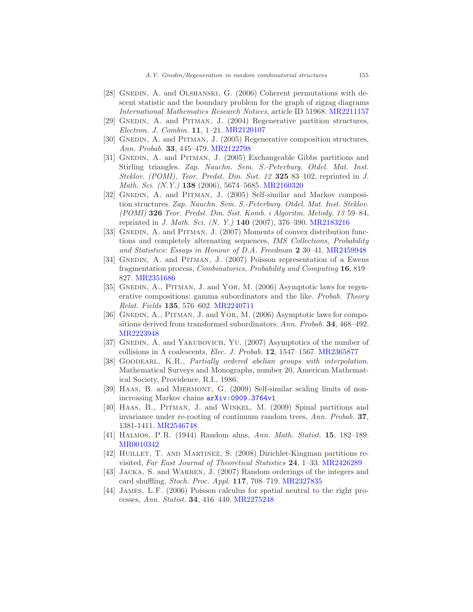- <span id="page-50-0"></span>[28] GNEDIN, A. and OLSHANSKI, G. (2006) Coherent permutations with descent statistic and the boundary problem for the graph of zigzag diagrams International Mathematics Research Notices, article ID 51968. [MR2211157](http://www.ams.org/mathscinet-getitem?mr=2211157)
- <span id="page-50-10"></span>[29] GNEDIN, A. and PITMAN, J. (2004) Regenerative partition structures, Electron. J. Combin. 11, 1–21. [MR2120107](http://www.ams.org/mathscinet-getitem?mr=2120107)
- <span id="page-50-6"></span>[30] GNEDIN, A. and PITMAN, J. (2005) Regenerative composition structures, Ann. Probab. 33, 445–479. [MR2122798](http://www.ams.org/mathscinet-getitem?mr=2122798)
- <span id="page-50-4"></span>[31] GNEDIN, A. and PITMAN, J. (2005) Exchangeable Gibbs partitions and Stirling triangles. Zap. Nauchn. Sem. S.-Peterburg. Otdel. Mat. Inst. Steklov. (POMI), Teor. Predst. Din. Sist. 12 325 83-102, reprinted in J. Math. Sci. (N.Y.) 138 (2006), 5674–5685. [MR2160320](http://www.ams.org/mathscinet-getitem?mr=2160320)
- <span id="page-50-9"></span>[32] GNEDIN, A. and PITMAN, J. (2005) Self-similar and Markov composition structures. Zap. Nauchn. Sem. S.-Peterburg. Otdel. Mat. Inst. Steklov. (POMI) 326 Teor. Predst. Din. Sist. Komb. i Algoritm. Metody. 13 59–84, reprinted in J. Math. Sci. (N. Y.) 140 (2007), 376–390. [MR2183216](http://www.ams.org/mathscinet-getitem?mr=2183216)
- <span id="page-50-7"></span>[33] GNEDIN, A. and PITMAN, J. (2007) Moments of convex distribution functions and completely alternating sequences, IMS Collections, Probability and Statistics: Essays in Honour of D.A. Freedman 2 30–41. [MR2459948](http://www.ams.org/mathscinet-getitem?mr=2459948)
- <span id="page-50-12"></span>[34] GNEDIN, A. and PITMAN, J. (2007) Poisson representation of a Ewens fragmentation process, Combinatorics, Probability and Computing 16, 819– 827. [MR2351686](http://www.ams.org/mathscinet-getitem?mr=2351686)
- <span id="page-50-14"></span>[35] GNEDIN, A., PITMAN, J. and YOR, M. (2006) Asymptotic laws for regenerative compositions: gamma subordinators and the like. Probab. Theory Relat. Fields 135, 576–602. [MR2240711](http://www.ams.org/mathscinet-getitem?mr=2240711)
- <span id="page-50-13"></span>[36] GNEDIN, A., PITMAN, J. and YOR, M. (2006) Asymptotic laws for compositions derived from transformed subordinators. Ann. Probab. 34, 468–492. [MR2223948](http://www.ams.org/mathscinet-getitem?mr=2223948)
- <span id="page-50-15"></span>[37] GNEDIN, A. and YAKUBOVICH, YU. (2007) Asymptotics of the number of collisions in  $\Lambda$  coalescents, *Elec. J. Probab.* 12, 1547–1567. [MR2365877](http://www.ams.org/mathscinet-getitem?mr=2365877)
- <span id="page-50-3"></span>[38] GOODEARL, K.R., Partially ordered abelian groups with interpolation. Mathematical Surveys and Monographs, number 20, American Mathematical Society, Providence, R.I., 1986.
- <span id="page-50-16"></span>[39] Haas, B. and Miermont, G. (2009) Self-similar scaling limits of nonincreasing Markov chains [arXiv:0909.3764v1](http://arxiv.org/abs/0909.3764v1)
- <span id="page-50-11"></span>[40] HAAS, B., PITMAN, J. and WINKEL, M. (2009) Spinal partitions and invariance under re-rooting of continuum random trees, Ann. Probab. 37, 1381-1411. [MR2546748](http://www.ams.org/mathscinet-getitem?mr=2546748)
- <span id="page-50-5"></span>[41] Halmos, P.R. (1944) Random alms, Ann. Math. Statist. 15, 182–189. [MR0010342](http://www.ams.org/mathscinet-getitem?mr=0010342)
- <span id="page-50-1"></span>[42] HUILLET, T. AND MARTINEZ, S. (2008) Dirichlet-Kingman partitions revisited, Far East Journal of Theoretical Statistics 24, 1–33. [MR2426289](http://www.ams.org/mathscinet-getitem?mr=2426289)
- <span id="page-50-2"></span>[43] JACKA, S. and WARREN, J. (2007) Random orderings of the integers and card shuffling, Stoch. Proc. Appl. 117, 708–719. [MR2327835](http://www.ams.org/mathscinet-getitem?mr=2327835)
- <span id="page-50-8"></span>[44] James, L.F. (2006) Poisson calculus for spatial neutral to the right processes, Ann. Statist. 34, 416–440. [MR2275248](http://www.ams.org/mathscinet-getitem?mr=2275248)